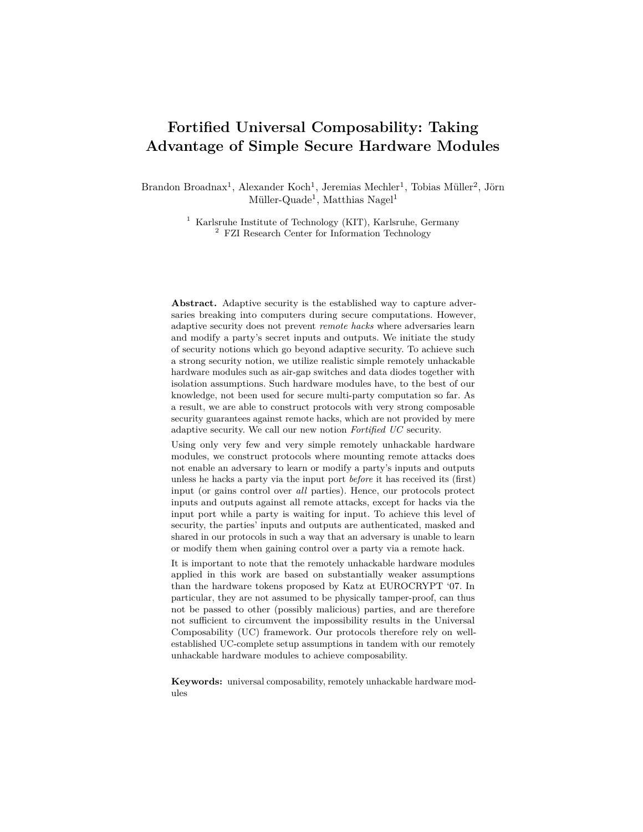# **Fortified Universal Composability: Taking Advantage of Simple Secure Hardware Modules**

Brandon Broadnax<sup>1</sup>, Alexander Koch<sup>1</sup>, Jeremias Mechler<sup>1</sup>, Tobias Müller<sup>2</sup>, Jörn  $\text{Müller-Quade}^1$ , Matthias Nagel<sup>1</sup>

> <sup>1</sup> Karlsruhe Institute of Technology (KIT), Karlsruhe, Germany <sup>2</sup> FZI Research Center for Information Technology

**Abstract.** Adaptive security is the established way to capture adversaries breaking into computers during secure computations. However, adaptive security does not prevent *remote hacks* where adversaries learn and modify a party's secret inputs and outputs. We initiate the study of security notions which go beyond adaptive security. To achieve such a strong security notion, we utilize realistic simple remotely unhackable hardware modules such as air-gap switches and data diodes together with isolation assumptions. Such hardware modules have, to the best of our knowledge, not been used for secure multi-party computation so far. As a result, we are able to construct protocols with very strong composable security guarantees against remote hacks, which are not provided by mere adaptive security. We call our new notion *Fortified UC* security.

Using only very few and very simple remotely unhackable hardware modules, we construct protocols where mounting remote attacks does not enable an adversary to learn or modify a party's inputs and outputs unless he hacks a party via the input port *before* it has received its (first) input (or gains control over *all* parties). Hence, our protocols protect inputs and outputs against all remote attacks, except for hacks via the input port while a party is waiting for input. To achieve this level of security, the parties' inputs and outputs are authenticated, masked and shared in our protocols in such a way that an adversary is unable to learn or modify them when gaining control over a party via a remote hack.

It is important to note that the remotely unhackable hardware modules applied in this work are based on substantially weaker assumptions than the hardware tokens proposed by Katz at EUROCRYPT '07. In particular, they are not assumed to be physically tamper-proof, can thus not be passed to other (possibly malicious) parties, and are therefore not sufficient to circumvent the impossibility results in the Universal Composability (UC) framework. Our protocols therefore rely on wellestablished UC-complete setup assumptions in tandem with our remotely unhackable hardware modules to achieve composability.

**Keywords:** universal composability, remotely unhackable hardware modules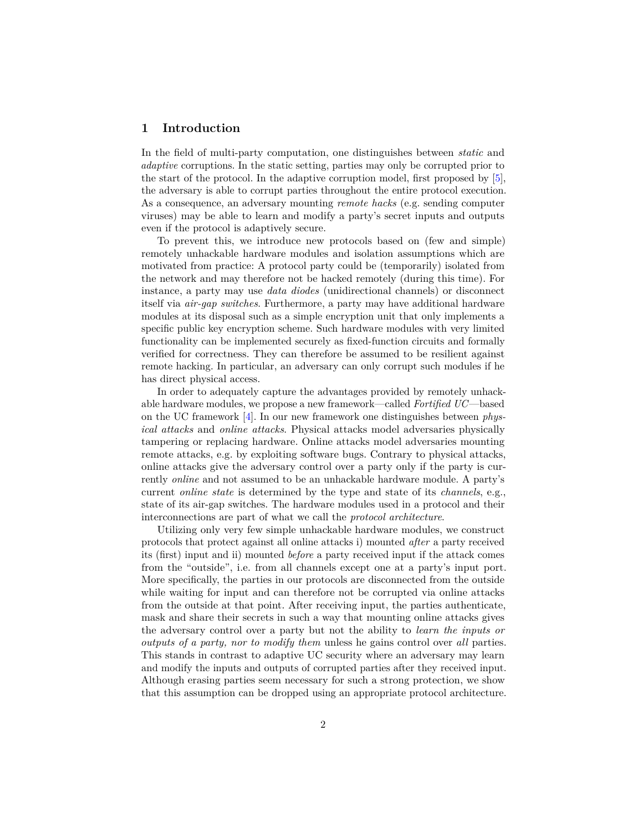## **1 Introduction**

In the field of multi-party computation, one distinguishes between *static* and *adaptive* corruptions. In the static setting, parties may only be corrupted prior to the start of the protocol. In the adaptive corruption model, first proposed by [\[5\]](#page-42-0), the adversary is able to corrupt parties throughout the entire protocol execution. As a consequence, an adversary mounting *remote hacks* (e.g. sending computer viruses) may be able to learn and modify a party's secret inputs and outputs even if the protocol is adaptively secure.

To prevent this, we introduce new protocols based on (few and simple) remotely unhackable hardware modules and isolation assumptions which are motivated from practice: A protocol party could be (temporarily) isolated from the network and may therefore not be hacked remotely (during this time). For instance, a party may use *data diodes* (unidirectional channels) or disconnect itself via *air-gap switches*. Furthermore, a party may have additional hardware modules at its disposal such as a simple encryption unit that only implements a specific public key encryption scheme. Such hardware modules with very limited functionality can be implemented securely as fixed-function circuits and formally verified for correctness. They can therefore be assumed to be resilient against remote hacking. In particular, an adversary can only corrupt such modules if he has direct physical access.

In order to adequately capture the advantages provided by remotely unhackable hardware modules, we propose a new framework—called *Fortified UC*—based on the UC framework [\[4\]](#page-42-1). In our new framework one distinguishes between *physical attacks* and *online attacks*. Physical attacks model adversaries physically tampering or replacing hardware. Online attacks model adversaries mounting remote attacks, e.g. by exploiting software bugs. Contrary to physical attacks, online attacks give the adversary control over a party only if the party is currently *online* and not assumed to be an unhackable hardware module. A party's current *online state* is determined by the type and state of its *channels*, e.g., state of its air-gap switches. The hardware modules used in a protocol and their interconnections are part of what we call the *protocol architecture*.

Utilizing only very few simple unhackable hardware modules, we construct protocols that protect against all online attacks i) mounted *after* a party received its (first) input and ii) mounted *before* a party received input if the attack comes from the "outside", i.e. from all channels except one at a party's input port. More specifically, the parties in our protocols are disconnected from the outside while waiting for input and can therefore not be corrupted via online attacks from the outside at that point. After receiving input, the parties authenticate, mask and share their secrets in such a way that mounting online attacks gives the adversary control over a party but not the ability to *learn the inputs or outputs of a party, nor to modify them* unless he gains control over *all* parties. This stands in contrast to adaptive UC security where an adversary may learn and modify the inputs and outputs of corrupted parties after they received input. Although erasing parties seem necessary for such a strong protection, we show that this assumption can be dropped using an appropriate protocol architecture.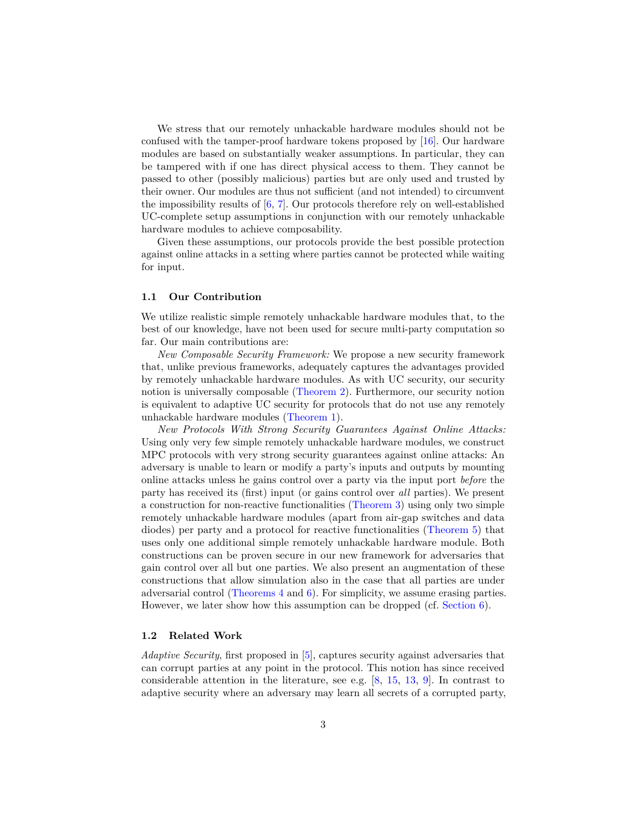We stress that our remotely unhackable hardware modules should not be confused with the tamper-proof hardware tokens proposed by [\[16\]](#page-43-0). Our hardware modules are based on substantially weaker assumptions. In particular, they can be tampered with if one has direct physical access to them. They cannot be passed to other (possibly malicious) parties but are only used and trusted by their owner. Our modules are thus not sufficient (and not intended) to circumvent the impossibility results of  $[6, 7]$  $[6, 7]$  $[6, 7]$ . Our protocols therefore rely on well-established UC-complete setup assumptions in conjunction with our remotely unhackable hardware modules to achieve composability.

Given these assumptions, our protocols provide the best possible protection against online attacks in a setting where parties cannot be protected while waiting for input.

#### **1.1 Our Contribution**

We utilize realistic simple remotely unhackable hardware modules that, to the best of our knowledge, have not been used for secure multi-party computation so far. Our main contributions are:

*New Composable Security Framework:* We propose a new security framework that, unlike previous frameworks, adequately captures the advantages provided by remotely unhackable hardware modules. As with UC security, our security notion is universally composable [\(Theorem 2\)](#page-16-0). Furthermore, our security notion is equivalent to adaptive UC security for protocols that do not use any remotely unhackable hardware modules [\(Theorem 1\)](#page-16-1).

*New Protocols With Strong Security Guarantees Against Online Attacks:* Using only very few simple remotely unhackable hardware modules, we construct MPC protocols with very strong security guarantees against online attacks: An adversary is unable to learn or modify a party's inputs and outputs by mounting online attacks unless he gains control over a party via the input port *before* the party has received its (first) input (or gains control over *all* parties). We present a construction for non-reactive functionalities [\(Theorem 3\)](#page-27-0) using only two simple remotely unhackable hardware modules (apart from air-gap switches and data diodes) per party and a protocol for reactive functionalities [\(Theorem 5\)](#page-40-0) that uses only one additional simple remotely unhackable hardware module. Both constructions can be proven secure in our new framework for adversaries that gain control over all but one parties. We also present an augmentation of these constructions that allow simulation also in the case that all parties are under adversarial control [\(Theorems 4](#page-35-0) and [6\)](#page-41-0). For simplicity, we assume erasing parties. However, we later show how this assumption can be dropped (cf. [Section 6\)](#page-41-1).

### **1.2 Related Work**

*Adaptive Security*, first proposed in [\[5\]](#page-42-0), captures security against adversaries that can corrupt parties at any point in the protocol. This notion has since received considerable attention in the literature, see e.g.  $[8, 15, 13, 9]$  $[8, 15, 13, 9]$  $[8, 15, 13, 9]$  $[8, 15, 13, 9]$  $[8, 15, 13, 9]$  $[8, 15, 13, 9]$  $[8, 15, 13, 9]$ . In contrast to adaptive security where an adversary may learn all secrets of a corrupted party,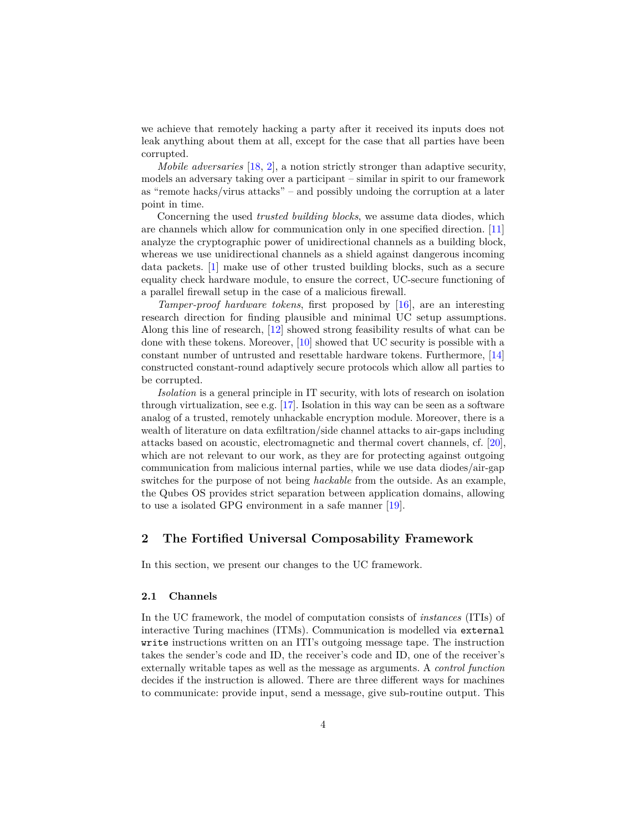we achieve that remotely hacking a party after it received its inputs does not leak anything about them at all, except for the case that all parties have been corrupted.

*Mobile adversaries* [\[18,](#page-43-6) [2\]](#page-42-3), a notion strictly stronger than adaptive security, models an adversary taking over a participant – similar in spirit to our framework as "remote hacks/virus attacks" – and possibly undoing the corruption at a later point in time.

Concerning the used *trusted building blocks*, we assume data diodes, which are channels which allow for communication only in one specified direction. [\[11\]](#page-43-7) analyze the cryptographic power of unidirectional channels as a building block, whereas we use unidirectional channels as a shield against dangerous incoming data packets. [\[1\]](#page-42-4) make use of other trusted building blocks, such as a secure equality check hardware module, to ensure the correct, UC-secure functioning of a parallel firewall setup in the case of a malicious firewall.

*Tamper-proof hardware tokens*, first proposed by [\[16\]](#page-43-0), are an interesting research direction for finding plausible and minimal UC setup assumptions. Along this line of research, [\[12\]](#page-43-8) showed strong feasibility results of what can be done with these tokens. Moreover, [\[10\]](#page-43-9) showed that UC security is possible with a constant number of untrusted and resettable hardware tokens. Furthermore, [\[14\]](#page-43-10) constructed constant-round adaptively secure protocols which allow all parties to be corrupted.

*Isolation* is a general principle in IT security, with lots of research on isolation through virtualization, see e.g. [\[17\]](#page-43-11). Isolation in this way can be seen as a software analog of a trusted, remotely unhackable encryption module. Moreover, there is a wealth of literature on data exfiltration/side channel attacks to air-gaps including attacks based on acoustic, electromagnetic and thermal covert channels, cf. [\[20\]](#page-43-12), which are not relevant to our work, as they are for protecting against outgoing communication from malicious internal parties, while we use data diodes/air-gap switches for the purpose of not being *hackable* from the outside. As an example, the Qubes OS provides strict separation between application domains, allowing to use a isolated GPG environment in a safe manner [\[19\]](#page-43-13).

## **2 The Fortified Universal Composability Framework**

In this section, we present our changes to the UC framework.

#### <span id="page-3-0"></span>**2.1 Channels**

In the UC framework, the model of computation consists of *instances* (ITIs) of interactive Turing machines (ITMs). Communication is modelled via external write instructions written on an ITI's outgoing message tape. The instruction takes the sender's code and ID, the receiver's code and ID, one of the receiver's externally writable tapes as well as the message as arguments. A *control function* decides if the instruction is allowed. There are three different ways for machines to communicate: provide input, send a message, give sub-routine output. This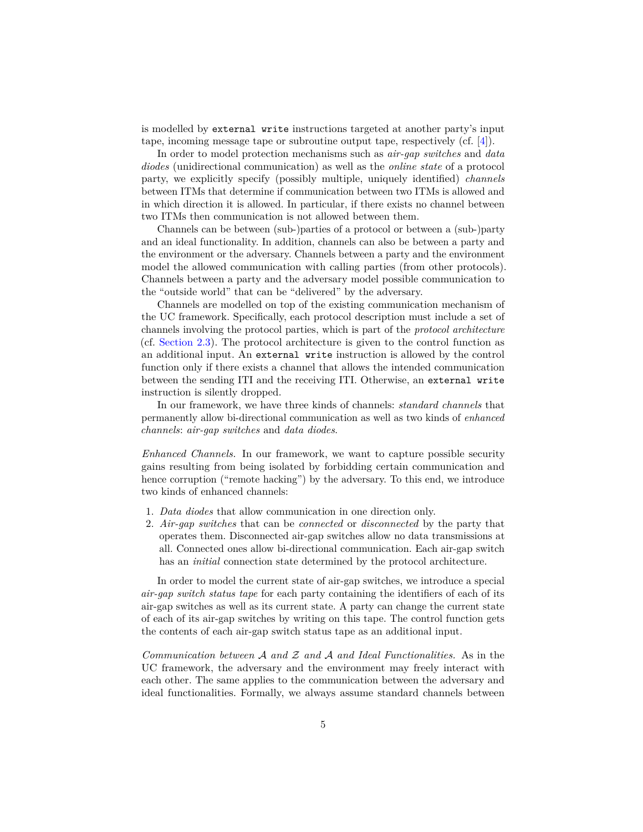is modelled by external write instructions targeted at another party's input tape, incoming message tape or subroutine output tape, respectively (cf. [\[4\]](#page-42-1)).

In order to model protection mechanisms such as *air-gap switches* and *data diodes* (unidirectional communication) as well as the *online state* of a protocol party, we explicitly specify (possibly multiple, uniquely identified) *channels* between ITMs that determine if communication between two ITMs is allowed and in which direction it is allowed. In particular, if there exists no channel between two ITMs then communication is not allowed between them.

Channels can be between (sub-)parties of a protocol or between a (sub-)party and an ideal functionality. In addition, channels can also be between a party and the environment or the adversary. Channels between a party and the environment model the allowed communication with calling parties (from other protocols). Channels between a party and the adversary model possible communication to the "outside world" that can be "delivered" by the adversary.

Channels are modelled on top of the existing communication mechanism of the UC framework. Specifically, each protocol description must include a set of channels involving the protocol parties, which is part of the *protocol architecture* (cf. [Section 2.3\)](#page-6-0). The protocol architecture is given to the control function as an additional input. An external write instruction is allowed by the control function only if there exists a channel that allows the intended communication between the sending ITI and the receiving ITI. Otherwise, an external write instruction is silently dropped.

In our framework, we have three kinds of channels: *standard channels* that permanently allow bi-directional communication as well as two kinds of *enhanced channels*: *air-gap switches* and *data diodes*.

*Enhanced Channels.* In our framework, we want to capture possible security gains resulting from being isolated by forbidding certain communication and hence corruption ("remote hacking") by the adversary. To this end, we introduce two kinds of enhanced channels:

- 1. *Data diodes* that allow communication in one direction only.
- 2. *Air-gap switches* that can be *connected* or *disconnected* by the party that operates them. Disconnected air-gap switches allow no data transmissions at all. Connected ones allow bi-directional communication. Each air-gap switch has an *initial* connection state determined by the protocol architecture.

In order to model the current state of air-gap switches, we introduce a special *air-gap switch status tape* for each party containing the identifiers of each of its air-gap switches as well as its current state. A party can change the current state of each of its air-gap switches by writing on this tape. The control function gets the contents of each air-gap switch status tape as an additional input.

*Communication between* A *and* Z *and* A *and Ideal Functionalities.* As in the UC framework, the adversary and the environment may freely interact with each other. The same applies to the communication between the adversary and ideal functionalities. Formally, we always assume standard channels between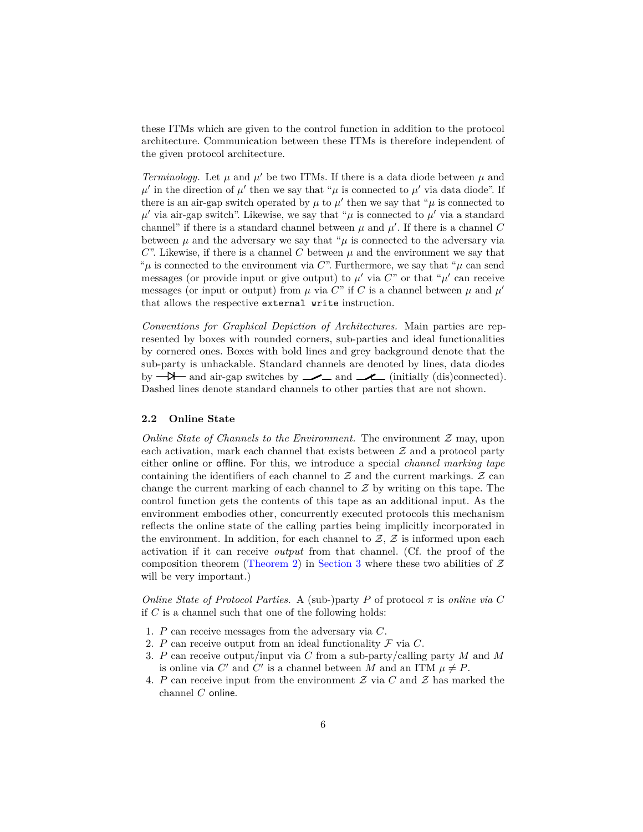these ITMs which are given to the control function in addition to the protocol architecture. Communication between these ITMs is therefore independent of the given protocol architecture.

*Terminology.* Let  $\mu$  and  $\mu'$  be two ITMs. If there is a data diode between  $\mu$  and  $\mu'$  in the direction of  $\mu'$  then we say that " $\mu$  is connected to  $\mu'$  via data diode". If there is an air-gap switch operated by  $\mu$  to  $\mu'$  then we say that " $\mu$  is connected to  $\mu'$  via air-gap switch". Likewise, we say that " $\mu$  is connected to  $\mu'$  via a standard channel" if there is a standard channel between  $\mu$  and  $\mu'$ . If there is a channel C between  $\mu$  and the adversary we say that " $\mu$  is connected to the adversary via  $C$ ". Likewise, if there is a channel  $C$  between  $\mu$  and the environment we say that " $\mu$  is connected to the environment via *C*". Furthermore, we say that " $\mu$  can send" messages (or provide input or give output) to  $\mu'$  via  $C^{\prime\prime}$  or that " $\mu'$  can receive messages (or input or output) from  $\mu$  via  $C^{\prime\prime}$  if  $C$  is a channel between  $\mu$  and  $\mu'$ that allows the respective external write instruction.

*Conventions for Graphical Depiction of Architectures.* Main parties are represented by boxes with rounded corners, sub-parties and ideal functionalities by cornered ones. Boxes with bold lines and grey background denote that the sub-party is unhackable. Standard channels are denoted by lines, data diodes by  $-\mathcal{B}$  and air-gap switches by  $-\mathcal{A}$  and  $-\mathcal{A}$  (initially (dis)connected). Dashed lines denote standard channels to other parties that are not shown.

#### <span id="page-5-1"></span>**2.2 Online State**

*Online State of Channels to the Environment.* The environment  $\mathcal{Z}$  may, upon each activation, mark each channel that exists between  $\mathcal Z$  and a protocol party either online or offline. For this, we introduce a special *channel marking tape* containing the identifiers of each channel to  $Z$  and the current markings.  $Z$  can change the current marking of each channel to  $\mathcal Z$  by writing on this tape. The control function gets the contents of this tape as an additional input. As the environment embodies other, concurrently executed protocols this mechanism reflects the online state of the calling parties being implicitly incorporated in the environment. In addition, for each channel to  $Z$ ,  $Z$  is informed upon each activation if it can receive *output* from that channel. (Cf. the proof of the composition theorem [\(Theorem 2\)](#page-16-0) in [Section 3](#page-15-0) where these two abilities of  $Z$ will be very important.)

<span id="page-5-0"></span>*Online State of Protocol Parties.* A (sub-)party *P* of protocol  $\pi$  is *online via C* if *C* is a channel such that one of the following holds:

- 1. *P* can receive messages from the adversary via *C*.
- 2. *P* can receive output from an ideal functionality  $\mathcal F$  via  $C$ .
- 3. *P* can receive output/input via *C* from a sub-party/calling party *M* and *M* is online via C' and C' is a channel between M and an ITM  $\mu \neq P$ .
- 4. *P* can receive input from the environment  $Z$  via  $C$  and  $Z$  has marked the channel *C* online.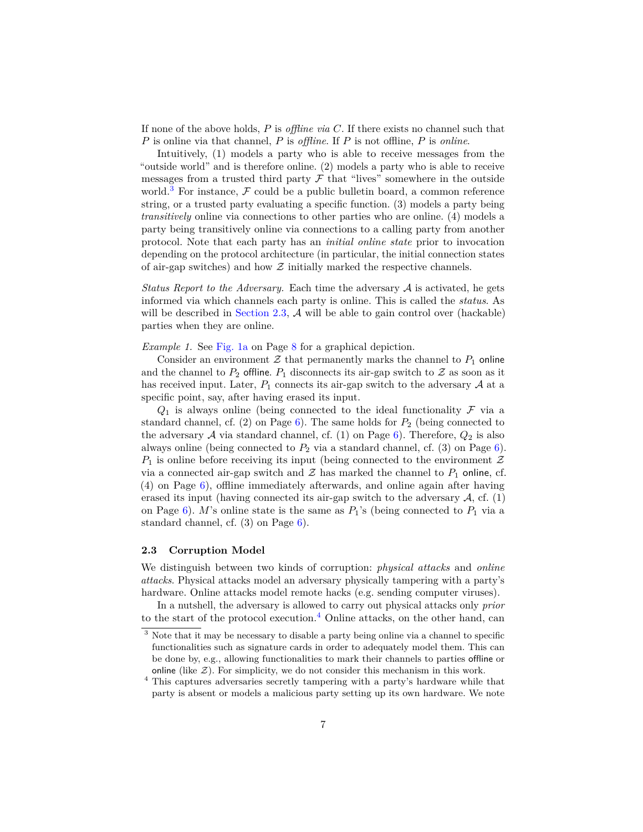If none of the above holds, *P* is *offline via C*. If there exists no channel such that *P* is online via that channel, *P* is *offline*. If *P* is not offline, *P* is *online*.

Intuitively, (1) models a party who is able to receive messages from the "outside world" and is therefore online. (2) models a party who is able to receive messages from a trusted third party  ${\mathcal F}$  that "lives" somewhere in the outside world.<sup>[3](#page-6-1)</sup> For instance,  $\mathcal F$  could be a public bulletin board, a common reference string, or a trusted party evaluating a specific function. (3) models a party being *transitively* online via connections to other parties who are online. (4) models a party being transitively online via connections to a calling party from another protocol. Note that each party has an *initial online state* prior to invocation depending on the protocol architecture (in particular, the initial connection states of air-gap switches) and how  $Z$  initially marked the respective channels.

*Status Report to the Adversary.* Each time the adversary A is activated, he gets informed via which channels each party is online. This is called the *status*. As will be described in [Section 2.3,](#page-6-0)  $\mathcal A$  will be able to gain control over (hackable) parties when they are online.

*Example 1.* See [Fig. 1a](#page-7-0) on Page [8](#page-7-0) for a graphical depiction.

Consider an environment  $\mathcal Z$  that permanently marks the channel to  $P_1$  online and the channel to  $P_2$  offline.  $P_1$  disconnects its air-gap switch to  $\mathcal Z$  as soon as it has received input. Later,  $P_1$  connects its air-gap switch to the adversary  $A$  at a specific point, say, after having erased its input.

 $Q_1$  is always online (being connected to the ideal functionality  $\mathcal F$  via a standard channel, cf.  $(2)$  on Page  $6$ ). The same holds for  $P_2$  (being connected to the adversary  $A$  via standard channel, cf. (1) on Page [6\)](#page-5-0). Therefore,  $Q_2$  is also always online (being connected to  $P_2$  via a standard channel, cf. (3) on Page [6\)](#page-5-0).  $P_1$  is online before receiving its input (being connected to the environment  $\mathcal Z$ via a connected air-gap switch and  $Z$  has marked the channel to  $P_1$  online, cf. (4) on Page [6\)](#page-5-0), offline immediately afterwards, and online again after having erased its input (having connected its air-gap switch to the adversary  $A$ , cf. (1) on Page [6\)](#page-5-0). *M*'s online state is the same as  $P_1$ 's (being connected to  $P_1$  via a standard channel, cf. (3) on Page [6\)](#page-5-0).

#### <span id="page-6-0"></span>**2.3 Corruption Model**

We distinguish between two kinds of corruption: *physical attacks* and *online attacks*. Physical attacks model an adversary physically tampering with a party's hardware. Online attacks model remote hacks (e.g. sending computer viruses).

In a nutshell, the adversary is allowed to carry out physical attacks only *prior* to the start of the protocol execution.<sup>[4](#page-6-2)</sup> Online attacks, on the other hand, can

<span id="page-6-1"></span><sup>&</sup>lt;sup>3</sup> Note that it may be necessary to disable a party being online via a channel to specific functionalities such as signature cards in order to adequately model them. This can be done by, e.g., allowing functionalities to mark their channels to parties offline or online (like  $\mathcal{Z}$ ). For simplicity, we do not consider this mechanism in this work.

<span id="page-6-2"></span><sup>4</sup> This captures adversaries secretly tampering with a party's hardware while that party is absent or models a malicious party setting up its own hardware. We note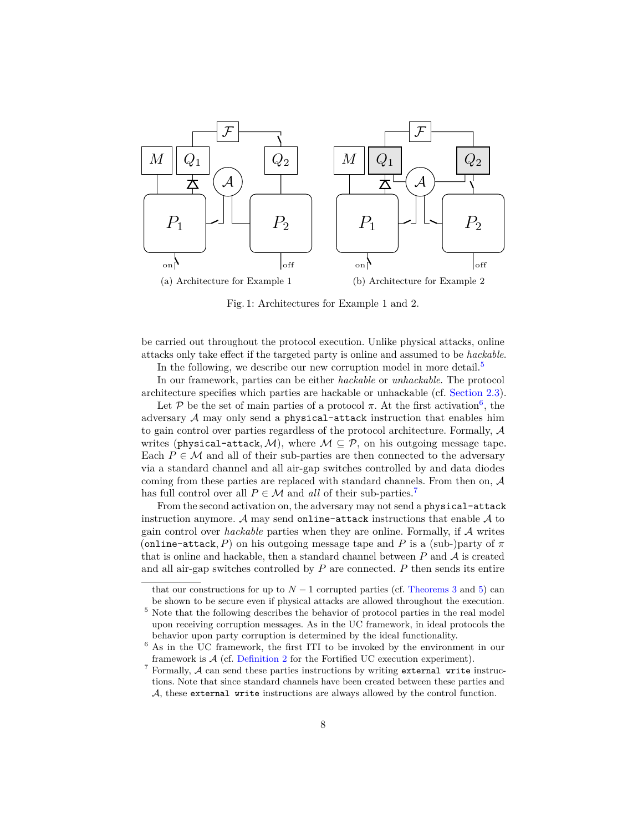<span id="page-7-0"></span>

Fig. 1: Architectures for Example 1 and 2.

be carried out throughout the protocol execution. Unlike physical attacks, online attacks only take effect if the targeted party is online and assumed to be *hackable*.

In the following, we describe our new corruption model in more detail.<sup>[5](#page-7-1)</sup>

In our framework, parties can be either *hackable* or *unhackable*. The protocol architecture specifies which parties are hackable or unhackable (cf. [Section 2.3\)](#page-6-0).

Let P be the set of main parties of a protocol  $\pi$ . At the first activation<sup>[6](#page-7-2)</sup>, the adversary  $A$  may only send a physical-attack instruction that enables him to gain control over parties regardless of the protocol architecture. Formally, A writes (physical-attack, M), where  $M \subseteq \mathcal{P}$ , on his outgoing message tape. Each  $P \in \mathcal{M}$  and all of their sub-parties are then connected to the adversary via a standard channel and all air-gap switches controlled by and data diodes coming from these parties are replaced with standard channels. From then on, A has full control over all  $P \in \mathcal{M}$  and *all* of their sub-parties.<sup>[7](#page-7-3)</sup>

From the second activation on, the adversary may not send a physical-attack instruction anymore. A may send online-attack instructions that enable  $A$  to gain control over *hackable* parties when they are online. Formally, if A writes (online-attack, P) on his outgoing message tape and P is a (sub-)party of  $\pi$ that is online and hackable, then a standard channel between  $P$  and  $\mathcal A$  is created and all air-gap switches controlled by *P* are connected. *P* then sends its entire

that our constructions for up to  $N-1$  corrupted parties (cf. [Theorems 3](#page-27-0) and [5\)](#page-40-0) can be shown to be secure even if physical attacks are allowed throughout the execution.

<span id="page-7-1"></span> $^5$  Note that the following describes the behavior of protocol parties in the real model upon receiving corruption messages. As in the UC framework, in ideal protocols the behavior upon party corruption is determined by the ideal functionality.

<span id="page-7-2"></span><sup>6</sup> As in the UC framework, the first ITI to be invoked by the environment in our framework is A (cf. [Definition 2](#page-14-0) for the Fortified UC execution experiment).

<span id="page-7-3"></span> $7$  Formally,  $A$  can send these parties instructions by writing external write instructions. Note that since standard channels have been created between these parties and A, these external write instructions are always allowed by the control function.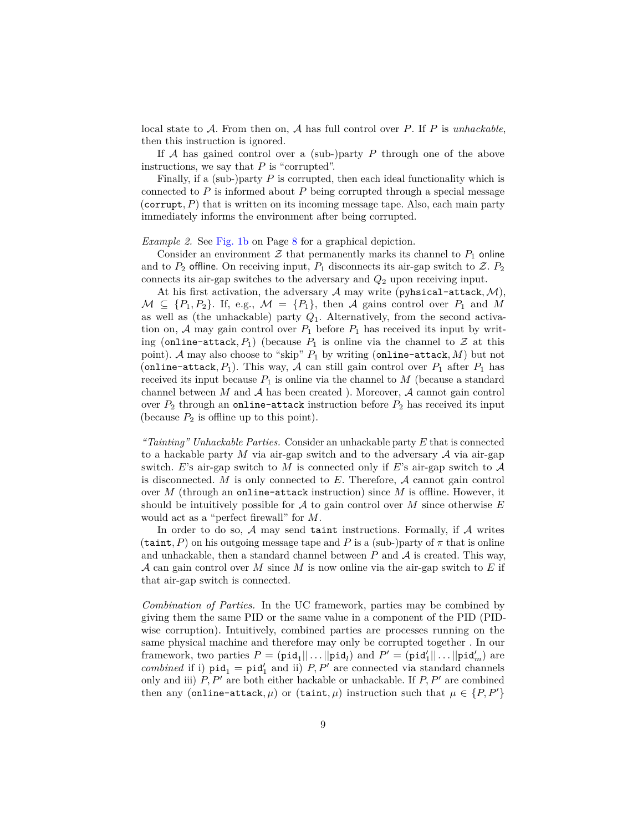local state to A. From then on, A has full control over *P*. If *P* is *unhackable*, then this instruction is ignored.

If A has gained control over a (sub-)party *P* through one of the above instructions, we say that *P* is "corrupted".

Finally, if a (sub-)party *P* is corrupted, then each ideal functionality which is connected to  $P$  is informed about  $P$  being corrupted through a special message (corrupt,  $P$ ) that is written on its incoming message tape. Also, each main party immediately informs the environment after being corrupted.

#### <span id="page-8-0"></span>*Example 2.* See [Fig. 1b](#page-7-0) on Page [8](#page-7-0) for a graphical depiction.

Consider an environment  $\mathcal Z$  that permanently marks its channel to  $P_1$  online and to  $P_2$  offline. On receiving input,  $P_1$  disconnects its air-gap switch to  $Z$ .  $P_2$ connects its air-gap switches to the adversary and *Q*<sup>2</sup> upon receiving input.

At his first activation, the adversary  $A$  may write (pyhsical-attack,  $M$ ),  $M \subseteq \{P_1, P_2\}$ . If, e.g.,  $M = \{P_1\}$ , then A gains control over  $P_1$  and M as well as (the unhackable) party *Q*1. Alternatively, from the second activation on,  $A$  may gain control over  $P_1$  before  $P_1$  has received its input by writing (online-attack,  $P_1$ ) (because  $P_1$  is online via the channel to  $Z$  at this point). A may also choose to "skip" *P*<sup>1</sup> by writing (online-attack*, M*) but not (online-attack,  $P_1$ ). This way, A can still gain control over  $P_1$  after  $P_1$  has received its input because  $P_1$  is online via the channel to  $M$  (because a standard channel between  $M$  and  $A$  has been created ). Moreover,  $A$  cannot gain control over  $P_2$  through an online-attack instruction before  $P_2$  has received its input (because  $P_2$  is offline up to this point).

*"Tainting" Unhackable Parties.* Consider an unhackable party *E* that is connected to a hackable party *M* via air-gap switch and to the adversary A via air-gap switch.  $E$ 's air-gap switch to  $M$  is connected only if  $E$ 's air-gap switch to  $\mathcal A$ is disconnected. *M* is only connected to *E*. Therefore, A cannot gain control over *M* (through an online-attack instruction) since *M* is offline. However, it should be intuitively possible for A to gain control over *M* since otherwise *E* would act as a "perfect firewall" for *M*.

In order to do so,  $A$  may send taint instructions. Formally, if  $A$  writes  $(\text{taint}, P)$  on his outgoing message tape and *P* is a (sub-)party of  $\pi$  that is online and unhackable, then a standard channel between  $P$  and  $\mathcal A$  is created. This way, A can gain control over *M* since *M* is now online via the air-gap switch to *E* if that air-gap switch is connected.

*Combination of Parties.* In the UC framework, parties may be combined by giving them the same PID or the same value in a component of the PID (PIDwise corruption). Intuitively, combined parties are processes running on the same physical machine and therefore may only be corrupted together . In our framework, two parties  $P = (\text{pid}_1 || \dots || \text{pid}_l)$  and  $P' = (\text{pid}'_1 || \dots || \text{pid}'_m)$  are *combined* if i)  $\text{pid}_1 = \text{pid}'_1$  and ii) *P, P'* are connected via standard channels only and iii)  $P, P'$  are both either hackable or unhackable. If  $P, P'$  are combined then any (online-attack,  $\mu$ ) or (taint,  $\mu$ ) instruction such that  $\mu \in \{P, P'\}$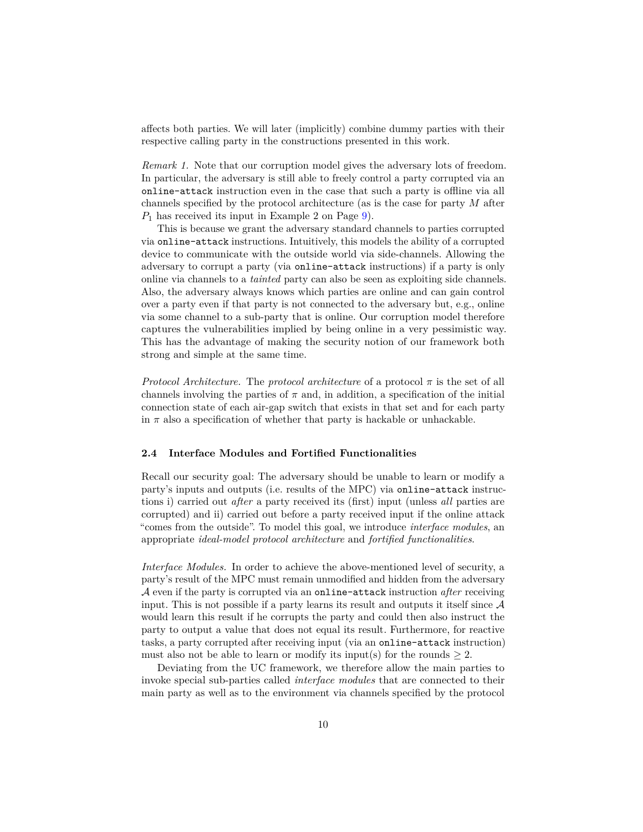affects both parties. We will later (implicitly) combine dummy parties with their respective calling party in the constructions presented in this work.

*Remark 1.* Note that our corruption model gives the adversary lots of freedom. In particular, the adversary is still able to freely control a party corrupted via an online-attack instruction even in the case that such a party is offline via all channels specified by the protocol architecture (as is the case for party *M* after *P*<sup>1</sup> has received its input in Example 2 on Page [9\)](#page-8-0).

This is because we grant the adversary standard channels to parties corrupted via online-attack instructions. Intuitively, this models the ability of a corrupted device to communicate with the outside world via side-channels. Allowing the adversary to corrupt a party (via online-attack instructions) if a party is only online via channels to a *tainted* party can also be seen as exploiting side channels. Also, the adversary always knows which parties are online and can gain control over a party even if that party is not connected to the adversary but, e.g., online via some channel to a sub-party that is online. Our corruption model therefore captures the vulnerabilities implied by being online in a very pessimistic way. This has the advantage of making the security notion of our framework both strong and simple at the same time.

*Protocol Architecture.* The *protocol architecture* of a protocol  $\pi$  is the set of all channels involving the parties of  $\pi$  and, in addition, a specification of the initial connection state of each air-gap switch that exists in that set and for each party in  $\pi$  also a specification of whether that party is hackable or unhackable.

#### <span id="page-9-0"></span>**2.4 Interface Modules and Fortified Functionalities**

Recall our security goal: The adversary should be unable to learn or modify a party's inputs and outputs (i.e. results of the MPC) via online-attack instructions i) carried out *after* a party received its (first) input (unless *all* parties are corrupted) and ii) carried out before a party received input if the online attack "comes from the outside". To model this goal, we introduce *interface modules*, an appropriate *ideal-model protocol architecture* and *fortified functionalities*.

*Interface Modules.* In order to achieve the above-mentioned level of security, a party's result of the MPC must remain unmodified and hidden from the adversary A even if the party is corrupted via an online-attack instruction *after* receiving input. This is not possible if a party learns its result and outputs it itself since  $A$ would learn this result if he corrupts the party and could then also instruct the party to output a value that does not equal its result. Furthermore, for reactive tasks, a party corrupted after receiving input (via an online-attack instruction) must also not be able to learn or modify its input(s) for the rounds  $\geq 2$ .

Deviating from the UC framework, we therefore allow the main parties to invoke special sub-parties called *interface modules* that are connected to their main party as well as to the environment via channels specified by the protocol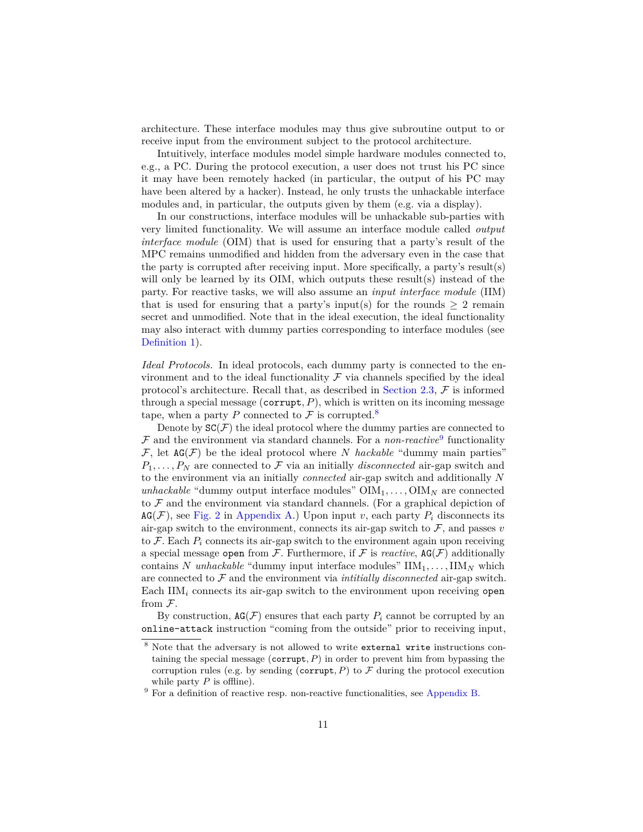architecture. These interface modules may thus give subroutine output to or receive input from the environment subject to the protocol architecture.

Intuitively, interface modules model simple hardware modules connected to, e.g., a PC. During the protocol execution, a user does not trust his PC since it may have been remotely hacked (in particular, the output of his PC may have been altered by a hacker). Instead, he only trusts the unhackable interface modules and, in particular, the outputs given by them (e.g. via a display).

In our constructions, interface modules will be unhackable sub-parties with very limited functionality. We will assume an interface module called *output interface module* (OIM) that is used for ensuring that a party's result of the MPC remains unmodified and hidden from the adversary even in the case that the party is corrupted after receiving input. More specifically, a party's result(s) will only be learned by its OIM, which outputs these result(s) instead of the party. For reactive tasks, we will also assume an *input interface module* (IIM) that is used for ensuring that a party's input(s) for the rounds  $\geq 2$  remain secret and unmodified. Note that in the ideal execution, the ideal functionality may also interact with dummy parties corresponding to interface modules (see [Definition 1\)](#page-11-0).

<span id="page-10-2"></span>*Ideal Protocols.* In ideal protocols, each dummy party is connected to the environment and to the ideal functionality  $\mathcal F$  via channels specified by the ideal protocol's architecture. Recall that, as described in [Section 2.3,](#page-6-0)  $\mathcal F$  is informed through a special message (corrupt*, P*), which is written on its incoming message tape, when a party P connected to  $\mathcal F$  is corrupted.<sup>[8](#page-10-0)</sup>

Denote by  $SC(\mathcal{F})$  the ideal protocol where the dummy parties are connected to  $F$  and the environment via standard channels. For a *non-reactive*<sup>[9](#page-10-1)</sup> functionality  $\mathcal{F}$ , let  $AG(\mathcal{F})$  be the ideal protocol where *N hackable* "dummy main parties"  $P_1, \ldots, P_N$  are connected to F via an initially *disconnected* air-gap switch and to the environment via an initially *connected* air-gap switch and additionally *N unhackable* "dummy output interface modules"  $\text{OIM}_1, \ldots, \text{OIM}_N$  are connected to  $\mathcal F$  and the environment via standard channels. (For a graphical depiction of  $AG(\mathcal{F})$ , see [Fig. 2](#page-11-1) in [Appendix A.](#page-44-0)) Upon input *v*, each party  $P_i$  disconnects its air-gap switch to the environment, connects its air-gap switch to  $\mathcal{F}$ , and passes  $v$ to  $\mathcal{F}$ . Each  $P_i$  connects its air-gap switch to the environment again upon receiving a special message open from  $\mathcal F$ . Furthermore, if  $\mathcal F$  is *reactive*,  $AG(\mathcal F)$  additionally contains *N unhackable* "dummy input interface modules"  $\text{IIM}_1, \ldots, \text{IIM}_N$  which are connected to F and the environment via *intitially disconnected* air-gap switch. Each IIM*<sup>i</sup>* connects its air-gap switch to the environment upon receiving open from F.

By construction,  $AG(\mathcal{F})$  ensures that each party  $P_i$  cannot be corrupted by an online-attack instruction "coming from the outside" prior to receiving input,

<span id="page-10-0"></span><sup>&</sup>lt;sup>8</sup> Note that the adversary is not allowed to write external write instructions containing the special message (corrupt*, P*) in order to prevent him from bypassing the corruption rules (e.g. by sending (corrupt,  $P$ ) to  $\mathcal F$  during the protocol execution while party *P* is offline).

<span id="page-10-1"></span><sup>9</sup> For a definition of reactive resp. non-reactive functionalities, see [Appendix B.](#page-44-1)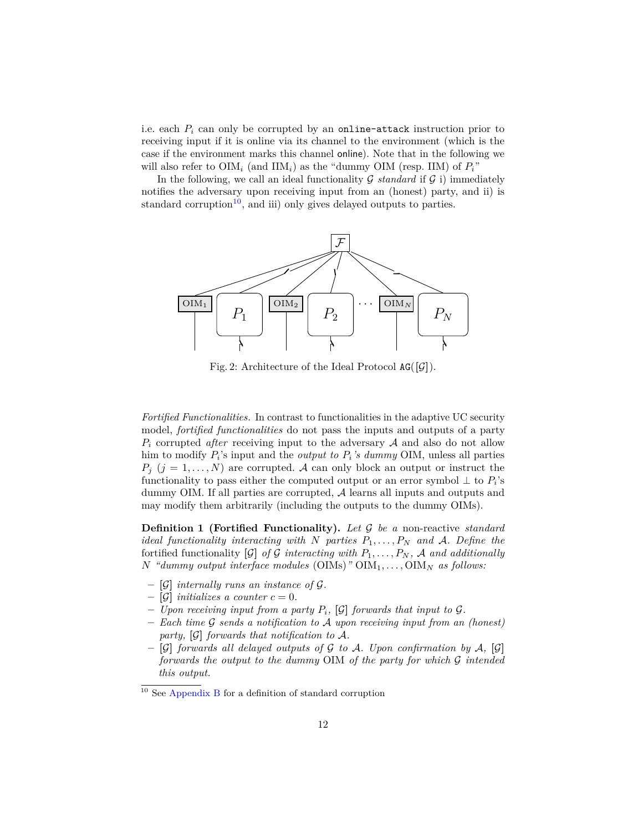i.e. each *P<sup>i</sup>* can only be corrupted by an online-attack instruction prior to receiving input if it is online via its channel to the environment (which is the case if the environment marks this channel online). Note that in the following we will also refer to  $\text{OIM}_i$  (and  $\text{IIM}_i$ ) as the "dummy  $\text{OIM}$  (resp. IIM) of  $P_i$ "

In the following, we call an ideal functionality  $G$  *standard* if  $G$  i) immediately notifies the adversary upon receiving input from an (honest) party, and ii) is standard corruption<sup>[10](#page-11-2)</sup>, and iii) only gives delayed outputs to parties.

<span id="page-11-1"></span>

Fig. 2: Architecture of the Ideal Protocol  $AG([G])$ .

*Fortified Functionalities.* In contrast to functionalities in the adaptive UC security model, *fortified functionalities* do not pass the inputs and outputs of a party  $P_i$  corrupted *after* receiving input to the adversary  $A$  and also do not allow him to modify *P<sup>i</sup>* 's input and the *output to Pi's dummy* OIM, unless all parties  $P_j$  ( $j = 1, ..., N$ ) are corrupted. A can only block an output or instruct the functionality to pass either the computed output or an error symbol  $\perp$  to  $P_i$ 's dummy OIM. If all parties are corrupted, A learns all inputs and outputs and may modify them arbitrarily (including the outputs to the dummy OIMs).

<span id="page-11-0"></span>**Definition 1 (Fortified Functionality).** *Let* G *be a* non-reactive *standard ideal functionality interacting with N parties*  $P_1, \ldots, P_N$  *and A*. Define the fortified functionality  $[\mathcal{G}]$  of  $\mathcal{G}$  interacting with  $P_1, \ldots, P_N$ ,  $\mathcal{A}$  and additionally  $N$  *"dummy output interface modules* (OIMs)"  $\text{OM}_1, \ldots, \text{OM}_N$  *as follows:* 

- **– [**G**]** *internally runs an instance of* G*.*
- $-$  [G] *initializes a counter*  $c = 0$ *.*
- $\sim$  *Upon receiving input from a party*  $P_i$ , [G] *forwards that input to G.*
- **–** *Each time* G *sends a notification to* A *upon receiving input from an (honest) party,* **[**G**]** *forwards that notification to* A*.*
- **– [**G**]** *forwards all delayed outputs of* G *to* A*. Upon confirmation by* A*,* **[**G**]** *forwards the output to the dummy* OIM *of the party for which* G *intended this output.*

<span id="page-11-2"></span><sup>10</sup> See [Appendix B](#page-44-1) for a definition of standard corruption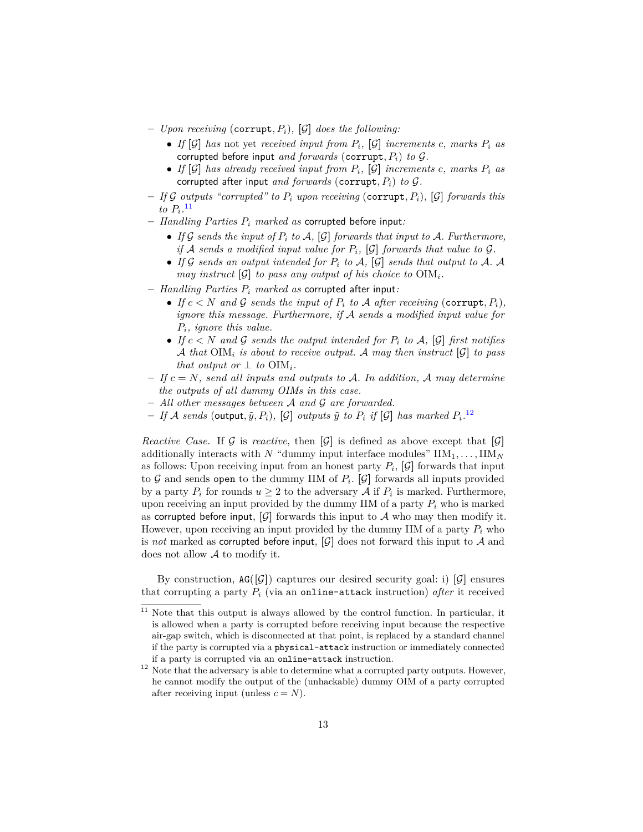- **–** *Upon receiving* (corrupt*, Pi*)*,* **[**G**]** *does the following:*
	- *If*  $[G]$  *has* not yet *received input from*  $P_i$ ,  $[G]$  *increments*  $c$ *, marks*  $P_i$  *as* corrupted before input *and forwards* (corrupt*, Pi*) *to* G*.*
	- If  $[\mathcal{G}]$  has already received input from  $P_i$ ,  $[\mathcal{G}]$  increments c, marks  $P_i$  as corrupted after input *and forwards* (corrupt*, Pi*) *to* G*.*
- **–** *If* G *outputs "corrupted" to P<sup>i</sup> upon receiving* (corrupt*, Pi*)*,* **[**G**]** *forwards this*  $to P_i$ <sup>[11](#page-12-0)</sup>
- **–** *Handling Parties P<sup>i</sup> marked as* corrupted before input*:*
	- If  $G$  *sends the input of*  $P_i$  *to*  $A$ ,  $[G]$  *forwards that input to*  $A$ *. Furthermore, if*  $A$  *sends a modified input value for*  $P_i$ ,  $[G]$  *forwards that value to*  $G$ *.*
	- If  $G$  sends an output intended for  $P_i$  to  $A$ ,  $[G]$  sends that output to  $A$ . A *may instruct*  $[\mathcal{G}]$  *to pass any output of his choice to*  $\text{OM}_i$ *.*
- **–** *Handling Parties P<sup>i</sup> marked as* corrupted after input*:*
	- If  $c < N$  and G sends the input of  $P_i$  to A after receiving (corrupt,  $P_i$ ), *ignore this message. Furthermore, if* A *sends a modified input value for Pi, ignore this value.*
	- If  $c < N$  and  $\mathcal G$  sends the output intended for  $P_i$  to  $\mathcal A$ ,  $[\mathcal G]$  first notifies A that  $\text{OIM}_i$  is about to receive output. A may then instruct  $[\mathcal{G}]$  to pass *that output or*  $\perp$  *to*  $\text{OM}_i$ *.*
- **–** *If c* = *N, send all inputs and outputs to* A*. In addition,* A *may determine the outputs of all dummy OIMs in this case.*
- **–** *All other messages between* A *and* G *are forwarded.*
- If A sends (output,  $\tilde{y}$ ,  $P_i$ ), [G] outputs  $\tilde{y}$  to  $P_i$  if [G] has marked  $P_i$ .<sup>[12](#page-12-1)</sup>

*Reactive Case.* If G is *reactive*, then  $[G]$  is defined as above except that  $[G]$ additionally interacts with *N* "dummy input interface modules"  $\text{IIM}_1, \ldots, \text{IIM}_N$ as follows: Upon receiving input from an honest party  $P_i$ ,  $[\mathcal{G}]$  forwards that input to  $G$  and sends open to the dummy IIM of  $P_i$ . [ $G$ ] forwards all inputs provided by a party  $P_i$  for rounds  $u \geq 2$  to the adversary  $\mathcal A$  if  $P_i$  is marked. Furthermore, upon receiving an input provided by the dummy IIM of a party  $P_i$  who is marked as corrupted before input,  $[\mathcal{G}]$  forwards this input to  $\mathcal A$  who may then modify it. However, upon receiving an input provided by the dummy IIM of a party *P<sup>i</sup>* who is *not* marked as corrupted before input,  $[\mathcal{G}]$  does not forward this input to A and does not allow A to modify it.

By construction,  $AG([G])$  captures our desired security goal: i)  $[G]$  ensures that corrupting a party *P<sup>i</sup>* (via an online-attack instruction) *after* it received

<span id="page-12-0"></span> $11$  Note that this output is always allowed by the control function. In particular, it is allowed when a party is corrupted before receiving input because the respective air-gap switch, which is disconnected at that point, is replaced by a standard channel if the party is corrupted via a physical-attack instruction or immediately connected if a party is corrupted via an online-attack instruction.

<span id="page-12-1"></span> $12$  Note that the adversary is able to determine what a corrupted party outputs. However, he cannot modify the output of the (unhackable) dummy OIM of a party corrupted after receiving input (unless  $c = N$ ).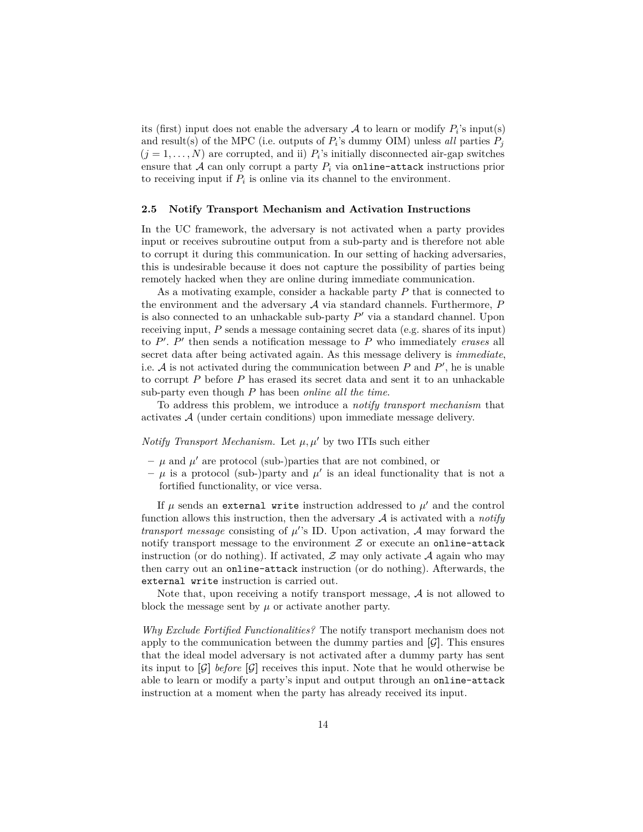its (first) input does not enable the adversary  $A$  to learn or modify  $P_i$ 's input(s) and result(s) of the MPC (i.e. outputs of  $P_i$ 's dummy OIM) unless *all* parties  $P_j$  $(j = 1, \ldots, N)$  are corrupted, and ii)  $P_i$ 's initially disconnected air-gap switches ensure that  $A$  can only corrupt a party  $P_i$  via online-attack instructions prior to receiving input if  $P_i$  is online via its channel to the environment.

#### <span id="page-13-0"></span>**2.5 Notify Transport Mechanism and Activation Instructions**

In the UC framework, the adversary is not activated when a party provides input or receives subroutine output from a sub-party and is therefore not able to corrupt it during this communication. In our setting of hacking adversaries, this is undesirable because it does not capture the possibility of parties being remotely hacked when they are online during immediate communication.

As a motivating example, consider a hackable party *P* that is connected to the environment and the adversary A via standard channels. Furthermore, *P* is also connected to an unhackable sub-party  $P'$  via a standard channel. Upon receiving input, *P* sends a message containing secret data (e.g. shares of its input) to  $P'$ .  $P'$  then sends a notification message to  $P$  who immediately *erases* all secret data after being activated again. As this message delivery is *immediate*, i.e.  $A$  is not activated during the communication between  $P$  and  $P'$ , he is unable to corrupt *P* before *P* has erased its secret data and sent it to an unhackable sub-party even though *P* has been *online all the time*.

To address this problem, we introduce a *notify transport mechanism* that activates A (under certain conditions) upon immediate message delivery.

*Notify Transport Mechanism.* Let  $\mu, \mu'$  by two ITIs such either

- $-\mu$  and  $\mu'$  are protocol (sub-)parties that are not combined, or
- $-\mu$  is a protocol (sub-)party and  $\mu'$  is an ideal functionality that is not a fortified functionality, or vice versa.

If  $\mu$  sends an external write instruction addressed to  $\mu'$  and the control function allows this instruction, then the adversary A is activated with a *notify transport message* consisting of  $\mu$ 's ID. Upon activation, A may forward the notify transport message to the environment  $Z$  or execute an online-attack instruction (or do nothing). If activated,  $\mathcal Z$  may only activate  $\mathcal A$  again who may then carry out an online-attack instruction (or do nothing). Afterwards, the external write instruction is carried out.

Note that, upon receiving a notify transport message,  $A$  is not allowed to block the message sent by  $\mu$  or activate another party.

*Why Exclude Fortified Functionalities?* The notify transport mechanism does not apply to the communication between the dummy parties and  $[\mathcal{G}]$ . This ensures that the ideal model adversary is not activated after a dummy party has sent its input to  $\lbrack \mathcal{G} \rbrack$  *before*  $\lbrack \mathcal{G} \rbrack$  receives this input. Note that he would otherwise be able to learn or modify a party's input and output through an online-attack instruction at a moment when the party has already received its input.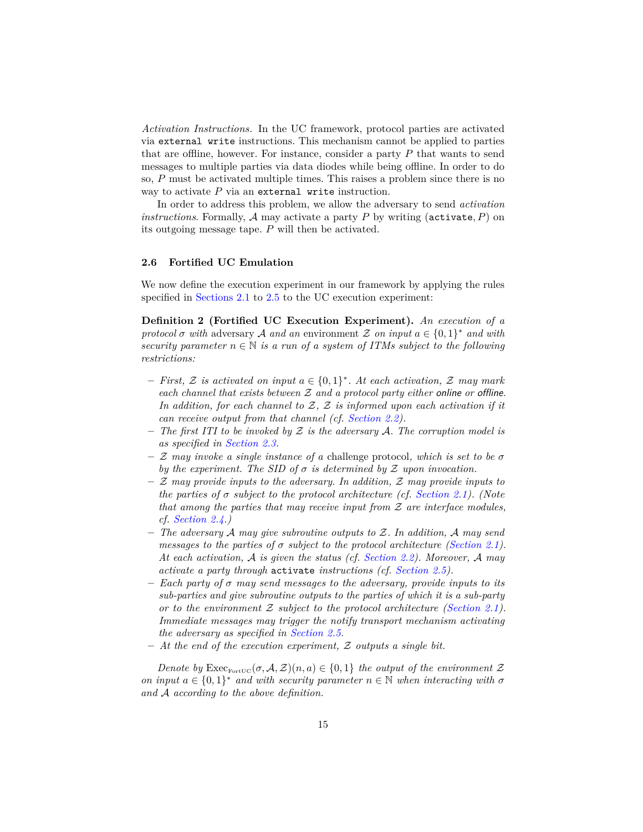*Activation Instructions.* In the UC framework, protocol parties are activated via external write instructions. This mechanism cannot be applied to parties that are offline, however. For instance, consider a party *P* that wants to send messages to multiple parties via data diodes while being offline. In order to do so, *P* must be activated multiple times. This raises a problem since there is no way to activate *P* via an external write instruction.

In order to address this problem, we allow the adversary to send *activation instructions*. Formally, A may activate a party *P* by writing (activate*, P*) on its outgoing message tape. *P* will then be activated.

#### **2.6 Fortified UC Emulation**

We now define the execution experiment in our framework by applying the rules specified in [Sections 2.1](#page-3-0) to [2.5](#page-13-0) to the UC execution experiment:

<span id="page-14-0"></span>**Definition 2 (Fortified UC Execution Experiment).** *An execution of a protocol*  $\sigma$  *with* adversary A *and an* environment Z *on input*  $a \in \{0,1\}^*$  *and with security parameter*  $n \in \mathbb{N}$  *is a run of a system of ITMs subject to the following restrictions:*

- **–** *First,* Z *is activated on input a* ∈ {0*,* 1} ∗ *. At each activation,* Z *may mark each channel that exists between* Z *and a protocol party either* online *or* offline*. In addition, for each channel to* Z*,* Z *is informed upon each activation if it can receive output from that channel (cf. [Section 2.2\)](#page-5-1).*
- **–** *The first ITI to be invoked by* Z *is the adversary* A*. The corruption model is as specified in [Section 2.3.](#page-6-0)*
- **–** Z *may invoke a single instance of a* challenge protocol*, which is set to be σ by the experiment. The SID of*  $\sigma$  *is determined by*  $\mathcal Z$  *upon invocation.*
- **–** Z *may provide inputs to the adversary. In addition,* Z *may provide inputs to the parties of σ subject to the protocol architecture (cf. [Section 2.1\)](#page-3-0). (Note that among the parties that may receive input from* Z *are interface modules, cf. [Section 2.4.](#page-9-0))*
- **–** *The adversary* A *may give subroutine outputs to* Z*. In addition,* A *may send messages to the parties of σ subject to the protocol architecture [\(Section 2.1\)](#page-3-0). At each activation,* A *is given the status (cf. [Section 2.2\)](#page-5-1). Moreover,* A *may activate a party through* activate *instructions (cf. [Section 2.5\)](#page-13-0).*
- **–** *Each party of σ may send messages to the adversary, provide inputs to its sub-parties and give subroutine outputs to the parties of which it is a sub-party or to the environment* Z *subject to the protocol architecture [\(Section 2.1\)](#page-3-0). Immediate messages may trigger the notify transport mechanism activating the adversary as specified in [Section 2.5.](#page-13-0)*
- **–** *At the end of the execution experiment,* Z *outputs a single bit.*

*Denote by*  $\text{Exec}_{\text{FortUC}}(\sigma, \mathcal{A}, \mathcal{Z})(n, a) \in \{0, 1\}$  the output of the environment  $\mathcal Z$ *on input*  $a \in \{0,1\}^*$  *and with security parameter*  $n \in \mathbb{N}$  *when interacting with*  $\sigma$ *and* A *according to the above definition.*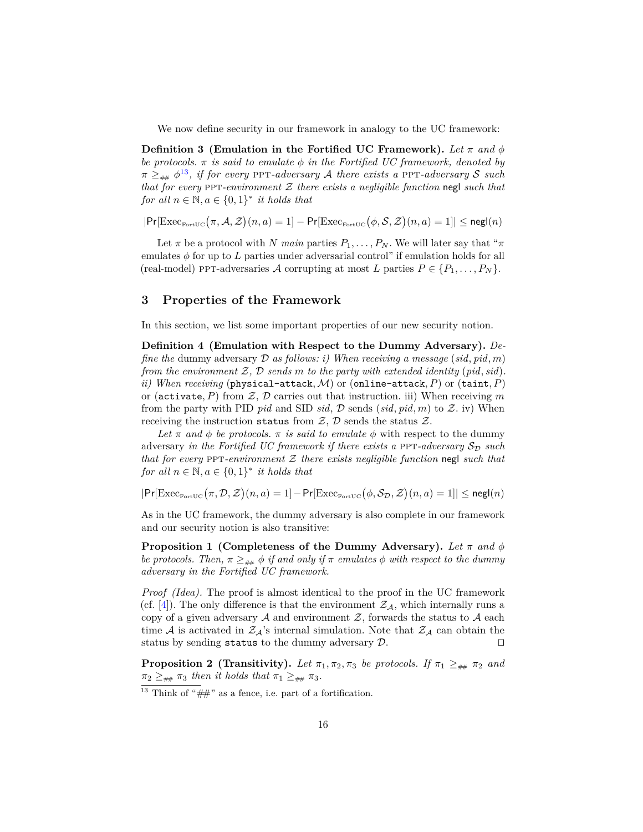We now define security in our framework in analogy to the UC framework:

**Definition 3** (Emulation in the Fortified UC Framework). Let  $\pi$  and  $\phi$ *be protocols.*  $\pi$  *is said to emulate*  $\phi$  *in the Fortified UC framework, denoted by*  $π$   $\geq$ <sub> $##$ </sub>  $φ$ <sup>[13](#page-15-1)</sup>, *if for every* PPT*-adversary A there exists a* PPT*-adversary S such that for every* ppt*-environment* Z *there exists a negligible function* negl *such that for all*  $n \in \mathbb{N}, a \in \{0, 1\}^*$  *it holds that* 

 $|\Pr[\text{Exec}_{\text{FortUC}}(\pi, A, \mathcal{Z})(n, a) = 1] - \Pr[\text{Exec}_{\text{FortUC}}(\phi, \mathcal{S}, \mathcal{Z})(n, a) = 1]| \leq \mathsf{negl}(n)$ 

Let  $\pi$  be a protocol with *N* main parties  $P_1, \ldots, P_N$ . We will later say that " $\pi$ " emulates  $\phi$  for up to *L* parties under adversarial control" if emulation holds for all  $(\text{real-model})$  ppt-adversaries A corrupting at most L parties  $P \in \{P_1, \ldots, P_N\}.$ 

## <span id="page-15-0"></span>**3 Properties of the Framework**

In this section, we list some important properties of our new security notion.

**Definition 4 (Emulation with Respect to the Dummy Adversary).** *Define the* dummy adversary D *as follows: i) When receiving a message* (*sid, pid, m*) *from the environment* Z*,* D *sends m to the party with extended identity* (*pid, sid*)*. ii)* When receiving (physical-attack, M) or (online-attack, P) or (taint, P) or (activate, P) from  $\mathcal{Z}, \mathcal{D}$  carries out that instruction. iii) When receiving m from the party with PID *pid* and SID *sid*,  $D$  sends  $(sid, pid, m)$  to  $Z$ . iv) When receiving the instruction status from  $\mathcal{Z}, \mathcal{D}$  sends the status  $\mathcal{Z}.$ 

Let  $\pi$  and  $\phi$  be protocols.  $\pi$  *is said to emulate*  $\phi$  with respect to the dummy adversary *in the Fortified UC framework if there exists a* PPT-*adversary*  $S_{\mathcal{D}}$  *such that for every* ppt*-environment* Z *there exists negligible function* negl *such that for all*  $n \in \mathbb{N}, a \in \{0, 1\}^*$  *it holds that* 

 $|\mathsf{Pr}[\text{Exec}_{\text{FortUC}}(\pi, \mathcal{D}, \mathcal{Z})(n, a) = 1] - \mathsf{Pr}[\text{Exec}_{\text{FortUC}}(\phi, \mathcal{S}_{\mathcal{D}}, \mathcal{Z})(n, a) = 1]| \leq \mathsf{negl}(n)$ 

<span id="page-15-3"></span>As in the UC framework, the dummy adversary is also complete in our framework and our security notion is also transitive:

**Proposition 1 (Completeness of the Dummy Adversary).** Let  $\pi$  and  $\phi$ *be protocols. Then,*  $\pi \geq_{\# \#} \phi$  *if and only if*  $\pi$  *emulates*  $\phi$  *with respect to the dummy adversary in the Fortified UC framework.*

*Proof (Idea).* The proof is almost identical to the proof in the UC framework (cf. [\[4\]](#page-42-1)). The only difference is that the environment  $\mathcal{Z}_{\mathcal{A}}$ , which internally runs a copy of a given adversary  $A$  and environment  $Z$ , forwards the status to  $A$  each time A is activated in  $\mathcal{Z}_A$ 's internal simulation. Note that  $\mathcal{Z}_A$  can obtain the status by sending status to the dummy adversary  $\mathcal{D}$ .

<span id="page-15-2"></span>**Proposition 2** (Transitivity). Let  $\pi_1, \pi_2, \pi_3$  be protocols. If  $\pi_1 \geq_{\text{max}} \pi_2$  and  $\pi_2 \geq_{\text{max}} \pi_3$  *then it holds that*  $\pi_1 \geq_{\text{max}} \pi_3$ *.* 

<span id="page-15-1"></span><sup>&</sup>lt;sup>13</sup> Think of " $#$ " as a fence, i.e. part of a fortification.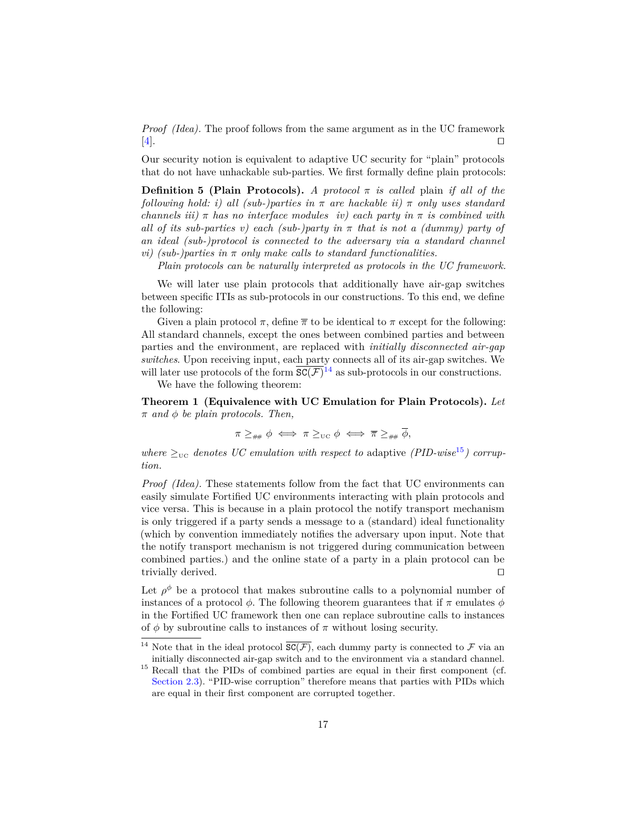*Proof (Idea).* The proof follows from the same argument as in the UC framework  $[4].$  $[4].$ 

Our security notion is equivalent to adaptive UC security for "plain" protocols that do not have unhackable sub-parties. We first formally define plain protocols:

**Definition 5 (Plain Protocols).** *A protocol*  $\pi$  *is called* plain *if all of the following hold: i) all (sub-)parties in π are hackable ii) π only uses standard channels iii*)  $\pi$  *has no interface modules iv) each party in*  $\pi$  *is combined with all of its sub-parties v) each (sub-)party in π that is not a (dummy) party of an ideal (sub-)protocol is connected to the adversary via a standard channel vi)* (sub-)parties in  $\pi$  only make calls to standard functionalities.

*Plain protocols can be naturally interpreted as protocols in the UC framework.*

We will later use plain protocols that additionally have air-gap switches between specific ITIs as sub-protocols in our constructions. To this end, we define the following:

Given a plain protocol  $\pi$ , define  $\overline{\pi}$  to be identical to  $\pi$  except for the following: All standard channels, except the ones between combined parties and between parties and the environment, are replaced with *initially disconnected air-gap switches*. Upon receiving input, each party connects all of its air-gap switches. We will later use protocols of the form  $\overline{SC(F)}^{14}$  $\overline{SC(F)}^{14}$  $\overline{SC(F)}^{14}$  as sub-protocols in our constructions.

We have the following theorem:

**Theorem 1 (Equivalence with UC Emulation for Plain Protocols).** *Let π and φ be plain protocols. Then,*

<span id="page-16-1"></span><span id="page-16-0"></span>
$$
\pi \geq_{\# \#} \phi \iff \pi \geq_{\text{UC}} \phi \iff \overline{\pi} \geq_{\# \#} \phi,
$$

*where*  $\geq_{\text{UC}}$  *denotes UC emulation with respect to* adaptive *(PID-wise*<sup>[15](#page-16-3)</sup>) *corruption.*

*Proof (Idea).* These statements follow from the fact that UC environments can easily simulate Fortified UC environments interacting with plain protocols and vice versa. This is because in a plain protocol the notify transport mechanism is only triggered if a party sends a message to a (standard) ideal functionality (which by convention immediately notifies the adversary upon input. Note that the notify transport mechanism is not triggered during communication between combined parties.) and the online state of a party in a plain protocol can be trivially derived.  $\Box$ 

Let  $\rho^{\phi}$  be a protocol that makes subroutine calls to a polynomial number of instances of a protocol  $\phi$ . The following theorem guarantees that if  $\pi$  emulates  $\phi$ in the Fortified UC framework then one can replace subroutine calls to instances of  $\phi$  by subroutine calls to instances of  $\pi$  without losing security.

<span id="page-16-2"></span><sup>&</sup>lt;sup>14</sup> Note that in the ideal protocol  $\overline{SC(F)}$ , each dummy party is connected to F via an initially disconnected air-gap switch and to the environment via a standard channel.

<span id="page-16-3"></span><sup>&</sup>lt;sup>15</sup> Recall that the PIDs of combined parties are equal in their first component (cf. [Section 2.3\)](#page-6-0). "PID-wise corruption" therefore means that parties with PIDs which are equal in their first component are corrupted together.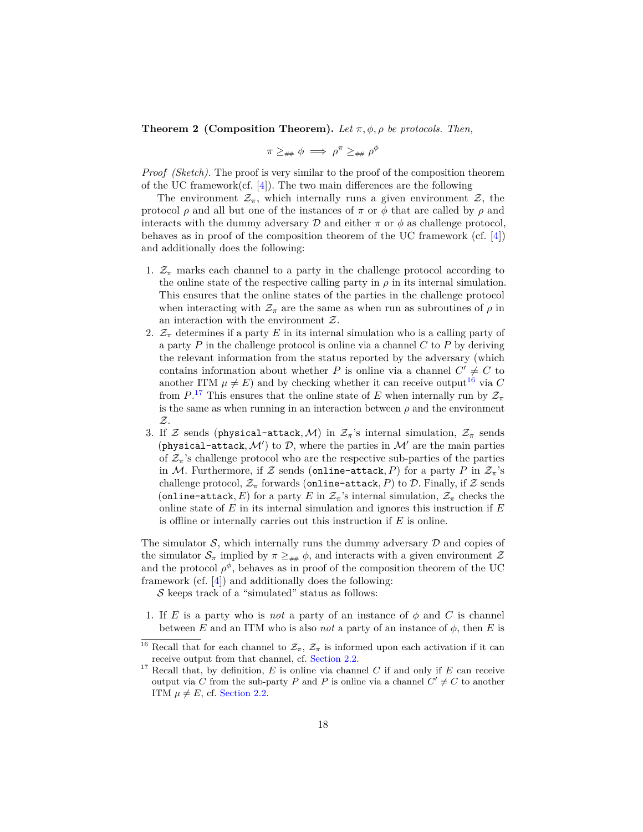**Theorem 2 (Composition Theorem).** *Let*  $\pi$ ,  $\phi$ ,  $\rho$  *be protocols. Then,* 

$$
\pi \geq_{\scriptscriptstyle\# \#} \phi \implies \rho^\pi \geq_{\scriptscriptstyle\# \#} \rho^\phi
$$

*Proof (Sketch).* The proof is very similar to the proof of the composition theorem of the UC framework(cf.  $[4]$ ). The two main differences are the following

The environment  $\mathcal{Z}_{\pi}$ , which internally runs a given environment  $\mathcal{Z}$ , the protocol  $\rho$  and all but one of the instances of  $\pi$  or  $\phi$  that are called by  $\rho$  and interacts with the dummy adversary  $\mathcal D$  and either  $\pi$  or  $\phi$  as challenge protocol, behaves as in proof of the composition theorem of the UC framework (cf. [\[4\]](#page-42-1)) and additionally does the following:

- 1.  $\mathcal{Z}_{\pi}$  marks each channel to a party in the challenge protocol according to the online state of the respective calling party in  $\rho$  in its internal simulation. This ensures that the online states of the parties in the challenge protocol when interacting with  $\mathcal{Z}_{\pi}$  are the same as when run as subroutines of  $\rho$  in an interaction with the environment  $Z$ .
- 2.  $\mathcal{Z}_{\pi}$  determines if a party *E* in its internal simulation who is a calling party of a party *P* in the challenge protocol is online via a channel *C* to *P* by deriving the relevant information from the status reported by the adversary (which contains information about whether *P* is online via a channel  $C' \neq C$  to another ITM  $\mu \neq E$ ) and by checking whether it can receive output<sup>[16](#page-17-0)</sup> via C from  $P^{17}$  $P^{17}$  $P^{17}$  This ensures that the online state of *E* when internally run by  $\mathcal{Z}_{\pi}$ is the same as when running in an interaction between  $\rho$  and the environment Z.
- 3. If Z sends (physical-attack, M) in  $\mathcal{Z}_\pi$ 's internal simulation,  $\mathcal{Z}_\pi$  sends (physical-attack,  $\mathcal{M}'$ ) to  $\mathcal{D}$ , where the parties in  $\mathcal{M}'$  are the main parties of  $\mathcal{Z}_{\pi}$ 's challenge protocol who are the respective sub-parties of the parties in M. Furthermore, if Z sends (online-attack, P) for a party P in  $\mathcal{Z}_{\pi}$ 's challenge protocol,  $\mathcal{Z}_{\pi}$  forwards (online-attack, P) to D. Finally, if Z sends (online-attack, E) for a party E in  $\mathcal{Z}_{\pi}$ 's internal simulation,  $\mathcal{Z}_{\pi}$  checks the online state of *E* in its internal simulation and ignores this instruction if *E* is offline or internally carries out this instruction if *E* is online.

The simulator  $S$ , which internally runs the dummy adversary  $D$  and copies of the simulator  $S_{\pi}$  implied by  $\pi \geq_{\# \#} \phi$ , and interacts with a given environment Z and the protocol  $\rho^{\phi}$ , behaves as in proof of the composition theorem of the UC framework (cf. [\[4\]](#page-42-1)) and additionally does the following:

 $\mathcal S$  keeps track of a "simulated" status as follows:

1. If *E* is a party who is *not* a party of an instance of  $\phi$  and *C* is channel between *E* and an ITM who is also *not* a party of an instance of  $\phi$ , then *E* is

<span id="page-17-0"></span><sup>&</sup>lt;sup>16</sup> Recall that for each channel to  $\mathcal{Z}_{\pi}$ ,  $\mathcal{Z}_{\pi}$  is informed upon each activation if it can receive output from that channel, cf. [Section 2.2.](#page-5-1)

<span id="page-17-1"></span><sup>17</sup> Recall that, by definition, *E* is online via channel *C* if and only if *E* can receive output via *C* from the sub-party *P* and *P* is online via a channel  $C' \neq C$  to another ITM  $\mu \neq E$ , cf. [Section 2.2.](#page-5-1)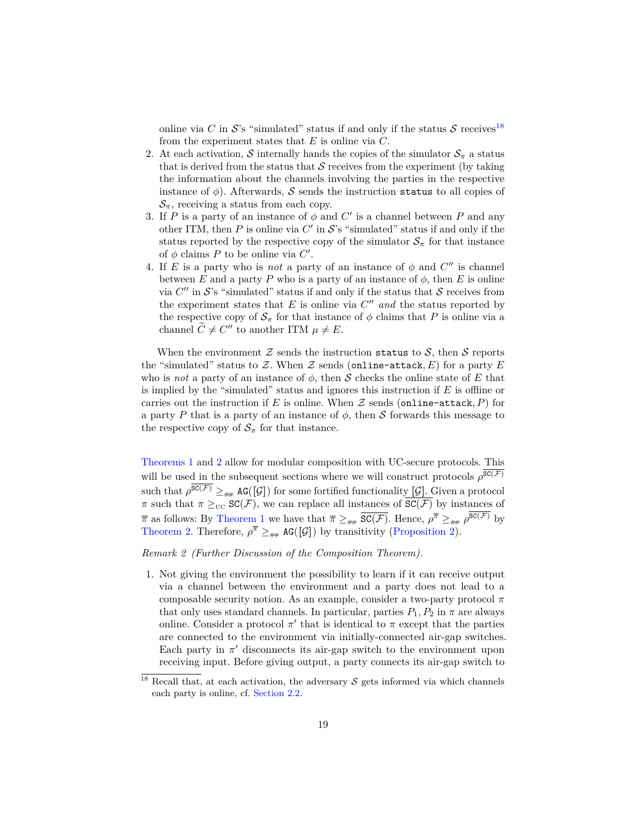online via *C* in  $S$ 's "simulated" status if and only if the status  $S$  receives<sup>[18](#page-18-0)</sup> from the experiment states that *E* is online via *C*.

- 2. At each activation, S internally hands the copies of the simulator  $S_\pi$  a status that is derived from the status that  $S$  receives from the experiment (by taking the information about the channels involving the parties in the respective instance of  $\phi$ ). Afterwards, S sends the instruction status to all copies of  $\mathcal{S}_{\pi}$ , receiving a status from each copy.
- 3. If *P* is a party of an instance of  $\phi$  and  $C'$  is a channel between *P* and any other ITM, then  $P$  is online via  $C'$  in  $S$ 's "simulated" status if and only if the status reported by the respective copy of the simulator  $S_\pi$  for that instance of  $\phi$  claims  $P$  to be online via  $C'$ .
- 4. If *E* is a party who is *not* a party of an instance of  $\phi$  and  $C''$  is channel between *E* and a party *P* who is a party of an instance of  $\phi$ , then *E* is online via  $C''$  in  $S$ 's "simulated" status if and only if the status that  $S$  receives from the experiment states that  $E$  is online via  $C''$  and the status reported by the respective copy of  $S_{\pi}$  for that instance of  $\phi$  claims that *P* is online via a channel  $\widetilde{C} \neq C''$  to another ITM  $\mu \neq E$ .

When the environment  $\mathcal Z$  sends the instruction status to  $\mathcal S$ , then  $\mathcal S$  reports the "simulated" status to Z. When Z sends (online-attack,  $E$ ) for a party  $E$ who is *not* a party of an instance of  $\phi$ , then S checks the online state of E that is implied by the "simulated" status and ignores this instruction if *E* is offline or carries out the instruction if E is online. When  $\mathcal Z$  sends (online-attack, P) for a party *P* that is a party of an instance of  $\phi$ , then S forwards this message to the respective copy of  $S_\pi$  for that instance.

[Theorems 1](#page-16-1) and [2](#page-16-0) allow for modular composition with UC-secure protocols. This will be used in the subsequent sections where we will construct protocols  $\rho^{\mathsf{SC}(\mathcal{F})}$ such that  $\rho^{\mathsf{SC}(\mathcal{F})} \geq_{\# \#} \mathsf{AG}([\mathcal{G}])$  for some fortified functionality  $[\mathcal{G}]$ . Given a protocol  $\pi$  such that  $\pi \geq_{\text{UC}} \text{SC}(\mathcal{F})$ , we can replace all instances of  $\overline{\text{SC}(\mathcal{F})}$  by instances of  $\bar{\pi}$  as follows: By [Theorem 1](#page-16-1) we have that  $\bar{\pi} \geq_{\# \#} \overline{SC(F)}$ . Hence,  $\rho^{\bar{\pi}} \geq_{\# \#} \rho^{SC(F)}$  by [Theorem 2.](#page-16-0) Therefore,  $\rho^{\overline{\pi}} \geq_{\# \#}$  AG([G]) by transitivity [\(Proposition 2\)](#page-15-2).

*Remark 2 (Further Discussion of the Composition Theorem).*

1. Not giving the environment the possibility to learn if it can receive output via a channel between the environment and a party does not lead to a composable security notion. As an example, consider a two-party protocol *π* that only uses standard channels. In particular, parties  $P_1, P_2$  in  $\pi$  are always online. Consider a protocol  $\pi'$  that is identical to  $\pi$  except that the parties are connected to the environment via initially-connected air-gap switches. Each party in  $\pi'$  disconnects its air-gap switch to the environment upon receiving input. Before giving output, a party connects its air-gap switch to

<span id="page-18-0"></span><sup>&</sup>lt;sup>18</sup> Recall that, at each activation, the adversary  $S$  gets informed via which channels each party is online, cf. [Section 2.2.](#page-5-1)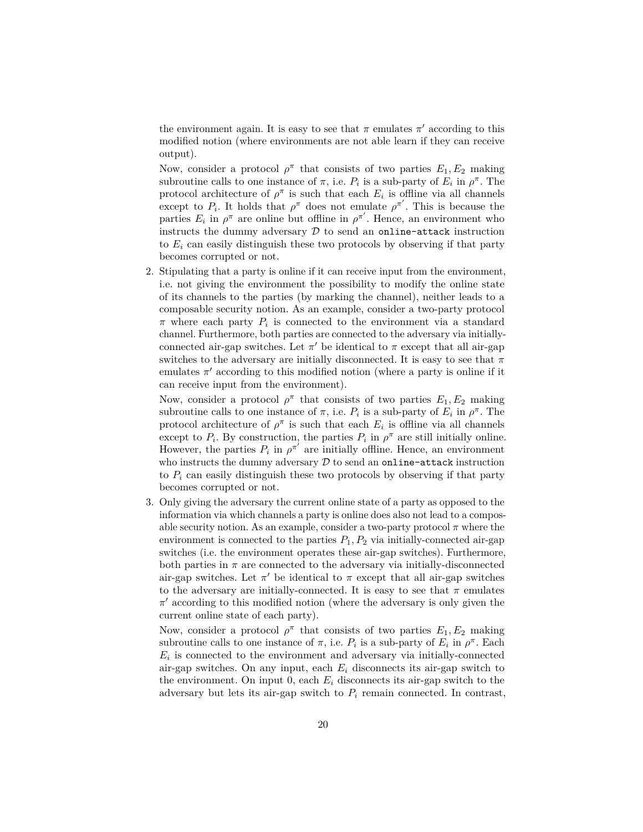the environment again. It is easy to see that  $\pi$  emulates  $\pi'$  according to this modified notion (where environments are not able learn if they can receive output).

Now, consider a protocol  $\rho^{\pi}$  that consists of two parties  $E_1, E_2$  making subroutine calls to one instance of  $\pi$ , i.e.  $P_i$  is a sub-party of  $E_i$  in  $\rho^{\pi}$ . The protocol architecture of  $\rho^{\pi}$  is such that each  $E_i$  is offline via all channels except to  $P_i$ . It holds that  $\rho^{\pi}$  does not emulate  $\rho^{\pi'}$ . This is because the parties  $E_i$  in  $\rho^{\pi}$  are online but offline in  $\rho^{\pi'}$ . Hence, an environment who instructs the dummy adversary  $D$  to send an online-attack instruction to  $E_i$  can easily distinguish these two protocols by observing if that party becomes corrupted or not.

2. Stipulating that a party is online if it can receive input from the environment, i.e. not giving the environment the possibility to modify the online state of its channels to the parties (by marking the channel), neither leads to a composable security notion. As an example, consider a two-party protocol *π* where each party *P<sup>i</sup>* is connected to the environment via a standard channel. Furthermore, both parties are connected to the adversary via initiallyconnected air-gap switches. Let  $\pi'$  be identical to  $\pi$  except that all air-gap switches to the adversary are initially disconnected. It is easy to see that  $\pi$ emulates  $\pi'$  according to this modified notion (where a party is online if it can receive input from the environment).

Now, consider a protocol  $\rho^{\pi}$  that consists of two parties  $E_1, E_2$  making subroutine calls to one instance of  $\pi$ , i.e.  $P_i$  is a sub-party of  $E_i$  in  $\rho^{\pi}$ . The protocol architecture of  $\rho^{\pi}$  is such that each  $E_i$  is offline via all channels except to  $P_i$ . By construction, the parties  $P_i$  in  $\rho^{\pi}$  are still initially online. However, the parties  $P_i$  in  $\rho^{\pi'}$  are initially offline. Hence, an environment who instructs the dummy adversary  $D$  to send an online-attack instruction to  $P_i$  can easily distinguish these two protocols by observing if that party becomes corrupted or not.

3. Only giving the adversary the current online state of a party as opposed to the information via which channels a party is online does also not lead to a composable security notion. As an example, consider a two-party protocol  $\pi$  where the environment is connected to the parties  $P_1, P_2$  via initially-connected air-gap switches (i.e. the environment operates these air-gap switches). Furthermore, both parties in  $\pi$  are connected to the adversary via initially-disconnected air-gap switches. Let  $\pi'$  be identical to  $\pi$  except that all air-gap switches to the adversary are initially-connected. It is easy to see that  $\pi$  emulates *π*<sup>'</sup> according to this modified notion (where the adversary is only given the current online state of each party).

Now, consider a protocol  $\rho^{\pi}$  that consists of two parties  $E_1, E_2$  making subroutine calls to one instance of  $\pi$ , i.e.  $P_i$  is a sub-party of  $E_i$  in  $\rho^{\pi}$ . Each  $E_i$  is connected to the environment and adversary via initially-connected air-gap switches. On any input, each  $E_i$  disconnects its air-gap switch to the environment. On input 0, each  $E_i$  disconnects its air-gap switch to the adversary but lets its air-gap switch to  $P_i$  remain connected. In contrast,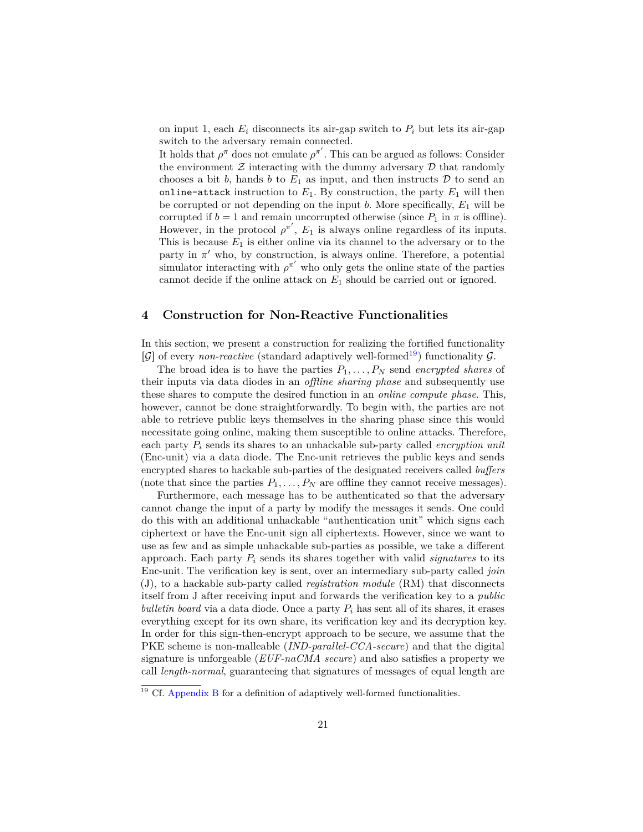on input 1, each  $E_i$  disconnects its air-gap switch to  $P_i$  but lets its air-gap switch to the adversary remain connected.

It holds that  $\rho^{\pi}$  does not emulate  $\rho^{\pi'}$ . This can be argued as follows: Consider the environment  $\mathcal Z$  interacting with the dummy adversary  $\mathcal D$  that randomly chooses a bit  $b$ , hands  $b$  to  $E_1$  as input, and then instructs  $D$  to send an online-attack instruction to  $E_1$ . By construction, the party  $E_1$  will then be corrupted or not depending on the input *b*. More specifically, *E*<sup>1</sup> will be corrupted if  $b = 1$  and remain uncorrupted otherwise (since  $P_1$  in  $\pi$  is offline). However, in the protocol  $\rho^{\pi'}$ ,  $E_1$  is always online regardless of its inputs. This is because  $E_1$  is either online via its channel to the adversary or to the party in  $\pi'$  who, by construction, is always online. Therefore, a potential simulator interacting with  $\rho^{\pi'}$  who only gets the online state of the parties cannot decide if the online attack on *E*<sup>1</sup> should be carried out or ignored.

### <span id="page-20-1"></span>**4 Construction for Non-Reactive Functionalities**

In this section, we present a construction for realizing the fortified functionality  $[\mathcal{G}]$  of every *non-reactive* (standard adaptively well-formed<sup>[19](#page-20-0)</sup>) functionality  $\mathcal{G}$ .

The broad idea is to have the parties *P*1*, . . . , P<sup>N</sup>* send *encrypted shares* of their inputs via data diodes in an *offline sharing phase* and subsequently use these shares to compute the desired function in an *online compute phase*. This, however, cannot be done straightforwardly. To begin with, the parties are not able to retrieve public keys themselves in the sharing phase since this would necessitate going online, making them susceptible to online attacks. Therefore, each party *P<sup>i</sup>* sends its shares to an unhackable sub-party called *encryption unit* (Enc-unit) via a data diode. The Enc-unit retrieves the public keys and sends encrypted shares to hackable sub-parties of the designated receivers called *buffers* (note that since the parties  $P_1, \ldots, P_N$  are offline they cannot receive messages).

Furthermore, each message has to be authenticated so that the adversary cannot change the input of a party by modify the messages it sends. One could do this with an additional unhackable "authentication unit" which signs each ciphertext or have the Enc-unit sign all ciphertexts. However, since we want to use as few and as simple unhackable sub-parties as possible, we take a different approach. Each party *P<sup>i</sup>* sends its shares together with valid *signatures* to its Enc-unit. The verification key is sent, over an intermediary sub-party called *join* (J), to a hackable sub-party called *registration module* (RM) that disconnects itself from J after receiving input and forwards the verification key to a *public bulletin board* via a data diode. Once a party  $P_i$  has sent all of its shares, it erases everything except for its own share, its verification key and its decryption key. In order for this sign-then-encrypt approach to be secure, we assume that the PKE scheme is non-malleable (*IND-parallel-CCA-secure*) and that the digital signature is unforgeable (*EUF-naCMA secure*) and also satisfies a property we call *length-normal*, guaranteeing that signatures of messages of equal length are

<span id="page-20-0"></span> $19$  Cf. [Appendix B](#page-44-1) for a definition of adaptively well-formed functionalities.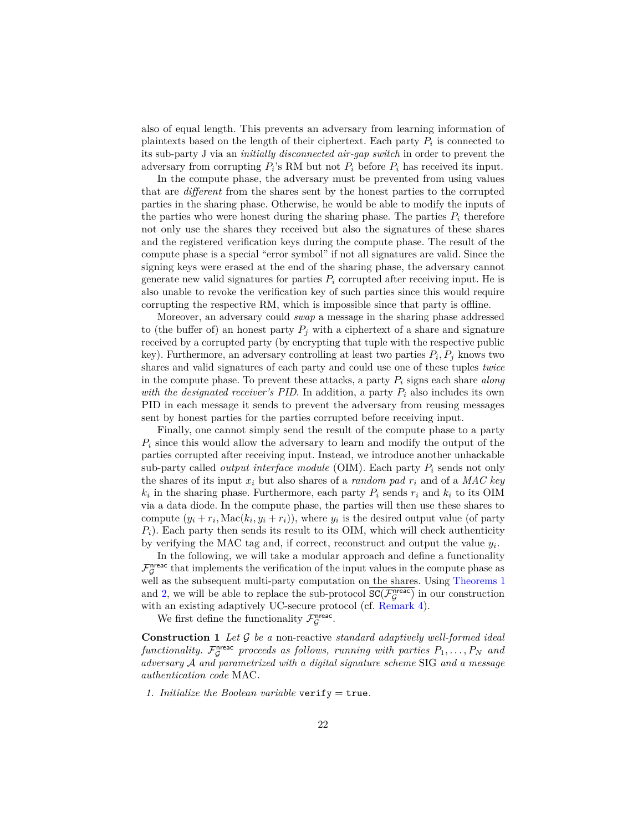also of equal length. This prevents an adversary from learning information of plaintexts based on the length of their ciphertext. Each party *P<sup>i</sup>* is connected to its sub-party J via an *initially disconnected air-gap switch* in order to prevent the adversary from corrupting  $P_i$ 's RM but not  $P_i$  before  $P_i$  has received its input.

In the compute phase, the adversary must be prevented from using values that are *different* from the shares sent by the honest parties to the corrupted parties in the sharing phase. Otherwise, he would be able to modify the inputs of the parties who were honest during the sharing phase. The parties  $P_i$  therefore not only use the shares they received but also the signatures of these shares and the registered verification keys during the compute phase. The result of the compute phase is a special "error symbol" if not all signatures are valid. Since the signing keys were erased at the end of the sharing phase, the adversary cannot generate new valid signatures for parties  $P_i$  corrupted after receiving input. He is also unable to revoke the verification key of such parties since this would require corrupting the respective RM, which is impossible since that party is offline.

Moreover, an adversary could *swap* a message in the sharing phase addressed to (the buffer of) an honest party  $P_j$  with a ciphertext of a share and signature received by a corrupted party (by encrypting that tuple with the respective public key). Furthermore, an adversary controlling at least two parties  $P_i, P_j$  knows two shares and valid signatures of each party and could use one of these tuples *twice* in the compute phase. To prevent these attacks, a party *P<sup>i</sup>* signs each share *along with the designated receiver's PID*. In addition, a party  $P_i$  also includes its own PID in each message it sends to prevent the adversary from reusing messages sent by honest parties for the parties corrupted before receiving input.

Finally, one cannot simply send the result of the compute phase to a party *P<sup>i</sup>* since this would allow the adversary to learn and modify the output of the parties corrupted after receiving input. Instead, we introduce another unhackable sub-party called *output interface module* (OIM). Each party *P<sup>i</sup>* sends not only the shares of its input  $x_i$  but also shares of a *random pad*  $r_i$  and of a *MAC key*  $k_i$  in the sharing phase. Furthermore, each party  $P_i$  sends  $r_i$  and  $k_i$  to its OIM via a data diode. In the compute phase, the parties will then use these shares to compute  $(y_i + r_i, \text{Mac}(k_i, y_i + r_i))$ , where  $y_i$  is the desired output value (of party *Pi*). Each party then sends its result to its OIM, which will check authenticity by verifying the MAC tag and, if correct, reconstruct and output the value *y<sup>i</sup>* .

In the following, we will take a modular approach and define a functionality  $\mathcal{F}_{\mathcal{G}}^{\text{nrec}}$  that implements the verification of the input values in the compute phase as well as the subsequent multi-party computation on the shares. Using [Theorems 1](#page-16-1) and [2,](#page-16-0) we will be able to replace the sub-protocol  $\overline{SC(\mathcal{F}_{\mathcal{G}}^{nreac})}$  in our construction with an existing adaptively UC-secure protocol (cf. [Remark 4\)](#page-34-0).

<span id="page-21-0"></span>We first define the functionality  $\mathcal{F}_{\mathcal{G}}^{\text{nreac}}$ .

**Construction 1** *Let* G *be a* non-reactive *standard adaptively well-formed ideal*  $functionality$ .  $\mathcal{F}_{\mathcal{G}}^{n\text{reac}}$  proceeds as follows, running with parties  $P_1, \ldots, P_N$  and *adversary* A *and parametrized with a digital signature scheme* SIG *and a message authentication code* MAC*.*

*1. Initialize the Boolean variable* verify = true*.*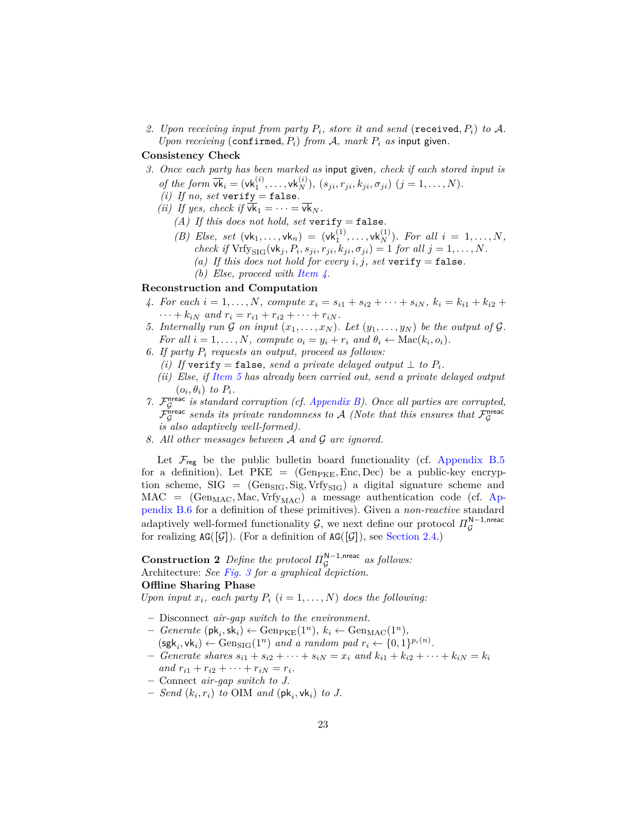2. Upon receiving input from party  $P_i$ , store it and send (received,  $P_i$ ) to A. *Upon receiving* (confirmed,  $P_i$ ) *from*  $A$ *, mark*  $P_i$  *as* input given.

### **Consistency Check**

- *3. Once each party has been marked as* input given*, check if each stored input is of the form*  $\overline{vk_i} = (vk_1^{(i)}, \ldots, vk_N^{(i)}), (s_{ji}, r_{ji}, k_{ji}, \sigma_{ji}) \ (j = 1, \ldots, N).$ 
	- *(i)* If no, set verify = false.
	- *(ii)* If yes, check if  $\overline{vk}_1 = \cdots = \overline{vk}_N$ .
		- *(A) If this does not hold, set* verify = false*.*
		- *(B) Else, set*  $(\mathsf{vk}_1, \ldots, \mathsf{vk}_n) = (\mathsf{vk}_1^{(1)}, \ldots, \mathsf{vk}_N^{(1)})$ *. For all*  $i = 1, \ldots, N$ *, check if*  $Vrfy_{\text{SIG}}(vk_j, P_i, s_{ji}, r_{ji}, k_{ji}, \sigma_{ji}) = 1$  *for all*  $j = 1, ..., N$ *.* 
			- *(a)* If this does not hold for every  $i, j$ , set verify = false.
			- *(b) Else, proceed with [Item 4.](#page-22-0)*

#### **Reconstruction and Computation**

- <span id="page-22-0"></span>4. For each  $i = 1, ..., N$ , compute  $x_i = s_{i1} + s_{i2} + \cdots + s_{iN}$ ,  $k_i = k_{i1} + k_{i2} +$  $\cdots + k_{iN}$  and  $r_i = r_{i1} + r_{i2} + \cdots + r_{iN}$ .
- <span id="page-22-1"></span>*5.* Internally run G on input  $(x_1, \ldots, x_N)$ . Let  $(y_1, \ldots, y_N)$  be the output of G. *For all*  $i = 1, ..., N$ *, compute*  $o_i = y_i + r_i$  *and*  $\theta_i \leftarrow \text{Mac}(k_i, o_i)$ *.*
- *6. If party P<sup>i</sup> requests an output, proceed as follows:*
	- *(i) If* verify = false, send a private delayed output  $\perp$  *to*  $P_i$ *.*
	- *(ii) Else, if [Item 5](#page-22-1) has already been carried out, send a private delayed output*  $(o_i, \theta_i)$  *to*  $P_i$ *.*
- *7.* F nreac G *is standard corruption (cf. [Appendix B\)](#page-44-1). Once all parties are corrupted,*  $\tilde{\mathcal{F}}_{\mathcal{G}}^{\text{prec}}$  sends its private randomness to A (Note that this ensures that  $\mathcal{F}_{\mathcal{G}}^{\text{preac}}$ *is also adaptively well-formed).*
- *8. All other messages between* A *and* G *are ignored.*

Let  $\mathcal{F}_{\text{reg}}$  be the public bulletin board functionality (cf. [Appendix B.5](#page-45-0) for a definition). Let  $PKE = (Gen_{PKE}, Enc, Dec)$  be a public-key encryption scheme,  $SIG = (Geng_{IG}, Sig, Vrf_{YSIG})$  a digital signature scheme and  $MAC = (Gen_{MAC}, Mac, Vrf_{MAC})$  a message authentication code (cf. [Ap](#page-46-0)[pendix B.6](#page-46-0) for a definition of these primitives). Given a *non-reactive* standard adaptively well-formed functionality  $\mathcal{G}$ , we next define our protocol  $\Pi_{\mathcal{G}}^{\mathsf{N}-1,\mathsf{nreac}}$ for realizing  $AG([\mathcal{G}])$ . (For a definition of  $AG([\mathcal{G}])$ , see [Section 2.4.](#page-9-0))

<span id="page-22-2"></span>**Construction 2** Define the protocol  $\Pi_{\mathcal{G}}^{\mathbb{N}-1}$ ,nreac as follows: Architecture: *See [Fig. 3](#page-23-0) for a graphical depiction.* **Offline Sharing Phase**

*Upon input*  $x_i$ *, each party*  $P_i$  ( $i = 1, ..., N$ ) *does the following:* 

- **–** Disconnect *air-gap switch to the environment.*
- $-$  *Generate* ( $\mathsf{pk}_i, \mathsf{sk}_i$ )  $\leftarrow$  Gen<sub>PKE</sub>(1<sup>n</sup>)*,*  $k_i \leftarrow$  Gen<sub>MAC</sub>(1<sup>n</sup>)*,*
- $(\mathsf{sgk}_i, \mathsf{vk}_i) \leftarrow \text{Gen}_{\text{SIG}}(1^n) \text{ and a random pad } r_i \leftarrow \{0, 1\}^{p_i(n)}$ .
- $-$  *Generate shares*  $s_{i1} + s_{i2} + \cdots + s_{iN} = x_i$  and  $k_{i1} + k_{i2} + \cdots + k_{iN} = k_i$  $and r_{i1} + r_{i2} + \cdots + r_{iN} = r_i.$
- **–** Connect *air-gap switch to J.*
- $-$  *Send*  $(k_i, r_i)$  *to* OIM *and*  $(\mathsf{pk}_i, \mathsf{vk}_i)$  *to J.*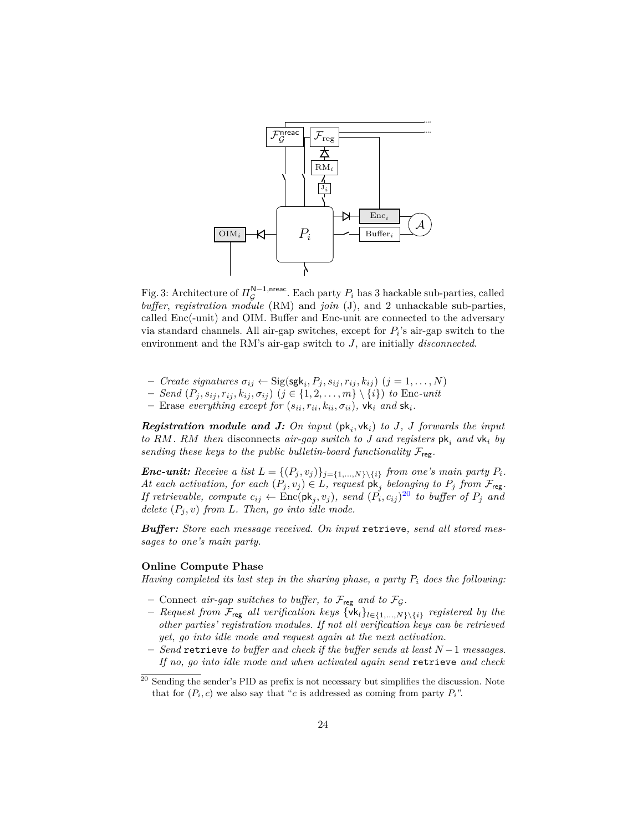<span id="page-23-0"></span>

Fig. 3: Architecture of  $\Pi_{\mathcal{G}}^{\mathsf{N}-1,\text{prec}}$ . Each party  $P_i$  has 3 hackable sub-parties, called *buffer*, *registration module* (RM) and *join* (J), and 2 unhackable sub-parties, called Enc(-unit) and OIM. Buffer and Enc-unit are connected to the adversary via standard channels. All air-gap switches, except for  $P_i$ 's air-gap switch to the environment and the RM's air-gap switch to *J*, are initially *disconnected*.

- $-$  *Create signatures*  $\sigma_{ij} \leftarrow \text{Sig}(\text{sgk}_i, P_j, s_{ij}, r_{ij}, k_{ij})$   $(j = 1, \ldots, N)$
- $P = \text{Send}(P_j, s_{ij}, r_{ij}, k_{ij}, \sigma_{ij}) \ (j \in \{1, 2, \ldots, m\} \setminus \{i\}) \ to \ \text{Enc-unit}$
- $-$  Erase *everything except for*  $(s_{ii}, r_{ii}, k_{ii}, \sigma_{ii})$ ,  $\forall k_i$  *and*  $\forall k_i$ .

*Registration module and J: On input*  $(\mathsf{pk}_i, \mathsf{vk}_i)$  *to J, J forwards the input to RM. RM then* disconnects *air-gap switch to J and registers* pk*<sup>i</sup> and* vk*<sup>i</sup> by sending these keys to the public bulletin-board functionality*  $\mathcal{F}_{\text{reg}}$ .

*<i>Enc-unit:* Receive a list  $L = \{(P_j, v_j)\}_{j=\{1,\ldots,N\}\setminus\{i\}}$  *from one's main party*  $P_i$ *. At each activation, for each*  $(P_j, v_j) \in L$ *, request*  $pk_j$  *belonging to*  $P_j$  *from*  $\mathcal{F}_{reg}$ *. If retrievable, compute*  $c_{ij} \leftarrow \text{Enc}(\text{pk}_j, v_j)$ *, send*  $(\tilde{P_i}, c_{ij})^{20}$  $(\tilde{P_i}, c_{ij})^{20}$  $(\tilde{P_i}, c_{ij})^{20}$  to buffer of  $P_j$  and *delete*  $(P_i, v)$  *from L. Then, go into idle mode.* 

*Buffer: Store each message received. On input* retrieve*, send all stored messages to one's main party.*

#### **Online Compute Phase**

*Having completed its last step in the sharing phase, a party P<sup>i</sup> does the following:*

- $-$  Connect *air-gap switches to buffer, to*  $\mathcal{F}_{reg}$  *and to*  $\mathcal{F}_{\mathcal{G}}$ *.*
- **–** *Request from* Freg *all verification keys* {vk*l*}*l*∈{1*,...,N*}\{*i*} *registered by the other parties' registration modules. If not all verification keys can be retrieved yet, go into idle mode and request again at the next activation.*
- **–** *Send* retrieve *to buffer and check if the buffer sends at least N* −1 *messages. If no, go into idle mode and when activated again send* retrieve *and check*

<span id="page-23-1"></span> $20$  Sending the sender's PID as prefix is not necessary but simplifies the discussion. Note that for  $(P_i, c)$  we also say that "*c* is addressed as coming from party  $P_i$ ".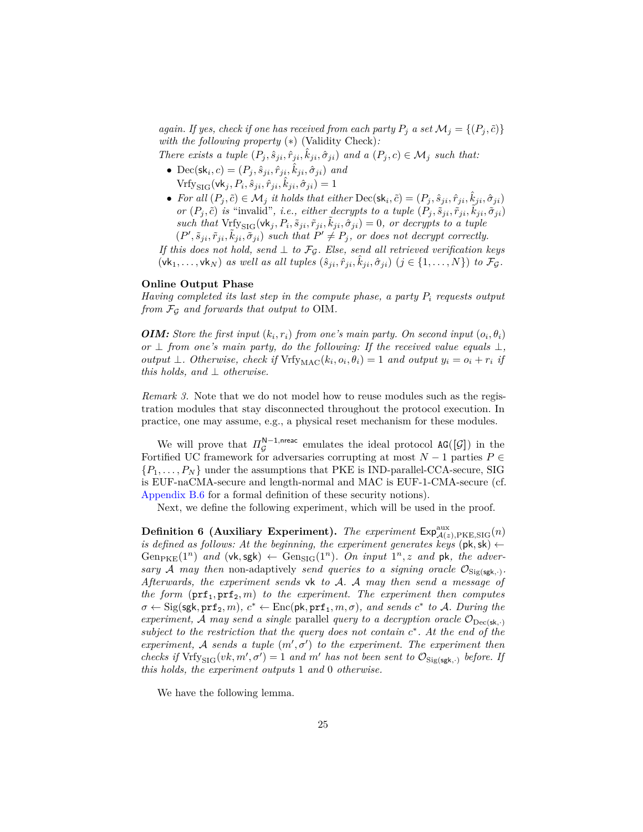*again. If yes, check if one has received from each party*  $P_i$  *a set*  $\mathcal{M}_i = \{(P_i, \tilde{c})\}$ *with the following property* (∗) (Validity Check)*:*

There exists a tuple  $(P_j, \hat{s}_{ji}, \hat{r}_{ji}, \hat{k}_{ji}, \hat{\sigma}_{ji})$  and a  $(P_j, c) \in \mathcal{M}_j$  such that:

- Dec(sk<sub>*i*</sub>, *c*) = ( $P_j$ ,  $\hat{s}_{ji}$ ,  $\hat{r}_{ji}$ ,  $\hat{k}_{ji}$ ,  $\hat{\sigma}_{ji}$ ) *and*  $\text{Vrfy}_{\text{SIG}}(\textsf{vk}_j, P_i, \hat{s}_{ji}, \hat{r}_{ji}, \hat{k}_{ji}, \hat{\sigma}_{ji}) = 1$
- For all  $(P_j, \tilde{c}) \in \mathcal{M}_j$  it holds that either  $\text{Dec}(\mathsf{sk}_i, \tilde{c}) = (P_j, \hat{s}_{ji}, \hat{r}_{ji}, \hat{k}_{ji}, \hat{\sigma}_{ji})$ or  $(P_j, \tilde{c})$  is "invalid", i.e., either decrypts to a tuple  $(P_j, \tilde{s}_{ji}, \tilde{r}_{ji}, \tilde{k}_{ji}, \tilde{\sigma}_{ji})$  $such$  *that*  $Vrfys_{\text{IG}}(vk_j, P_i, \tilde{s}_{ji}, \tilde{r}_{ji}, \tilde{k}_{ji}, \hat{\sigma}_{ji}) = 0$ , or decrypts to a tuple  $(P', \tilde{s}_{ji}, \tilde{r}_{ji}, \tilde{k}_{ji}, \tilde{\sigma}_{ji})$  such that  $P' \neq P_j$ , or does not decrypt correctly.

*If this does not hold, send* ⊥ *to*  $\mathcal{F}_{\mathcal{G}}$ *. Else, send all retrieved verification keys*  $(\mathbf{v}\mathbf{k}_1,\ldots,\mathbf{v}\mathbf{k}_N)$  *as well as all tuples*  $(\hat{s}_{ji},\hat{r}_{ji},\hat{k}_{ji},\hat{\sigma}_{ji})$   $(j \in \{1,\ldots,N\})$  to  $\mathcal{F}_{\mathcal{G}}$ .

#### **Online Output Phase**

*Having completed its last step in the compute phase, a party P<sup>i</sup> requests output from* F<sup>G</sup> *and forwards that output to* OIM*.*

*OIM: Store the first input*  $(k_i, r_i)$  *from one's main party. On second input*  $(o_i, \theta_i)$ *or*  $\perp$  *from one's main party, do the following: If the received value equals*  $\perp$ *, output*  $\perp$ *. Otherwise, check if*  $Vrfv_{MAC}(k_i, o_i, \theta_i) = 1$  *and output*  $y_i = o_i + r_i$  *if this holds, and* ⊥ *otherwise.*

*Remark 3.* Note that we do not model how to reuse modules such as the registration modules that stay disconnected throughout the protocol execution. In practice, one may assume, e.g., a physical reset mechanism for these modules.

We will prove that  $\Pi_{\mathcal{G}}^{\mathbb{N}-1,\text{meac}}$  emulates the ideal protocol  $AG([\mathcal{G}])$  in the Fortified UC framework for adversaries corrupting at most  $N-1$  parties  $P \in$  ${P_1, \ldots, P_N}$  under the assumptions that PKE is IND-parallel-CCA-secure, SIG is EUF-naCMA-secure and length-normal and MAC is EUF-1-CMA-secure (cf. [Appendix B.6](#page-46-0) for a formal definition of these security notions).

Next, we define the following experiment, which will be used in the proof.

**Definition 6** (Auxiliary Experiment). *The experiment*  $\mathsf{Exp}_{\mathcal{A}(z),\text{PKE},\text{SIG}}^{\text{aux}}(n)$ *is defined as follows: At the beginning, the experiment generates keys* ( $pk, sk$ )  $\leftarrow$ Gen<sub>PKE</sub>(1<sup>n</sup>) and (vk, sgk)  $\leftarrow$  Gen<sub>SIG</sub>(1<sup>n</sup>). On input 1<sup>n</sup>, z and pk, the adversary A may then non-adaptively send queries to a signing oracle  $\mathcal{O}_{\text{Sig(sgh, \cdot)}}$ . *Afterwards, the experiment sends* vk *to* A*.* A *may then send a message of the form*  $(prf_1, prf_2, m)$  *to the experiment. The experiment then computes*  $\sigma \leftarrow \text{Sig}(\textsf{sgk}, \textsf{prf}_2, m), c^* \leftarrow \text{Enc}(\textsf{pk}, \textsf{prf}_1, m, \sigma), \text{ and sends } c^* \text{ to } \mathcal{A}.$  During the *experiment,* A *may send a single* parallel *query to a decryption oracle*  $\mathcal{O}_{\text{Dec}(\textbf{sk},.)}$ *subject to the restriction that the query does not contain c* ∗ *. At the end of the experiment,* A sends a tuple  $(m', \sigma')$  to the experiment. The experiment then *checks if*  $Vrfy_{\text{SIG}}(vk, m', \sigma') = 1$  *and*  $m'$  *has not been sent to*  $\mathcal{O}_{\text{Sig(sgk, \cdot)}}$  *before. If this holds, the experiment outputs* 1 *and* 0 *otherwise.*

<span id="page-24-0"></span>We have the following lemma.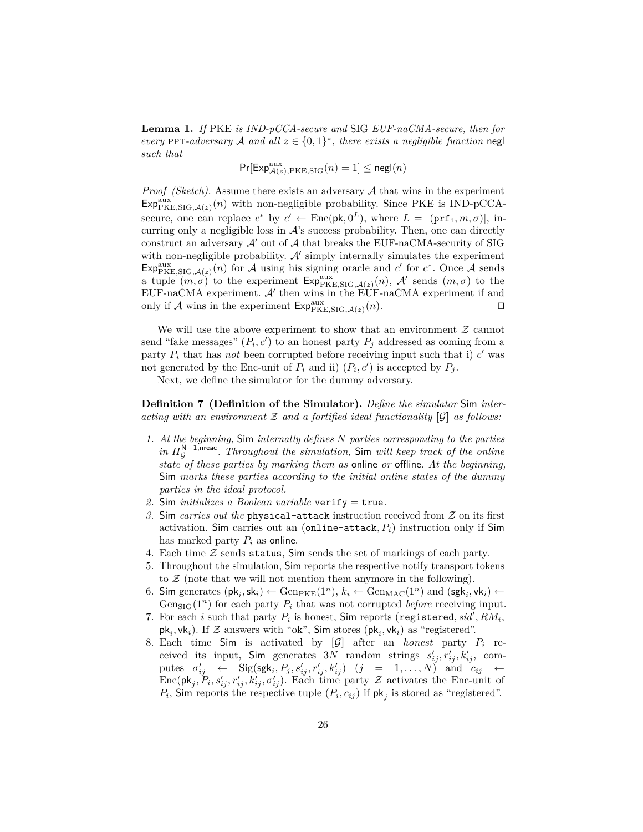**Lemma 1.** *If* PKE *is IND-pCCA-secure and* SIG *EUF-naCMA-secure, then for every* PPT-adversary A and all  $z \in \{0,1\}^*$ , there exists a negligible function negl *such that*

 $Pr[Exp_{\mathcal{A}(z),\text{PKE},\text{SIG}}^{aux}(n) = 1] \leq \mathsf{negl}(n)$ 

*Proof (Sketch).* Assume there exists an adversary A that wins in the experiment  $Exp_{\text{PKE},\text{SIG},\mathcal{A}(z)}^{aux}(n)$  with non-negligible probability. Since PKE is IND-pCCAsecure, one can replace  $c^*$  by  $c' \leftarrow \text{Enc}(\textsf{pk}, 0^L)$ , where  $L = |(\textsf{prf}_1, m, \sigma)|$ , incurring only a negligible loss in  $\mathcal{A}$ 's success probability. Then, one can directly construct an adversary  $\mathcal{A}'$  out of  $\mathcal A$  that breaks the EUF-naCMA-security of SIG with non-negligible probability.  $A'$  simply internally simulates the experiment  $Exp_{\text{PKE},\text{SIG},\mathcal{A}(z)}^{aux}(n)$  for  $\mathcal A$  using his signing oracle and  $c'$  for  $c^*$ . Once  $\mathcal A$  sends a tuple  $(m,\sigma)$  to the experiment  $Exp_{PKE,SIG,\mathcal{A}(z)}^{aux}(n)$ , A' sends  $(m,\sigma)$  to the EUF-naCMA experiment.  $A'$  then wins in the EUF-naCMA experiment if and only if A wins in the experiment  $Exp_{\text{PKE},\text{SIG},\mathcal{A}(z)}^{aux}(n)$ .

We will use the above experiment to show that an environment  $\mathcal Z$  cannot send "fake messages"  $(P_i, c')$  to an honest party  $P_j$  addressed as coming from a party  $P_i$  that has *not* been corrupted before receiving input such that i)  $c'$  was not generated by the Enc-unit of  $P_i$  and ii)  $(P_i, c')$  is accepted by  $P_j$ .

Next, we define the simulator for the dummy adversary.

<span id="page-25-0"></span>**Definition 7 (Definition of the Simulator).** *Define the simulator* Sim *interacting with an environment* Z *and a fortified ideal functionality* **[**G**]** *as follows:*

- *1. At the beginning,* Sim *internally defines N parties corresponding to the parties in*  $\Pi_{\mathcal{G}}^{N-1, \text{prec}}$ . Throughout the simulation, Sim will keep track of the online *state of these parties by marking them as* online *or* offline*. At the beginning,* Sim *marks these parties according to the initial online states of the dummy parties in the ideal protocol.*
- *2.* Sim *initializes a Boolean variable* verify = true*.*
- *3.* Sim *carries out the* physical-attack instruction received from Z on its first activation. Sim carries out an (online-attack,  $P_i$ ) instruction only if Sim has marked party *P<sup>i</sup>* as online.
- 4. Each time  $Z$  sends status, Sim sends the set of markings of each party.
- 5. Throughout the simulation, Sim reports the respective notify transport tokens to  $\mathcal Z$  (note that we will not mention them anymore in the following).
- <span id="page-25-2"></span>6. Sim generates  $(\mathsf{pk}_i, \mathsf{sk}_i) \leftarrow \text{Gen}_{\text{PKE}}(1^n), k_i \leftarrow \text{Gen}_{\text{MAC}}(1^n)$  and  $(\mathsf{sgk}_i, \mathsf{vk}_i) \leftarrow$ Gen<sub>SIG</sub> $(1^n)$  for each party  $P_i$  that was not corrupted *before* receiving input.
- 7. For each *i* such that party  $P_i$  is honest, Sim reports (registered,  $sid', RM_i$ ,  $\mathsf{pk}_i, \mathsf{vk}_i$ ). If  $\mathcal Z$  answers with "ok", Sim stores  $(\mathsf{pk}_i, \mathsf{vk}_i)$  as "registered".
- <span id="page-25-1"></span>8. Each time Sim is activated by  $[\mathcal{G}]$  after an *honest* party  $P_i$  received its input, Sim generates 3*N* random strings  $s'_{ij}, r'_{ij}, k'_{ij}$ , computes *σ* 0 *ij* ← Sig(sgk*<sup>i</sup> , P<sup>j</sup> , s*<sup>0</sup> *ij , r*<sup>0</sup> *ij , k*<sup>0</sup> *ij* ) (*j* = 1*, . . . , N*) and *cij* ←  $Enc(\mathsf{pk}_j, P_i, s'_{ij}, r'_{ij}, k'_{ij}, \sigma'_{ij})$ . Each time party Z activates the Enc-unit of  $P_i$ , Sim reports the respective tuple  $(P_i, c_{ij})$  if  $\mathsf{pk}_j$  is stored as "registered".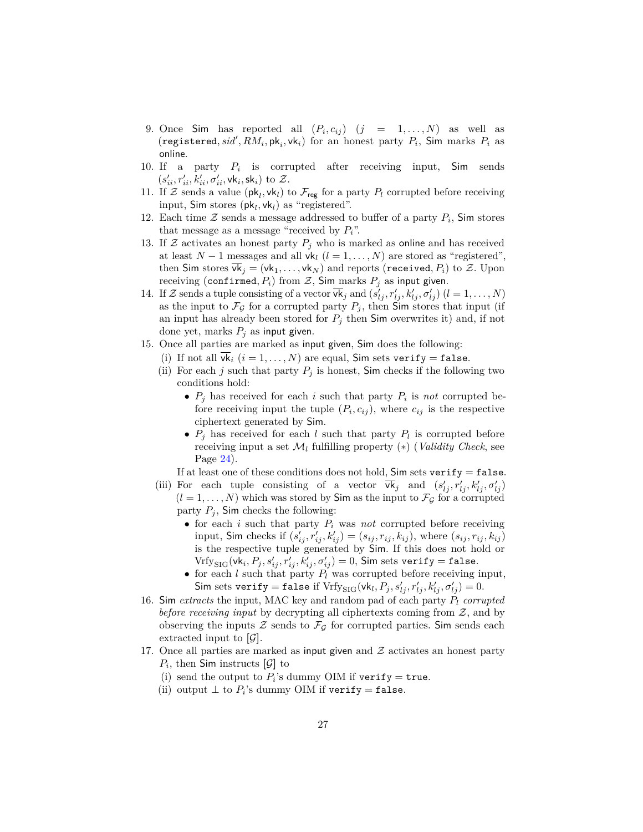- 9. Once Sim has reported all  $(P_i, c_{ij})$   $(j = 1, ..., N)$  as well as  $(r$ egistered,  $sid', RM_i, pk_i, vk_i)$  for an honest party  $P_i$ , Sim marks  $P_i$  as online.
- <span id="page-26-1"></span>10. If a party *P<sup>i</sup>* is corrupted after receiving input, Sim sends  $(s'_{ii}, r'_{ii}, k'_{ii}, \sigma'_{ii}, \mathsf{vk}_i, \mathsf{sk}_i)$  to  $\mathcal{Z}$ .
- 11. If  $\mathcal{Z}$  sends a value  $(\mathsf{pk}_l, \mathsf{vk}_l)$  to  $\mathcal{F}_{\mathsf{reg}}$  for a party  $P_l$  corrupted before receiving input,  $Sim$  stores  $(\mathsf{pk}_l, \mathsf{vk}_l)$  as "registered".
- 12. Each time  $\mathcal Z$  sends a message addressed to buffer of a party  $P_i$ , Sim stores that message as a message "received by  $P_i$ ".
- 13. If  $Z$  activates an honest party  $P_j$  who is marked as online and has received at least  $N-1$  messages and all  $vk_l$   $(l = 1, ..., N)$  are stored as "registered", then Sim stores  $vk_j = (vk_1, ..., vk_N)$  and reports (received,  $P_i$ ) to  $Z$ . Upon receiving (confirmed,  $P_i$ ) from  $Z$ , Sim marks  $P_j$  as input given.
- 14. If Z sends a tuple consisting of a vector  $\overline{vk}_j$  and  $(s'_{lj}, r'_{lj}, k'_{lj}, \sigma'_{lj})$   $(l = 1, ..., N)$ as the input to  $\mathcal{F}_{\mathcal{G}}$  for a corrupted party  $P_j$ , then Sim stores that input (if an input has already been stored for  $P_j$  then Sim overwrites it) and, if not done yet, marks  $P_j$  as input given.
- 15. Once all parties are marked as input given, Sim does the following:
	- (i) If not all  $\overline{vk}_i$   $(i = 1, ..., N)$  are equal, Sim sets verify = false.
		- (ii) For each *j* such that party  $P_j$  is honest, Sim checks if the following two conditions hold:
			- $P_j$  has received for each *i* such that party  $P_i$  is *not* corrupted before receiving input the tuple  $(P_i, c_{ij})$ , where  $c_{ij}$  is the respective ciphertext generated by Sim.
			- $P_j$  has received for each *l* such that party  $P_l$  is corrupted before receiving input a set  $\mathcal{M}_l$  fulfilling property  $(*)$  (*Validity Check*, see Page [24\)](#page-23-0).

If at least one of these conditions does not hold,  $Sim sets verify = false$ .

- (iii) For each tuple consisting of a vector  $\overline{vk}_j$  and  $(s'_{lj}, r'_{lj}, k'_{lj}, \sigma'_{lj})$  $(l = 1, \ldots, N)$  which was stored by Sim as the input to  $\mathcal{F}_{\mathcal{G}}$  for a corrupted party  $P_j$ , Sim checks the following:
	- for each *i* such that party *P<sup>i</sup>* was *not* corrupted before receiving input, Sim checks if  $(s'_{ij}, r'_{ij}, k'_{ij}) = (s_{ij}, r_{ij}, k_{ij})$ , where  $(s_{ij}, r_{ij}, k_{ij})$ is the respective tuple generated by Sim. If this does not hold or  $\text{Vrfy}_{\text{SIG}}(\text{vk}_i, P_j, s'_{ij}, r'_{ij}, k'_{ij}, \sigma'_{ij}) = 0$ , Sim sets verify = false.
	- for each *l* such that party *P<sup>l</sup>* was corrupted before receiving input,  $\mathsf{Sim\ sets\ verify} = \mathtt{false\ if\ Vrfy}_{\mathsf{SIG}}(\mathsf{vk}_l, P_j, s'_{lj}, r'_{lj}, k'_{lj}, \sigma'_{lj}) = 0.$
- <span id="page-26-0"></span>16. Sim *extracts* the input, MAC key and random pad of each party *P<sup>l</sup> corrupted before receiving input* by decrypting all ciphertexts coming from Z, and by observing the inputs  $\mathcal Z$  sends to  $\mathcal F_G$  for corrupted parties. Sim sends each extracted input to  $[\mathcal{G}]$ .
- 17. Once all parties are marked as input given and  $\mathcal Z$  activates an honest party  $P_i$ , then Sim instructs  $[\mathcal{G}]$  to
	- (i) send the output to  $P_i$ 's dummy OIM if verify = true.
	- (ii) output  $\perp$  to  $P_i$ 's dummy OIM if verify = false.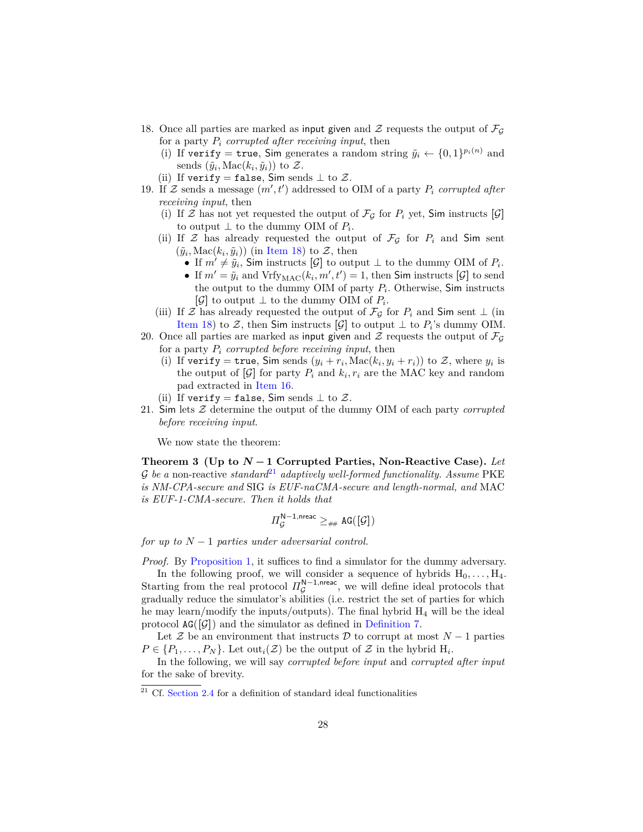- <span id="page-27-1"></span>18. Once all parties are marked as input given and  $\mathcal Z$  requests the output of  $\mathcal F_G$ for a party  $P_i$  *corrupted after receiving input*, then
	- (i) If verify = true, Sim generates a random string  $\tilde{y}_i \leftarrow \{0, 1\}^{p_i(n)}$  and sends  $(\tilde{y}_i, \text{Mac}(k_i, \tilde{y}_i))$  to  $\mathcal{Z}$ .
	- (ii) If verify = false, Sim sends  $\perp$  to  $\mathcal{Z}$ .
- <span id="page-27-3"></span>19. If  $\mathcal Z$  sends a message  $(m', t')$  addressed to OIM of a party  $P_i$  *corrupted after receiving input*, then
	- (i) If Z has not yet requested the output of  $\mathcal{F}_{\mathcal{G}}$  for  $P_i$  yet, Sim instructs  $[\mathcal{G}]$ to output  $\perp$  to the dummy OIM of  $P_i$ .
	- (ii) If  $\mathcal Z$  has already requested the output of  $\mathcal F_G$  for  $P_i$  and Sim sent  $(\tilde{y}_i, \text{Mac}(k_i, \tilde{y}_i))$  (in [Item 18\)](#page-27-1) to  $\mathcal{Z}$ , then
		- If  $m' \neq \tilde{y}_i$ , Sim instructs [G] to output  $\perp$  to the dummy OIM of  $P_i$ .
		- If  $m' = \tilde{y}_i$  and  $Vrfy_{MAC}(k_i, m', t') = 1$ , then Sim instructs [ $\mathcal{G}$ ] to send the output to the dummy OIM of party *P<sup>i</sup>* . Otherwise, Sim instructs  $[\mathcal{G}]$  to output  $\perp$  to the dummy OIM of  $P_i$ .
	- (iii) If Z has already requested the output of  $\mathcal{F}_{\mathcal{G}}$  for  $P_i$  and Sim sent  $\perp$  (in [Item 18\)](#page-27-1) to  $\mathcal{Z}$ , then Sim instructs  $[\mathcal{G}]$  to output  $\perp$  to  $P_i$ 's dummy OIM.
- 20. Once all parties are marked as input given and  $\mathcal Z$  requests the output of  $\mathcal F_G$ for a party *P<sup>i</sup> corrupted before receiving input*, then
	- (i) If verify = true, Sim sends  $(y_i + r_i, \text{Mac}(k_i, y_i + r_i))$  to Z, where  $y_i$  is the output of  $[\mathcal{G}]$  for party  $P_i$  and  $k_i, r_i$  are the MAC key and random pad extracted in [Item 16.](#page-26-0)
	- (ii) If verify = false, Sim sends  $\perp$  to  $\mathcal{Z}$ .
- 21. Sim lets Z determine the output of the dummy OIM of each party *corrupted before receiving input*.

We now state the theorem:

<span id="page-27-0"></span>**Theorem 3 (Up to** *N* **− 1 Corrupted Parties, Non-Reactive Case).** *Let*  $\mathcal G$  *be a* non-reactive *standard*<sup>[21](#page-27-2)</sup> *adaptively well-formed functionality. Assume* PKE *is NM-CPA-secure and* SIG *is EUF-naCMA-secure and length-normal, and* MAC *is EUF-1-CMA-secure. Then it holds that*

$$
\varPi_{\mathcal{G}}^{\mathsf{N}-1,\mathrm{nreac}} \geq_{\# \#} \mathrm{AG}([\mathcal{G}])
$$

*for up to N* − 1 *parties under adversarial control.*

*Proof.* By [Proposition 1,](#page-15-3) it suffices to find a simulator for the dummy adversary.

In the following proof, we will consider a sequence of hybrids  $H_0, \ldots, H_4$ . Starting from the real protocol  $\Pi_{\mathcal{G}}^{\mathbb{N}-1,\text{nreac}}$ , we will define ideal protocols that gradually reduce the simulator's abilities (i.e. restrict the set of parties for which he may learn/modify the inputs/outputs). The final hybrid  $H_4$  will be the ideal protocol  $AG([G])$  and the simulator as defined in [Definition 7.](#page-25-0)

Let  $\mathcal Z$  be an environment that instructs  $\mathcal D$  to corrupt at most  $N-1$  parties  $P \in \{P_1, \ldots, P_N\}$ . Let  $\text{out}_i(\mathcal{Z})$  be the output of  $\mathcal Z$  in the hybrid  $H_i$ .

In the following, we will say *corrupted before input* and *corrupted after input* for the sake of brevity.

<span id="page-27-2"></span> $21$  Cf. [Section 2.4](#page-10-2) for a definition of standard ideal functionalities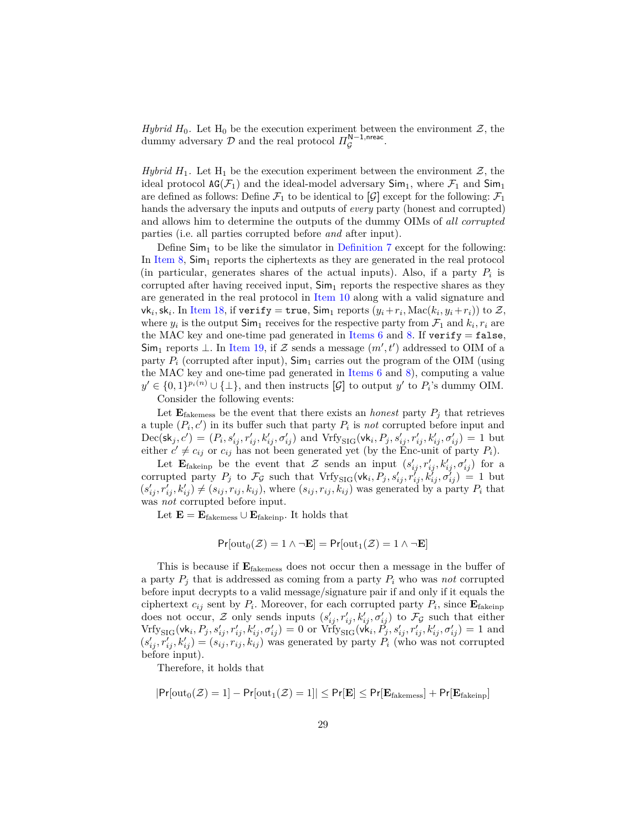*Hybrid*  $H_0$ . Let  $H_0$  be the execution experiment between the environment  $\mathcal{Z}$ , the dummy adversary  $\mathcal D$  and the real protocol  $\Pi_{\mathcal G}^{{\sf N}-1, {\sf nreac}}$ .

*Hybrid*  $H_1$ . Let  $H_1$  be the execution experiment between the environment  $Z$ , the ideal protocol  $AG(\mathcal{F}_1)$  and the ideal-model adversary  $Sim_1$ , where  $\mathcal{F}_1$  and  $Sim_1$ are defined as follows: Define  $\mathcal{F}_1$  to be identical to  $[\mathcal{G}]$  except for the following:  $\mathcal{F}_1$ hands the adversary the inputs and outputs of *every* party (honest and corrupted) and allows him to determine the outputs of the dummy OIMs of *all corrupted* parties (i.e. all parties corrupted before *and* after input).

Define  $\mathsf{Sim}_1$  to be like the simulator in [Definition 7](#page-25-0) except for the following: In [Item 8,](#page-25-1)  $\text{Sim}_1$  reports the ciphertexts as they are generated in the real protocol (in particular, generates shares of the actual inputs). Also, if a party  $P_i$  is corrupted after having received input,  $\text{Sim}_1$  reports the respective shares as they are generated in the real protocol in [Item 10](#page-26-1) along with a valid signature and  $\mathsf{v}\mathsf{k}_i$ , sk<sub>*i*</sub>. In [Item 18,](#page-27-1) if  $\mathsf{verify} = \mathsf{true}$ ,  $\mathsf{Sim}_1$  reports  $(y_i + r_i, \mathsf{Mac}(k_i, y_i + r_i))$  to  $\mathcal{Z},$ where  $y_i$  is the output  $\textsf{Sim}_1$  receives for the respective party from  $\mathcal{F}_1$  and  $k_i, r_i$  are the MAC key and one-time pad generated in [Items 6](#page-25-2) and [8.](#page-25-1) If  $\text{verify} = \text{false}$ , Sim<sub>1</sub> reports  $\perp$ . In [Item 19,](#page-27-3) if Z sends a message  $(m', t')$  addressed to OIM of a party  $P_i$  (corrupted after input),  $\mathsf{Sim}_1$  carries out the program of the OIM (using the MAC key and one-time pad generated in [Items 6](#page-25-2) and [8\)](#page-25-1), computing a value *y*<sup> $\prime$ </sup> ∈ {0, 1}<sup>*p*<sub>*i*</sub>(*n*) ∪ {⊥}, and then instructs [ $\mathcal{G}$ ] to output *y*<sup> $\prime$ </sup> to *P*<sup>*i*</sup>'s dummy OIM.</sup>

Consider the following events:

Let  $\mathbf{E}_{\text{fakemess}}$  be the event that there exists an *honest* party  $P_j$  that retrieves a tuple  $(P_i, c')$  in its buffer such that party  $P_i$  is *not* corrupted before input and  $Dec(\mathsf{sk}_j, c') = (P_i, s'_{ij}, r'_{ij}, k'_{ij}, \sigma'_{ij})$  and  $Vrfy_{\text{SIG}}(\mathsf{vk}_i, P_j, s'_{ij}, r'_{ij}, k'_{ij}, \sigma'_{ij}) = 1$  but either  $c' \neq c_{ij}$  or  $c_{ij}$  has not been generated yet (by the Enc-unit of party  $P_i$ ).

Let  $\mathbf{E}_{\text{fakeinp}}$  be the event that Z sends an input  $(s'_{ij}, r'_{ij}, k'_{ij}, \sigma'_{ij})$  for a corrupted party  $P_j$  to  $\mathcal{F}_{\mathcal{G}}$  such that  $Vrf_{SIG}(vk_i, P_j, s'_{ij}, r'_{ij}, k'_{ij}, \sigma'_{ij}) = 1$  but  $(s'_{ij}, r'_{ij}, k'_{ij}) \neq (s_{ij}, r_{ij}, k_{ij})$ , where  $(s_{ij}, r_{ij}, k_{ij})$  was generated by a party  $P_i$  that was *not* corrupted before input.

Let  $\mathbf{E} = \mathbf{E}_{\text{fakemess}} \cup \mathbf{E}_{\text{fakeinp}}$ . It holds that

$$
Pr[\text{out}_0(\mathcal{Z}) = 1 \land \neg \mathbf{E}] = Pr[\text{out}_1(\mathcal{Z}) = 1 \land \neg \mathbf{E}]
$$

This is because if **E**fakemess does not occur then a message in the buffer of a party  $P_i$  that is addressed as coming from a party  $P_i$  who was *not* corrupted before input decrypts to a valid message/signature pair if and only if it equals the ciphertext  $c_{ij}$  sent by  $P_i$ . Moreover, for each corrupted party  $P_i$ , since  $\mathbf{E}_{\text{fakeinp}}$ does not occur,  $Z$  only sends inputs  $(s'_{ij}, r'_{ij}, k'_{ij}, \sigma'_{ij})$  to  $\mathcal{F}_{\mathcal{G}}$  such that either  $Vrfy_{\text{SIG}}(\text{vk}_i, P_j, s'_{ij}, r'_{ij}, k'_{ij}, \sigma'_{ij}) = 0$  or  $Vrfy_{\text{SIG}}(\text{vk}_i, P_j, s'_{ij}, r'_{ij}, k'_{ij}, \sigma'_{ij}) = 1$  and  $(s'_{ij}, r'_{ij}, k'_{ij}) = (s_{ij}, r_{ij}, k_{ij})$  was generated by party  $P_i$  (who was not corrupted before input).

Therefore, it holds that

$$
|\mathsf{Pr}[\mathrm{out}_0(\mathcal{Z})=1]-\mathsf{Pr}[\mathrm{out}_1(\mathcal{Z})=1]|\leq \mathsf{Pr}[\mathbf{E}]\leq \mathsf{Pr}[\mathbf{E}_{\mathrm{fakemess}}]+\mathsf{Pr}[\mathbf{E}_{\mathrm{fakeinp}}]
$$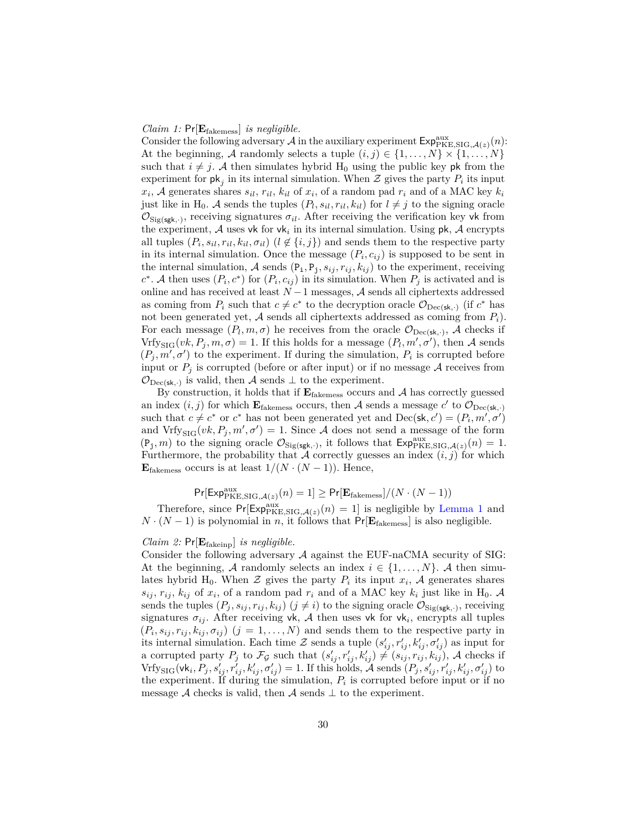#### *Claim 1:* Pr[**E**fakemess] *is negligible.*

Consider the following adversary  $A$  in the auxiliary experiment  $\mathsf{Exp}_{PKE, SIG, \mathcal{A}(z)}^{\text{aux}}(n)$ : At the beginning, A randomly selects a tuple  $(i, j) \in \{1, \ldots, N\} \times \{1, \ldots, N\}$ such that  $i \neq j$ . A then simulates hybrid H<sub>0</sub> using the public key pk from the experiment for  $\mathsf{pk}_j$  in its internal simulation. When  $\mathcal{Z}$  gives the party  $P_i$  its input  $x_i$ , A generates shares  $s_{il}$ ,  $r_{il}$ ,  $k_{il}$  of  $x_i$ , of a random pad  $r_i$  and of a MAC key  $k_i$ just like in H<sub>0</sub>. A sends the tuples  $(P_l, s_{il}, r_{il}, k_{il})$  for  $l \neq j$  to the signing oracle  $\mathcal{O}_{\text{Sig(sgk,.)}}$ , receiving signatures  $\sigma_{il}$ . After receiving the verification key vk from the experiment,  $A$  uses vk for vk<sub>i</sub> in its internal simulation. Using  $pk$ ,  $A$  encrypts all tuples  $(P_i, s_{il}, r_{il}, k_{il}, \sigma_{il})$  ( $l \notin \{i, j\}$ ) and sends them to the respective party in its internal simulation. Once the message  $(P_i, c_{ij})$  is supposed to be sent in the internal simulation, A sends  $(P_i, P_j, s_{ij}, r_{ij}, k_{ij})$  to the experiment, receiving  $c^*$ . A then uses  $(P_i, c^*)$  for  $(P_i, c_{ij})$  in its simulation. When  $P_j$  is activated and is online and has received at least  $N-1$  messages,  $\mathcal A$  sends all ciphertexts addressed as coming from  $P_i$  such that  $c \neq c^*$  to the decryption oracle  $\mathcal{O}_{\text{Dec}(\mathsf{sk},\cdot)}$  (if  $c^*$  has not been generated yet,  $A$  sends all ciphertexts addressed as coming from  $P_i$ ). For each message  $(P_l, m, \sigma)$  he receives from the oracle  $\mathcal{O}_{\text{Dec}(\textbf{sk}, \cdot)}$ , A checks if  $Vrfy_{\text{SIG}}(vk, P_j, m, \sigma) = 1$ . If this holds for a message  $(P_l, m', \sigma')$ , then A sends  $(P_j, m', \sigma')$  to the experiment. If during the simulation,  $P_i$  is corrupted before input or  $P_j$  is corrupted (before or after input) or if no message  $A$  receives from  $\mathcal{O}_{\text{Dec}(\textsf{sk}, \cdot)}$  is valid, then A sends  $\perp$  to the experiment.

By construction, it holds that if  $\mathbf{E}_{\text{fakemess}}$  occurs and  $\mathcal{A}$  has correctly guessed an index  $(i, j)$  for which  $\mathbf{E}_{\text{fakemess}}$  occurs, then A sends a message  $c'$  to  $\mathcal{O}_{\text{Dec}(\textbf{sk},.)}$ such that  $c \neq c^*$  or  $c^*$  has not been generated yet and  $Dec(\mathsf{sk}, c') = (P_i, m', \sigma')$ and  $Vrfy_{\text{SIG}}(vk, P_j, m', \sigma') = 1$ . Since A does not send a message of the form  $(P_j, m)$  to the signing oracle  $\mathcal{O}_{\text{Sig(sgk,.)}}$ , it follows that  $\text{Exp}_{\text{PKE},\text{SIG},\mathcal{A}(z)}^{\text{aux}}(n) = 1$ . Furthermore, the probability that A correctly guesses an index  $(i, j)$  for which **E**<sub>fakemess</sub> occurs is at least  $1/(N \cdot (N-1))$ . Hence,

## $Pr[\text{Exp}_{\text{PKE},\text{SIG},\mathcal{A}(z)}^{aux}(n) = 1] \geq Pr[\mathbf{E}_{\text{fakemess}}]/(N \cdot (N-1))$

Therefore, since  $Pr[Exp^{aux}_{PKE,SIG, \mathcal{A}(z)}(n) = 1]$  is negligible by [Lemma 1](#page-24-0) and  $N \cdot (N-1)$  is polynomial in *n*, it follows that Pr[ $\mathbf{E}_{\text{fakemess}}$ ] is also negligible.

## *Claim 2:* Pr[**E**fakeinp] *is negligible.*

Consider the following adversary  $A$  against the EUF-naCMA security of SIG: At the beginning, A randomly selects an index  $i \in \{1, \ldots, N\}$ . A then simulates hybrid H<sub>0</sub>. When  $\mathcal{Z}$  gives the party  $P_i$  its input  $x_i$ ,  $\mathcal{A}$  generates shares  $s_{ij}$ ,  $r_{ij}$ ,  $k_{ij}$  of  $x_i$ , of a random pad  $r_i$  and of a MAC key  $k_i$  just like in H<sub>0</sub>. A sends the tuples  $(P_j, s_{ij}, r_{ij}, k_{ij})$   $(j \neq i)$  to the signing oracle  $\mathcal{O}_{\text{Sig(sgh,')}}$ , receiving signatures  $\sigma_{ij}$ . After receiving vk, A then uses vk for vk<sub>i</sub>, encrypts all tuples  $(P_i, s_{ij}, r_{ij}, k_{ij}, \sigma_{ij})$   $(j = 1, \ldots, N)$  and sends them to the respective party in its internal simulation. Each time  $\mathcal{Z}$  sends a tuple  $(s'_{ij}, r'_{ij}, k'_{ij}, \sigma'_{ij})$  as input for a corrupted party  $P_j$  to  $\mathcal{F}_{\mathcal{G}}$  such that  $(s'_{ij}, r'_{ij}, k'_{ij}) \neq (s_{ij}, r_{ij}, k_{ij})$ , A checks if  $Vrfy_{\text{SIG}}(\text{vk}_i, P_j, s'_{ij}, r'_{ij}, k'_{ij}, \sigma'_{ij}) = 1.$  If this holds,  $\mathcal{A}$  sends  $(P_j, s'_{ij}, r'_{ij}, k'_{ij}, \sigma'_{ij})$  to the experiment. If during the simulation,  $P_i$  is corrupted before input or if no message A checks is valid, then A sends  $\perp$  to the experiment.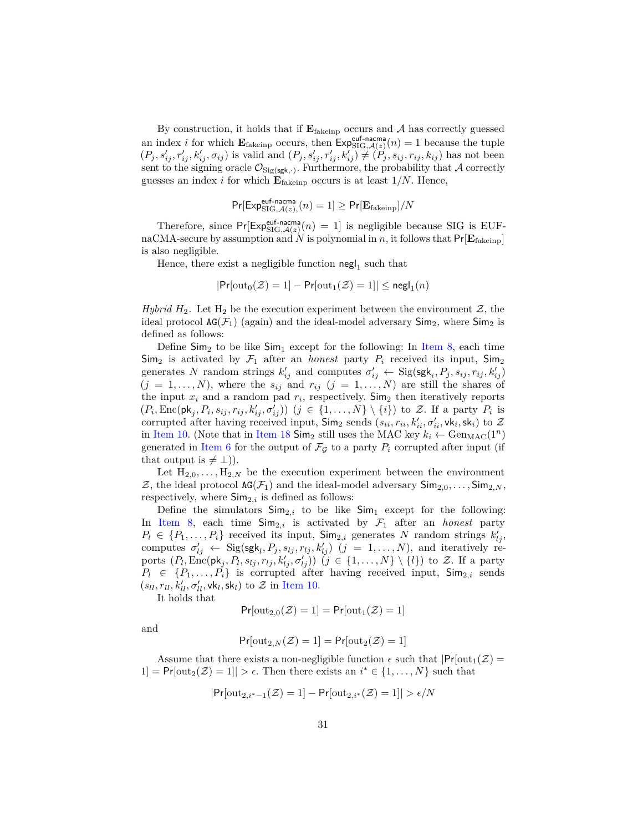By construction, it holds that if  $E_{\text{fakeinp}}$  occurs and  $A$  has correctly guessed an index *i* for which  $\mathbf{E}_{\text{fakeinp}}$  occurs, then  $\mathsf{Exp}_{\text{SIG},\mathcal{A}(z)}^{\text{euf-nacma}}(n) = 1$  because the tuple  $(P_j, s'_{ij}, r'_{ij}, k'_{ij}, \sigma_{ij})$  is valid and  $(P_j, s'_{ij}, r'_{ij}, k'_{ij}) \neq (P_j, s_{ij}, r_{ij}, k_{ij})$  has not been sent to the signing oracle  $\mathcal{O}_{\text{Sig(sgk, \cdot)}}$ . Furthermore, the probability that A correctly guesses an index *i* for which  $\mathbf{E}_{\text{fakeinp}}$  occurs is at least  $1/N$ . Hence,

$$
\Pr[\mathsf{Exp}^{\mathsf{euf\text{-}nacma}}_{\mathsf{SIG},\mathcal{A}(z),}(n) = 1] \geq \Pr[\mathbf{E}_{\mathsf{fakeinp}}]/N
$$

Therefore, since  $Pr[Exp_{SIG, A(z)}^{euf-nacma}(n) = 1]$  is negligible because SIG is EUFnaCMA-secure by assumption and  $N$  is polynomial in  $n$ , it follows that  $Pr[\mathbf{E}_{\text{fakeinp}}]$ is also negligible.

Hence, there exist a negligible function  $\operatorname{\sf negl}_1$  such that

$$
|\Pr[\text{out}_0(\mathcal{Z})=1]-\Pr[\text{out}_1(\mathcal{Z})=1]|\leq \mathsf{negl}_1(n)
$$

*Hybrid*  $H_2$ . Let  $H_2$  be the execution experiment between the environment  $\mathcal{Z}$ , the ideal protocol  $AG(\mathcal{F}_1)$  (again) and the ideal-model adversary  $Sim_2$ , where  $Sim_2$  is defined as follows:

Define  $\textsf{Sim}_2$  to be like  $\textsf{Sim}_1$  except for the following: In [Item 8,](#page-25-1) each time  $\text{Sim}_2$  is activated by  $\mathcal{F}_1$  after an *honest* party  $P_i$  received its input,  $\text{Sim}_2$ generates *N* random strings  $k'_{ij}$  and computes  $\sigma'_{ij} \leftarrow \text{Sig(sgk}_i, P_j, s_{ij}, r_{ij}, k'_{ij})$  $(j = 1, \ldots, N)$ , where the  $s_{ij}$  and  $r_{ij}$   $(j = 1, \ldots, N)$  are still the shares of the input  $x_i$  and a random pad  $r_i$ , respectively. Sim<sub>2</sub> then iteratively reports  $(P_i, \text{Enc}(\mathsf{pk}_j, P_i, s_{ij}, r_{ij}, k'_{ij}, \sigma'_{ij}))$   $(j \in \{1, ..., N\} \setminus \{i\})$  to Z. If a party  $P_i$  is corrupted after having received input,  $\textsf{Sim}_2$  sends  $(s_{ii}, r_{ii}, k'_{ii}, \sigma'_{ii}, \textsf{vk}_i, \textsf{sk}_i)$  to  $\mathcal{Z}$ in [Item 10.](#page-26-1) (Note that in [Item 18](#page-27-1)  $\text{Sim}_2$  still uses the MAC key  $k_i \leftarrow \text{Gen}_{\text{MAC}}(1^n)$ generated in [Item 6](#page-25-2) for the output of  $\mathcal{F}_{\mathcal{G}}$  to a party  $P_i$  corrupted after input (if that output is  $\neq \bot$ ).

Let  $H_{2,0}, \ldots, H_{2,N}$  be the execution experiment between the environment  $\mathcal{Z}$ , the ideal protocol  $AG(\mathcal{F}_1)$  and the ideal-model adversary  $Sim_{2,0}, \ldots, Sim_{2,N}$ , respectively, where  $\mathsf{Sim}_{2,i}$  is defined as follows:

Define the simulators  $\mathsf{Sim}_{2,i}$  to be like  $\mathsf{Sim}_1$  except for the following: In [Item 8,](#page-25-1) each time  $\textsf{Sim}_{2,i}$  is activated by  $\mathcal{F}_1$  after an *honest* party  $P_l \in \{P_1, \ldots, P_i\}$  received its input,  $\textsf{Sim}_{2,i}$  generates *N* random strings  $k'_{lj}$ , computes  $\sigma'_{lj} \leftarrow \text{Sig}(\textsf{sgk}_l, P_j, s_{lj}, r_{lj}, k'_{lj})$   $(j = 1, ..., N)$ , and iteratively reports  $(P_l, \text{Enc}(\mathsf{pk}_j, P_l, s_{lj}, r_{lj}, k'_{lj}, \sigma'_{lj}))$   $(j \in \{1, \ldots, N\} \setminus \{l\})$  to Z. If a party  $P_l \in \{P_1, \ldots, P_i\}$  is corrupted after having received input,  $\mathsf{Sim}_{2,i}$  sends  $(s_{ll}, r_{ll}, k'_{ll}, \sigma'_{ll}, \mathsf{vk}_l, \mathsf{sk}_l)$  to  $\mathcal{Z}$  in [Item 10.](#page-26-1)

It holds that

$$
Pr[\text{out}_{2,0}(\mathcal{Z})=1] = Pr[\text{out}_1(\mathcal{Z})=1]
$$

and

$$
Pr[\text{out}_{2,N}(\mathcal{Z})=1] = Pr[\text{out}_{2}(\mathcal{Z})=1]
$$

Assume that there exists a non-negligible function  $\epsilon$  such that  $Pr[\text{out}_1(\mathcal{Z})]$ 1] =  $Pr[\text{out}_2(\mathcal{Z}) = 1]$  >  $\epsilon$ . Then there exists an *i*<sup>\*</sup> ∈ {1, ..., *N*} such that

$$
Pr[\text{out}_{2,i^*-1}(\mathcal{Z})=1] - Pr[\text{out}_{2,i^*}(\mathcal{Z})=1]| > \epsilon/N
$$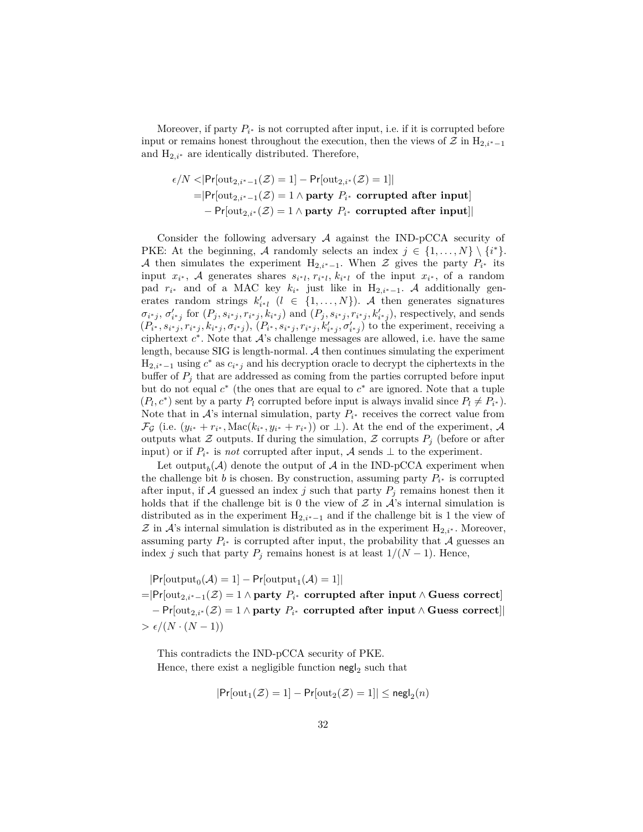Moreover, if party  $P_{i^*}$  is not corrupted after input, i.e. if it is corrupted before input or remains honest throughout the execution, then the views of  $\mathcal Z$  in H<sub>2,*i*<sup>∗</sup>−1</sub> and  $H_{2,i^*}$  are identically distributed. Therefore,

$$
\epsilon/N < |\text{Pr}[\text{out}_{2,i^*-1}(\mathcal{Z})=1] - \text{Pr}[\text{out}_{2,i^*}(\mathcal{Z})=1]|
$$
  
=|\text{Pr}[\text{out}\_{2,i^\*-1}(\mathcal{Z})=1 \land \text{party } P\_{i^\*} \text{ corrupted after input}]  
- \text{Pr}[\text{out}\_{2,i^\*}(\mathcal{Z})=1 \land \text{party } P\_{i^\*} \text{ corrupted after input}]|

Consider the following adversary  $A$  against the IND-pCCA security of PKE: At the beginning, A randomly selects an index  $j \in \{1, ..., N\} \setminus \{i^*\}.$ A then simulates the experiment  $H_{2,i^*-1}$ . When Z gives the party  $P_{i^*}$  its input  $x_i^*$ , A generates shares  $s_{i^*l}$ ,  $r_{i^*l}$ ,  $k_{i^*l}$  of the input  $x_{i^*}$ , of a random pad  $r_{i^*}$  and of a MAC key  $k_{i^*}$  just like in  $H_{2,i^*-1}$ . A additionally generates random strings  $k'_{i^*l}$  ( $l \in \{1, ..., N\}$ ). A then generates signatures  $\sigma_{i^*j}, \sigma'_{i^*j}$  for  $(P_j, s_{i^*j}, r_{i^*j}, k_{i^*j})$  and  $(P_j, s_{i^*j}, r_{i^*j}, k'_{i^*j})$ , respectively, and sends  $(P_{i^*}, s_{i^*j}, r_{i^*j}, k_{i^*j}, \sigma_{i^*j}), (P_{i^*}, s_{i^*j}, r_{i^*j}, k'_{i^*j}, \sigma'_{i^*j})$  to the experiment, receiving a ciphertext  $c^*$ . Note that  $\mathcal{A}$ 's challenge messages are allowed, i.e. have the same length, because SIG is length-normal.  $A$  then continues simulating the experiment  $H_{2,i^*-1}$  using  $c^*$  as  $c_{i^*j}$  and his decryption oracle to decrypt the ciphertexts in the buffer of  $P_j$  that are addressed as coming from the parties corrupted before input but do not equal  $c^*$  (the ones that are equal to  $c^*$  are ignored. Note that a tuple  $(P_l, c^*)$  sent by a party  $P_l$  corrupted before input is always invalid since  $P_l \neq P_{i^*}$ ). Note that in  $\mathcal{A}$ 's internal simulation, party  $P_{i^*}$  receives the correct value from  $\mathcal{F}_{\mathcal{G}}$  (i.e.  $(y_{i^*} + r_{i^*}, \text{Mac}(k_{i^*}, y_{i^*} + r_{i^*}))$  or  $\perp$ ). At the end of the experiment, A outputs what  $Z$  outputs. If during the simulation,  $Z$  corrupts  $P_j$  (before or after input) or if  $P_{i^*}$  is *not* corrupted after input, A sends  $\perp$  to the experiment.

Let output<sub>b</sub>( $A$ ) denote the output of  $A$  in the IND-pCCA experiment when the challenge bit *b* is chosen. By construction, assuming party  $P_{i^*}$  is corrupted after input, if A guessed an index  $j$  such that party  $P_j$  remains honest then it holds that if the challenge bit is 0 the view of  $\mathcal Z$  in  $\mathcal A$ 's internal simulation is distributed as in the experiment  $H_{2,i^*-1}$  and if the challenge bit is 1 the view of  $\mathcal Z$  in  $\mathcal A$ 's internal simulation is distributed as in the experiment  $H_{2,i^*}$ . Moreover, assuming party  $P_{i^*}$  is corrupted after input, the probability that  $A$  guesses an index *j* such that party  $P_j$  remains honest is at least  $1/(N-1)$ . Hence,

 $|\text{Pr}[\text{output}_0(\mathcal{A})=1]-\text{Pr}[\text{output}_1(\mathcal{A})=1]|$ =|Pr[out2*,i*∗−1(Z) = 1 ∧ **party** *P<sup>i</sup>* <sup>∗</sup> **corrupted after input** ∧ **Guess correct**] − Pr[out2*,i*<sup>∗</sup> (Z) = 1 ∧ **party** *P<sup>i</sup>* <sup>∗</sup> **corrupted after input** ∧ **Guess correct**]|  $> \epsilon/(N \cdot (N-1))$ 

This contradicts the IND-pCCA security of PKE. Hence, there exist a negligible function  $\mathsf{negl}_2$  such that

$$
|\text{Pr}[\text{out}_1(\mathcal{Z})=1]-\text{Pr}[\text{out}_2(\mathcal{Z})=1]|\leq \text{negl}_2(n)
$$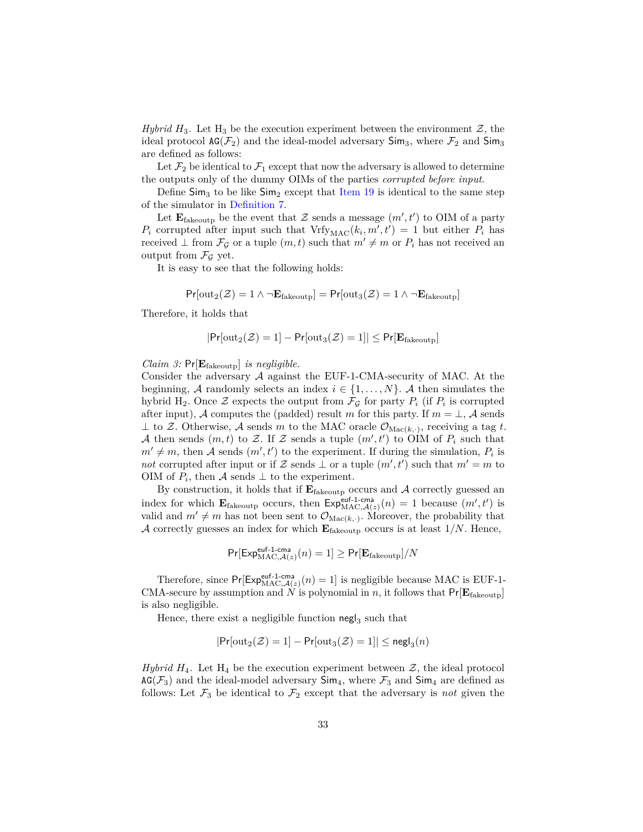*Hybrid*  $H_3$ . Let  $H_3$  be the execution experiment between the environment  $\mathcal{Z}$ , the ideal protocol  $AG(\mathcal{F}_2)$  and the ideal-model adversary  $Sim_3$ , where  $\mathcal{F}_2$  and  $Sim_3$ are defined as follows:

Let  $\mathcal{F}_2$  be identical to  $\mathcal{F}_1$  except that now the adversary is allowed to determine the outputs only of the dummy OIMs of the parties *corrupted before input*.

Define  $\textsf{Sim}_3$  to be like  $\textsf{Sim}_2$  except that [Item 19](#page-27-3) is identical to the same step of the simulator in [Definition 7.](#page-25-0)

Let  $\mathbf{E}_{\text{fakeoup}}$  be the event that  $\mathcal Z$  sends a message  $(m', t')$  to OIM of a party  $P_i$  corrupted after input such that  $Vrfy_{MAC}(k_i, m', t') = 1$  but either  $P_i$  has received  $\bot$  from  $\mathcal{F}_{\mathcal{G}}$  or a tuple  $(m, t)$  such that  $m' \neq m$  or  $P_i$  has not received an output from  $\mathcal{F}_G$  yet.

It is easy to see that the following holds:

$$
Pr[\text{out}_2(\mathcal{Z}) = 1 \land \neg \mathbf{E}_{\text{fakeoutput}}] = Pr[\text{out}_3(\mathcal{Z}) = 1 \land \neg \mathbf{E}_{\text{fakeoutput}}]
$$

Therefore, it holds that

$$
|\mathsf{Pr}[\text{out}_2(\mathcal{Z})=1]-\mathsf{Pr}[\text{out}_3(\mathcal{Z})=1]|\leq \mathsf{Pr}[\mathbf{E}_{\text{fakeoutput}}]
$$

*Claim 3:* Pr[**E**fakeoutp] *is negligible.*

Consider the adversary  $\mathcal A$  against the EUF-1-CMA-security of MAC. At the beginning, A randomly selects an index  $i \in \{1, \ldots, N\}$ . A then simulates the hybrid H<sub>2</sub>. Once  $\mathcal Z$  expects the output from  $\mathcal F_{\mathcal G}$  for party  $P_i$  (if  $P_i$  is corrupted after input), A computes the (padded) result *m* for this party. If  $m = \perp$ , A sends  $\perp$  to Z. Otherwise, A sends m to the MAC oracle  $\mathcal{O}_{\text{Mac}(k, \cdot)}$ , receiving a tag t. A then sends  $(m, t)$  to Z. If Z sends a tuple  $(m', t')$  to OIM of  $P_i$  such that  $m' \neq m$ , then A sends  $(m', t')$  to the experiment. If during the simulation,  $P_i$  is *not* corrupted after input or if Z sends  $\perp$  or a tuple  $(m', t')$  such that  $m' = m$  to OIM of  $P_i$ , then  $\mathcal A$  sends  $\perp$  to the experiment.

By construction, it holds that if  $E_{\text{fakeoutp}}$  occurs and A correctly guessed an index for which  $\mathbf{E}_{\text{fakeoutput}}$  occurs, then  $\text{Exp}_{\text{MAC},\mathcal{A}(z)}^{\text{euf-1-cma}}(n) = 1$  because  $(m',t')$  is valid and  $m' \neq m$  has not been sent to  $\mathcal{O}_{\text{Mac}(k, \cdot)}$ . Moreover, the probability that A correctly guesses an index for which  $\mathbf{E}_{\text{fakeoutp}}$  occurs is at least 1/*N*. Hence,

$$
\Pr[\mathsf{Exp}_{\mathsf{MAC},\mathcal{A}(z)}^{\mathsf{euf-l-cma}}(n)=1] \geq \Pr[\mathbf{E}_{\mathsf{fakeoutput}}]/N
$$

Therefore, since  $Pr[Exp_{MAC,A(z)}^{euf-1-cma}(n) = 1]$  is negligible because MAC is EUF-1-CMA-secure by assumption and *N* is polynomial in *n*, it follows that  $Pr[E_{\text{fakeoutp}}]$ is also negligible.

Hence, there exist a negligible function  $\operatorname{\mathsf{negl}}_3$  such that

$$
|\mathsf{Pr}[\texttt{out}_2(\mathcal{Z})=1]-\mathsf{Pr}[\texttt{out}_3(\mathcal{Z})=1]|\leq \mathsf{negl}_3(n)
$$

*Hybrid*  $H_4$ . Let  $H_4$  be the execution experiment between  $\mathcal{Z}$ , the ideal protocol  $AG(\mathcal{F}_3)$  and the ideal-model adversary  $Sim_4$ , where  $\mathcal{F}_3$  and  $Sim_4$  are defined as follows: Let  $\mathcal{F}_3$  be identical to  $\mathcal{F}_2$  except that the adversary is *not* given the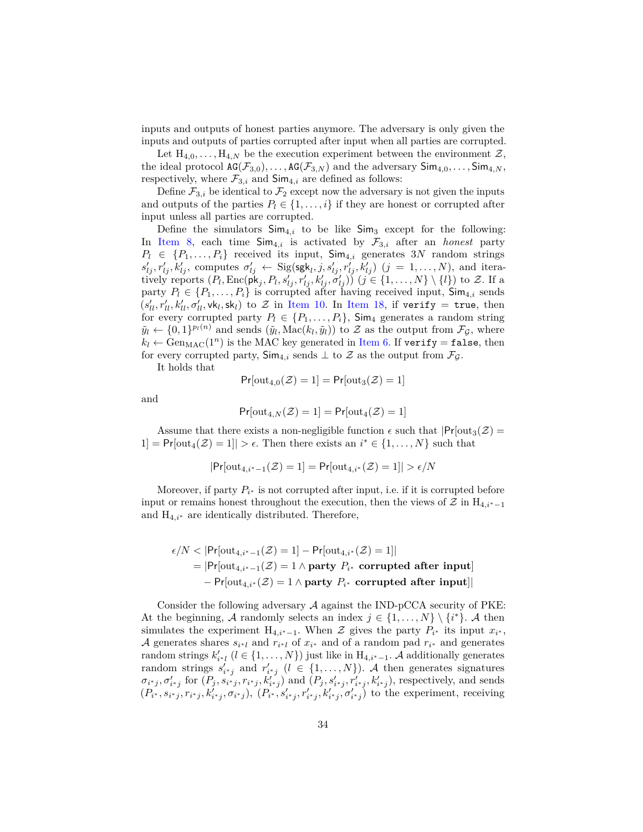inputs and outputs of honest parties anymore. The adversary is only given the inputs and outputs of parties corrupted after input when all parties are corrupted.

Let  $H_{4,0}, \ldots, H_{4,N}$  be the execution experiment between the environment  $\mathcal{Z},$ the ideal protocol  $AG(\mathcal{F}_{3,0}), \ldots, AG(\mathcal{F}_{3,N})$  and the adversary  $Sim_{4,0}, \ldots, Sim_{4,N}$ , respectively, where  $\mathcal{F}_{3,i}$  and  $\mathsf{Sim}_{4,i}$  are defined as follows:

Define  $\mathcal{F}_{3,i}$  be identical to  $\mathcal{F}_2$  except now the adversary is not given the inputs and outputs of the parties  $P_l \in \{1, \ldots, i\}$  if they are honest or corrupted after input unless all parties are corrupted.

Define the simulators  $\text{Sim}_{4,i}$  to be like  $\text{Sim}_{3}$  except for the following: In [Item 8,](#page-25-1) each time  $\textsf{Sim}_{4,i}$  is activated by  $\mathcal{F}_{3,i}$  after an *honest* party  $P_l \in \{P_1, \ldots, P_i\}$  received its input,  $\textsf{Sim}_{4,i}$  generates 3*N* random strings  $s'_{lj}, r'_{lj}, k'_{lj}$ , computes  $\sigma'_{lj} \leftarrow$  Sig(sgk<sub>l</sub>, j,  $s'_{lj}, r'_{lj}, k'_{lj}$ )  $(j = 1, ..., N)$ , and iteratively reports  $(P_l, \text{Enc}(\mathbf{pk}_j, P_l, s'_{lj}, r'_{lj}, k'_{lj}, \sigma'_{lj})$   $(j \in \{1, ..., N\} \setminus \{l\})$  to Z. If a party  $P_l \in \{P_1, \ldots, P_i\}$  is corrupted after having received input,  $\textsf{Sim}_{4,i}$  sends  $(s'_{ll}, r'_{ll}, k'_{ll}, \sigma'_{ll}, \mathsf{vk}_l, \mathsf{sk}_l)$  to  $\mathcal Z$  in [Item 10.](#page-26-1) In [Item 18,](#page-27-1) if verify = true, then for every corrupted party  $P_l \in \{P_1, \ldots, P_i\}$ , Sim<sub>4</sub> generates a random string  $\tilde{y}_l \leftarrow \{0, 1\}^{p_l(n)}$  and sends  $(\tilde{y}_l, \text{Mac}(k_l, \tilde{y}_l))$  to Z as the output from  $\mathcal{F}_{\mathcal{G}}$ , where  $k_l \leftarrow \text{Gen}_{\text{MAC}}(1^n)$  is the MAC key generated in [Item 6.](#page-25-2) If verify = false, then for every corrupted party,  $\textsf{Sim}_{4,i}$  sends  $\perp$  to  $\mathcal Z$  as the output from  $\mathcal F_{\mathcal G}$ .

It holds that

$$
Pr[\text{out}_{4,0}(\mathcal{Z})=1] = Pr[\text{out}_3(\mathcal{Z})=1]
$$

and

$$
\mathsf{Pr}[\text{out}_{4,N}(\mathcal{Z})=1]=\mathsf{Pr}[\text{out}_4(\mathcal{Z})=1]
$$

Assume that there exists a non-negligible function  $\epsilon$  such that  $|Pr[\text{out}_3(\mathcal{Z})]$  $1] = Pr[\text{out}_4(\mathcal{Z}) = 1] > \epsilon$ . Then there exists an  $i^* \in \{1, ..., N\}$  such that

$$
Pr[\text{out}_{4,i^*-1}(\mathcal{Z})=1] = Pr[\text{out}_{4,i^*}(\mathcal{Z})=1]| > \epsilon/N
$$

Moreover, if party  $P_{i^*}$  is not corrupted after input, i.e. if it is corrupted before input or remains honest throughout the execution, then the views of  $\mathcal Z$  in H<sub>4,*i*<sup>∗</sup>−1</sub> and H4*,i*<sup>∗</sup> are identically distributed. Therefore,

$$
\epsilon/N < |\Pr[\text{out}_{4,i^*-1}(\mathcal{Z})=1] - \Pr[\text{out}_{4,i^*}(\mathcal{Z})=1]|
$$
\n
$$
= |\Pr[\text{out}_{4,i^*-1}(\mathcal{Z})=1 \land \text{party } P_{i^*} \text{ corrupted after input}]
$$
\n
$$
- \Pr[\text{out}_{4,i^*}(\mathcal{Z})=1 \land \text{party } P_{i^*} \text{ corrupted after input}]|
$$

Consider the following adversary  $A$  against the IND-pCCA security of PKE: At the beginning, A randomly selects an index  $j \in \{1, ..., N\} \setminus \{i^*\}$ . A then simulates the experiment  $H_{4,i^*-1}$ . When  $\mathcal Z$  gives the party  $P_{i^*}$  its input  $x_{i^*}$ , A generates shares  $s_{i^*l}$  and  $r_{i^*l}$  of  $x_{i^*}$  and of a random pad  $r_{i^*}$  and generates random strings  $k'_{i^*l}$  ( $l \in \{1, ..., N\}$ ) just like in  $H_{4,i^*-1}$ . A additionally generates random strings  $s'_{i^*j}$  and  $r'_{i^*j}$  ( $l \in \{1, ..., N\}$ ). A then generates signatures  $\sigma_{i^*j}, \sigma'_{i^*j}$  for  $(P_j, s_{i^*j}, r_{i^*j}, k'_{i^*j})$  and  $(P_j, s'_{i^*j}, r'_{i^*j}, k'_{i^*j})$ , respectively, and sends  $(P_{i^*}, s_{i^*j}, r_{i^*j}, k'_{i^*j}, \sigma_{i^*j}), (P_{i^*}, s'_{i^*j}, r'_{i^*j}, k'_{i^*j}, \sigma'_{i^*j})$  to the experiment, receiving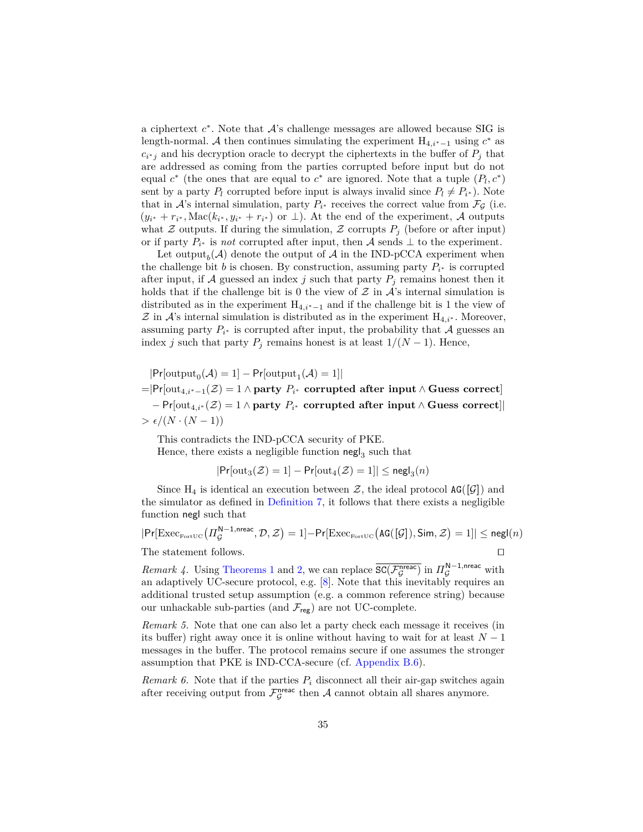a ciphertext  $c^*$ . Note that  $A$ 's challenge messages are allowed because SIG is length-normal. A then continues simulating the experiment  $H_{4,i^*-1}$  using  $c^*$  as  $c_{i^*j}$  and his decryption oracle to decrypt the ciphertexts in the buffer of  $P_j$  that are addressed as coming from the parties corrupted before input but do not equal  $c^*$  (the ones that are equal to  $c^*$  are ignored. Note that a tuple  $(P_l, c^*)$ sent by a party  $P_l$  corrupted before input is always invalid since  $P_l \neq P_{i^*}$ ). Note that in  $\mathcal{A}$ 's internal simulation, party  $P_{i^*}$  receives the correct value from  $\mathcal{F}_{\mathcal{G}}$  (i.e.  $(y_{i^*} + r_{i^*}, \text{Mac}(k_{i^*}, y_{i^*} + r_{i^*}) \text{ or } \perp)$ . At the end of the experiment, A outputs what Z outputs. If during the simulation, Z corrupts  $P_i$  (before or after input) or if party  $P_{i^*}$  is *not* corrupted after input, then A sends  $\perp$  to the experiment.

Let output<sub>b</sub>( $A$ ) denote the output of  $A$  in the IND-pCCA experiment when the challenge bit *b* is chosen. By construction, assuming party  $P_{i^*}$  is corrupted after input, if A guessed an index *j* such that party  $P_j$  remains honest then it holds that if the challenge bit is 0 the view of  $\mathcal Z$  in  $\mathcal A$ 's internal simulation is distributed as in the experiment  $H_{4,i^*-1}$  and if the challenge bit is 1 the view of  $\mathcal Z$  in  $\mathcal A$ 's internal simulation is distributed as in the experiment  $H_{4,i^*}$ . Moreover, assuming party  $P_{i^*}$  is corrupted after input, the probability that  $A$  guesses an index *j* such that party  $P_j$  remains honest is at least  $1/(N-1)$ . Hence,

 $|\text{Pr}[\text{output}_0(\mathcal{A})=1]-\text{Pr}[\text{output}_1(\mathcal{A})=1]|$ =|Pr[out4*,i*∗−1(Z) = 1 ∧ **party** *P<sup>i</sup>* <sup>∗</sup> **corrupted after input** ∧ **Guess correct**] − Pr[out4*,i*<sup>∗</sup> (Z) = 1 ∧ **party** *P<sup>i</sup>* <sup>∗</sup> **corrupted after input** ∧ **Guess correct**]|  $> \epsilon/(N \cdot (N-1))$ 

This contradicts the IND-pCCA security of PKE. Hence, there exists a negligible function  $\operatorname{\sf negl}_3$  such that

$$
|\Pr[\text{out}_3(\mathcal{Z})=1]-\Pr[\text{out}_4(\mathcal{Z})=1]|\leq \mathsf{negl}_3(n)
$$

Since  $H_4$  is identical an execution between  $\mathcal{Z}$ , the ideal protocol  $AG([G])$  and the simulator as defined in [Definition 7,](#page-25-0) it follows that there exists a negligible function negl such that

$$
|\text{Pr}[\text{Exec}_{\text{FortUC}}\big(\varPi_{\mathcal{G}}^{\text{N}-1,\text{nreac}},\mathcal{D},\mathcal{Z}\big)=1]-\text{Pr}[\text{Exec}_{\text{FortUC}}\big(\text{AG}([\mathcal{G}]),\text{Sim},\mathcal{Z}\big)=1]|\leq \text{negl}(n)
$$

The statement follows.  $\Box$ 

<span id="page-34-0"></span>*Remark 4.* Using [Theorems 1](#page-16-1) and [2,](#page-16-0) we can replace  $\overline{SC(\mathcal{F}_{\mathcal{G}}^{n_{\text{reac}}})}$  in  $\Pi_{\mathcal{G}}^{N-1,n_{\text{reac}}}$  with an adaptively UC-secure protocol, e.g. [\[8\]](#page-43-2). Note that this inevitably requires an additional trusted setup assumption (e.g. a common reference string) because our unhackable sub-parties (and  $\mathcal{F}_{\text{reg}}$ ) are not UC-complete.

*Remark 5.* Note that one can also let a party check each message it receives (in its buffer) right away once it is online without having to wait for at least  $N-1$ messages in the buffer. The protocol remains secure if one assumes the stronger assumption that PKE is IND-CCA-secure (cf. [Appendix B.6\)](#page-46-0).

*Remark 6.* Note that if the parties  $P_i$  disconnect all their air-gap switches again after receiving output from  $\mathcal{F}_{\mathcal{G}}^{\text{tree}}$  then A cannot obtain all shares anymore.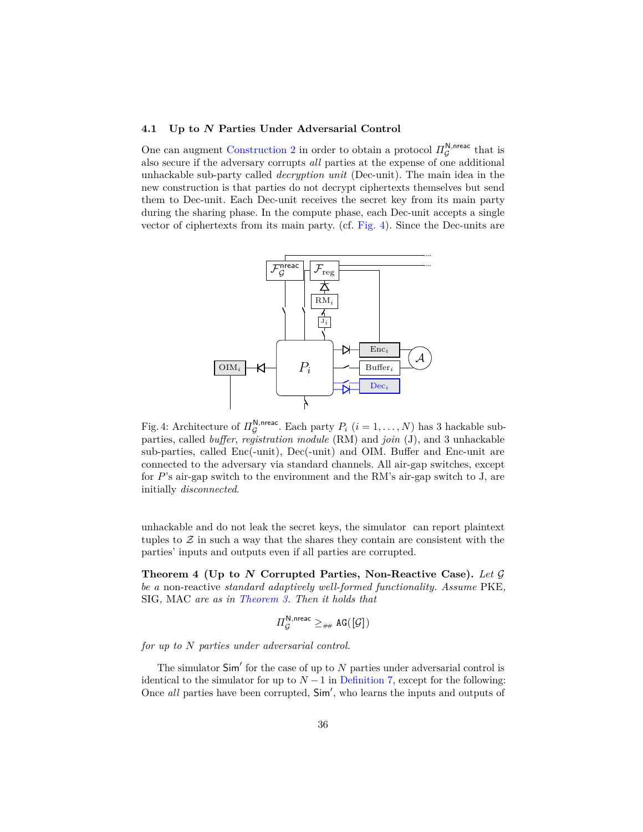## <span id="page-35-2"></span>**4.1 Up to** *N* **Parties Under Adversarial Control**

One can augment [Construction 2](#page-22-2) in order to obtain a protocol  $\Pi_{\mathcal{G}}^{\mathsf{N}, \mathsf{nreac}}$  that is also secure if the adversary corrupts *all* parties at the expense of one additional unhackable sub-party called *decryption unit* (Dec-unit). The main idea in the new construction is that parties do not decrypt ciphertexts themselves but send them to Dec-unit. Each Dec-unit receives the secret key from its main party during the sharing phase. In the compute phase, each Dec-unit accepts a single vector of ciphertexts from its main party. (cf. [Fig. 4\)](#page-35-1). Since the Dec-units are

<span id="page-35-1"></span>

Fig. 4: Architecture of  $\Pi_{\mathcal{G}}^{\mathsf{N}, \text{nreac}}$ . Each party  $P_i$   $(i = 1, ..., N)$  has 3 hackable subparties, called *buffer*, *registration module* (RM) and *join* (J), and 3 unhackable sub-parties, called Enc(-unit), Dec(-unit) and OIM. Buffer and Enc-unit are connected to the adversary via standard channels. All air-gap switches, except for *P*'s air-gap switch to the environment and the RM's air-gap switch to J, are initially *disconnected*.

unhackable and do not leak the secret keys, the simulator can report plaintext tuples to  $\mathcal Z$  in such a way that the shares they contain are consistent with the parties' inputs and outputs even if all parties are corrupted.

<span id="page-35-0"></span>**Theorem 4 (Up to** *N* **Corrupted Parties, Non-Reactive Case).** *Let* G *be a* non-reactive *standard adaptively well-formed functionality. Assume* PKE*,* SIG*,* MAC *are as in [Theorem 3.](#page-27-0) Then it holds that*

$$
\varPi_{\mathcal{G}}^{\mathsf{N}, \mathsf{nreac}} \geq_{\# \#} \mathsf{AG}([\mathcal{G}])
$$

*for up to N parties under adversarial control.*

The simulator  $Sim'$  for the case of up to  $N$  parties under adversarial control is identical to the simulator for up to  $N-1$  in [Definition 7,](#page-25-0) except for the following: Once all parties have been corrupted,  $Sim'$ , who learns the inputs and outputs of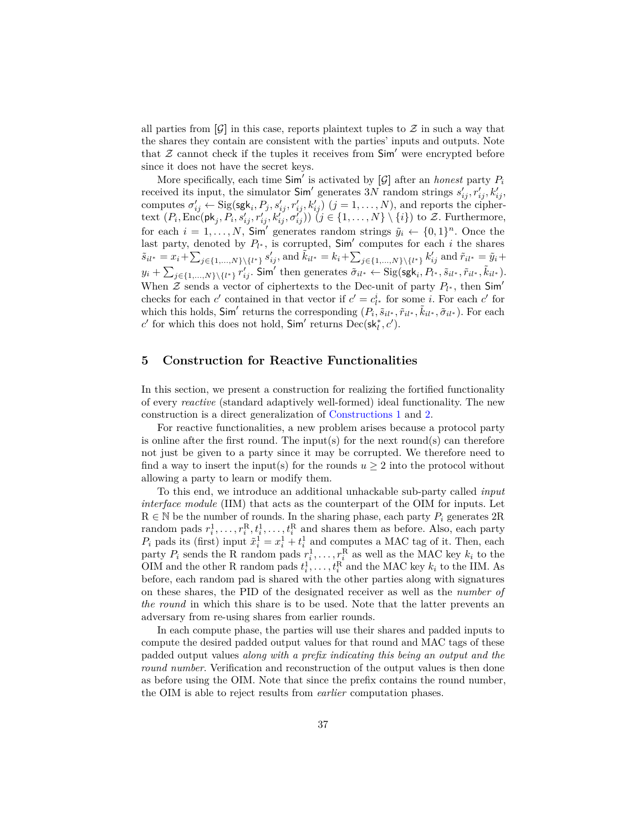all parties from  $[\mathcal{G}]$  in this case, reports plaintext tuples to  $\mathcal Z$  in such a way that the shares they contain are consistent with the parties' inputs and outputs. Note that  $Z$  cannot check if the tuples it receives from  $Sim'$  were encrypted before since it does not have the secret keys.

More specifically, each time  $Sim'$  is activated by  $[\mathcal{G}]$  after an *honest* party  $P_i$ received its input, the simulator  $\textsf{Sim}'$  generates 3*N* random strings  $s'_{ij}$ ,  $r'_{ij}$ ,  $k'_{ij}$ , computes  $\sigma'_{ij} \leftarrow$  Sig(sgk<sub>i</sub>,  $P_j$ ,  $s'_{ij}$ ,  $r'_{ij}$ ,  $k'_{ij}$ )  $(j = 1, ..., N)$ , and reports the ciphertext  $(P_i, \text{Enc}(\mathsf{pk}_j, P_i, s'_{ij}, r'_{ij}, k''_{ij}, \sigma'_{ij})$   $(j \in \{1, ..., N\} \setminus \{i\})$  to Z. Furthermore, for each  $i = 1, ..., N$ , Sim' generates random strings  $\tilde{y}_i \leftarrow \{0, 1\}^n$ . Once the last party, denoted by  $P_{l^*}$ , is corrupted,  $Sim'$  computes for each *i* the shares  $\tilde{s}_{il^*} = x_i + \sum_{j \in \{1, ..., N\} \setminus \{l^*\}} s'_{ij},$  and  $\tilde{k}_{il^*} = k_i + \sum_{j \in \{1, ..., N\} \setminus \{l^*\}} k'_{ij}$  and  $\tilde{r}_{il^*} = \tilde{y}_i +$  $y_i + \sum_{j \in \{1,...,N\}\setminus\{l^*\}} r'_{ij}$ . Sim' then generates  $\tilde{\sigma}_{il^*} \leftarrow \text{Sig(sgk}_i, P_{l^*}, \tilde{s}_{il^*}, \tilde{r}_{il^*}, \tilde{k}_{il^*})$ . When  $\mathcal Z$  sends a vector of ciphertexts to the Dec-unit of party  $P_{l^*}$ , then Sim<sup>'</sup> checks for each *c*<sup>'</sup> contained in that vector if  $c' = c_i^i$  for some *i*. For each *c*<sup>'</sup> for which this holds,  $\textsf{Sim}'$  returns the corresponding  $(P_i, \tilde{s}_{il^*}, \tilde{r}_{il^*}, \tilde{r}_{il^*}, \tilde{\sigma}_{il^*})$ . For each  $c'$  for which this does not hold,  $Sim'$  returns  $Dec(sk_l^*, c')$ .

## <span id="page-36-0"></span>**5 Construction for Reactive Functionalities**

In this section, we present a construction for realizing the fortified functionality of every *reactive* (standard adaptively well-formed) ideal functionality. The new construction is a direct generalization of [Constructions 1](#page-21-0) and [2.](#page-22-2)

For reactive functionalities, a new problem arises because a protocol party is online after the first round. The input(s) for the next round(s) can therefore not just be given to a party since it may be corrupted. We therefore need to find a way to insert the input(s) for the rounds  $u \geq 2$  into the protocol without allowing a party to learn or modify them.

To this end, we introduce an additional unhackable sub-party called *input interface module* (IIM) that acts as the counterpart of the OIM for inputs. Let  $R \in \mathbb{N}$  be the number of rounds. In the sharing phase, each party  $P_i$  generates  $2R$ random pads  $r_i^1, \ldots, r_i^R, t_i^1, \ldots, t_i^R$  and shares them as before. Also, each party  $P_i$  pads its (first) input  $\tilde{x}_i^1 = x_i^1 + t_i^1$  and computes a MAC tag of it. Then, each party  $P_i$  sends the R random pads  $r_i^1, \ldots, r_i^R$  as well as the MAC key  $k_i$  to the OIM and the other R random pads  $t_i^1, \ldots, t_i^R$  and the MAC key  $k_i$  to the IIM. As before, each random pad is shared with the other parties along with signatures on these shares, the PID of the designated receiver as well as the *number of the round* in which this share is to be used. Note that the latter prevents an adversary from re-using shares from earlier rounds.

In each compute phase, the parties will use their shares and padded inputs to compute the desired padded output values for that round and MAC tags of these padded output values *along with a prefix indicating this being an output and the round number*. Verification and reconstruction of the output values is then done as before using the OIM. Note that since the prefix contains the round number, the OIM is able to reject results from *earlier* computation phases.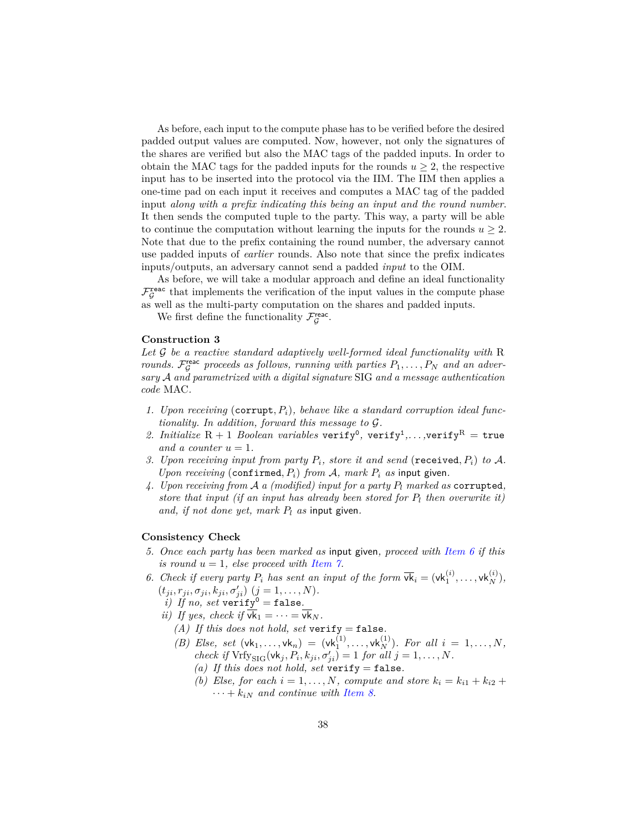As before, each input to the compute phase has to be verified before the desired padded output values are computed. Now, however, not only the signatures of the shares are verified but also the MAC tags of the padded inputs. In order to obtain the MAC tags for the padded inputs for the rounds  $u \geq 2$ , the respective input has to be inserted into the protocol via the IIM. The IIM then applies a one-time pad on each input it receives and computes a MAC tag of the padded input *along with a prefix indicating this being an input and the round number*. It then sends the computed tuple to the party. This way, a party will be able to continue the computation without learning the inputs for the rounds  $u \geq 2$ . Note that due to the prefix containing the round number, the adversary cannot use padded inputs of *earlier* rounds. Also note that since the prefix indicates inputs/outputs, an adversary cannot send a padded *input* to the OIM.

As before, we will take a modular approach and define an ideal functionality  $\mathcal{F}^{\texttt{reac}}_{\mathcal{G}}$  that implements the verification of the input values in the compute phase as well as the multi-party computation on the shares and padded inputs.

We first define the functionality  $\mathcal{F}_{\mathcal{G}}^{\text{reac}}$ .

#### **Construction 3**

*Let* G *be a reactive standard adaptively well-formed ideal functionality with* R *rounds.*  $\mathcal{F}_{\mathcal{G}}^{\text{reac}}$  proceeds as follows, running with parties  $P_1, \ldots, P_N$  and an adver*sary* A *and parametrized with a digital signature* SIG *and a message authentication code* MAC*.*

- *1. Upon receiving* (corrupt*, Pi*)*, behave like a standard corruption ideal functionality. In addition, forward this message to* G*.*
- *2. Initialize*  $R + 1$  *Boolean variables* verify<sup>0</sup>, verify<sup>1</sup>,...,verify<sup>R</sup> = true *and a counter*  $u = 1$ *.*
- *3. Upon receiving input from party Pi, store it and send* (received*, Pi*) *to* A*. Upon receiving* (confirmed,  $P_i$ ) *from*  $A$ *, mark*  $P_i$  *as* input given.
- *4. Upon receiving from* A *a (modified) input for a party P<sup>l</sup> marked as* corrupted*, store that input (if an input has already been stored for P<sup>l</sup> then overwrite it) and, if not done yet, mark P<sup>l</sup> as* input given*.*

#### **Consistency Check**

- *5. Once each party has been marked as* input given*, proceed with [Item 6](#page-37-0) if this is round*  $u = 1$ *, else proceed with [Item 7.](#page-38-0)*
- <span id="page-37-0"></span>6. *Check if every party*  $P_i$  *has sent an input of the form*  $\overline{vk}_i = (vk_1^{(i)}, \ldots, vk_N^{(i)}),$  $(t_{ji}, r_{ji}, \sigma_{ji}, k_{ji}, \sigma'_{ji})$   $(j = 1, ..., N)$ *.* 
	- *i) If no, set* verify<sup>0</sup> = false.
	- *ii)* If yes, check if  $\overline{vk}_1 = \cdots = \overline{vk}_N$ .
		- *(A)* If this does not hold, set verify = false.
		- *(B) Else, set*  $(vk_1,...,vk_n) = (vk_1^{(1)},...,vk_N^{(1)})$ *. For all*  $i = 1,...,N$ , *check if*  $Vrfy_{\text{SIG}}(vk_j, P_i, k_{ji}, \sigma'_{ji}) = 1$  *for all*  $j = 1, ..., N$ *.* 
			- *(a)* If this does not hold, set verify = false.
			- *(b) Else, for each*  $i = 1, \ldots, N$ *, compute and store*  $k_i = k_{i1} + k_{i2} + k_{i3}$  $\cdots + k_{iN}$  and continue with [Item 8.](#page-38-1)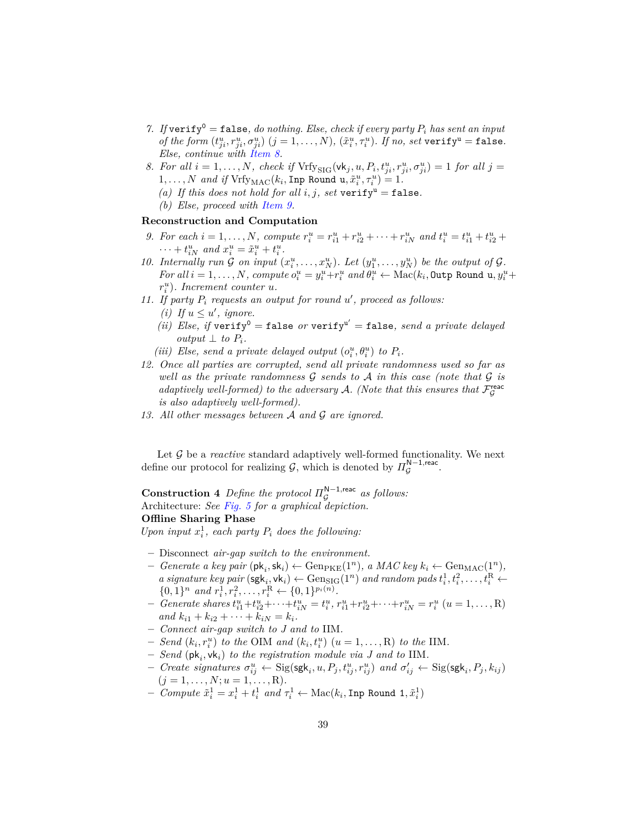- <span id="page-38-0"></span>*7.* If verify<sup>0</sup> = false, do nothing. Else, check if every party  $P_i$  has sent an input of the form  $(t_{ji}^u, r_{ji}^u, \sigma_{ji}^u)$   $(j = 1, ..., N)$ ,  $(\tilde{x}_i^u, \tau_i^u)$ . If no, set verify<sup>u</sup> = false. *Else, continue with [Item 8.](#page-38-1)*
- <span id="page-38-1"></span>8. For all  $i = 1, ..., N$ , check if  $Vrfy_{\text{SIG}}(\mathsf{vk}_j, u, P_i, t_{ji}^u, r_{ji}^u, \sigma_{ji}^u) = 1$  for all  $j =$  $1, \ldots, N$  *and if*  $Vrfy_{MAC}(k_i, \text{Imp Round u}, \tilde{x}_i^u, \tau_i^u) = 1$ .
	- *(a)* If this does not hold for all  $i, j$ , set verify<sup>u</sup> = false.
	- *(b) Else, proceed with [Item 9.](#page-38-2)*

#### **Reconstruction and Computation**

- <span id="page-38-2"></span>9. For each  $i = 1, ..., N$ , compute  $r_i^u = r_{i1}^u + r_{i2}^u + \cdots + r_{iN}^u$  and  $t_i^u = t_{i1}^u + t_{i2}^u +$  $\cdots + t_{iN}^{u}$  and  $x_{i}^{u} = \tilde{x}_{i}^{u} + t_{i}^{u}$ .
- 10. Internally run  $\mathcal G$  on input  $(x_i^u, \ldots, x_N^u)$ . Let  $(y_1^u, \ldots, y_N^u)$  be the output of  $\mathcal G$ . For all  $i = 1, ..., N$ , compute  $o_i^u = y_i^u + r_i^u$  and  $\theta_i^u \leftarrow \text{Mac}(k_i, \text{Output } \text{Round } u, y_i^u + \theta_i^u)$  $r_i^u$ ). Increment counter *u*.
- 11. If party  $P_i$  requests an output for round  $u'$ , proceed as follows:
	- *(i) If*  $u \leq u'$ *, ignore.*
	- *(ii)* Else, if  $\text{verify}^0 = \text{false}$  or  $\text{verify}^{\text{u}'} = \text{false}$ , send a private delayed *output*  $\perp$  *to*  $P_i$ *.*
	- *(iii) Else, send a private delayed output*  $(o_i^u, \theta_i^u)$  *to*  $P_i$ *.*
- *12. Once all parties are corrupted, send all private randomness used so far as well as the private randomness* G *sends to* A *in this case (note that* G *is adaptively well-formed) to the adversary* A. (Note that this ensures that  $\mathcal{F}_{\mathcal{G}}^{\text{reac}}$ *is also adaptively well-formed).*
- *13. All other messages between* A *and* G *are ignored.*

Let G be a *reactive* standard adaptively well-formed functionality. We next define our protocol for realizing  $G$ , which is denoted by  $\Pi_{\mathcal{G}}^{\mathsf{N}-1,\text{reac}}$ .

**Construction 4** *Define the protocol*  $\Pi_{\mathcal{G}}^{\mathsf{N}-1,\text{reac}}$  *as follows:* Architecture: *See [Fig. 5](#page-39-0) for a graphical depiction.* **Offline Sharing Phase**

Upon input  $x_i^1$ , each party  $P_i$  does the following:

- **–** Disconnect *air-gap switch to the environment.*
- $-$  *Generate a key pair*  $(\mathsf{pk}_i, \mathsf{sk}_i) \leftarrow \text{Gen}_{\text{PKE}}(1^n)$ *, a MAC key*  $k_i \leftarrow \text{Gen}_{\text{MAC}}(1^n)$ *, a signature key pair*  $(\textsf{sgk}_i, \textsf{vk}_i) \leftarrow \text{Gen}_{\text{SIG}}(1^n)$  *and random pads*  $t_i^1, t_i^2, \ldots, t_i^R \leftarrow$  $\{0,1\}^n$  *and*  $r_i^1, r_i^2, \ldots, r_i^R \leftarrow \{0,1\}^{p_i(n)}$ *.*
- Generate shares  $t_{i1}^u + t_{i2}^u + \cdots + t_{iN}^u = t_i^u$ ,  $r_{i1}^u + r_{i2}^u + \cdots + r_{iN}^u = r_i^u$   $(u = 1, \ldots, R)$  $and$   $k_{i1} + k_{i2} + \cdots + k_{iN} = k_i.$
- **–** *Connect air-gap switch to J and to* IIM*.*
- $-$  *Send*  $(k_i, r_i^u)$  *to the* OIM *and*  $(k_i, t_i^u)$   $(u = 1, ..., R)$  *to the* IIM.
- **–** *Send* (pk*<sup>i</sup> ,* vk*i*) *to the registration module via J and to* IIM*.*
- Create signatures  $\sigma_{ij}^u$   $\leftarrow$  Sig(sgk<sub>i</sub>, u,  $P_j$ ,  $t_{ij}^u$ ,  $r_{ij}^u$ ) and  $\sigma_{ij}'$   $\leftarrow$  Sig(sgk<sub>i</sub>,  $P_j$ ,  $k_{ij}$ )  $(j = 1, \ldots, N; u = 1, \ldots, R).$
- $-$  *Compute*  $\tilde{x}_i^1 = x_i^1 + t_i^1$  *and*  $\tau_i^1$  ← Mac(*k<sub>i</sub>*, Inp Round 1,  $\tilde{x}_i^1$ )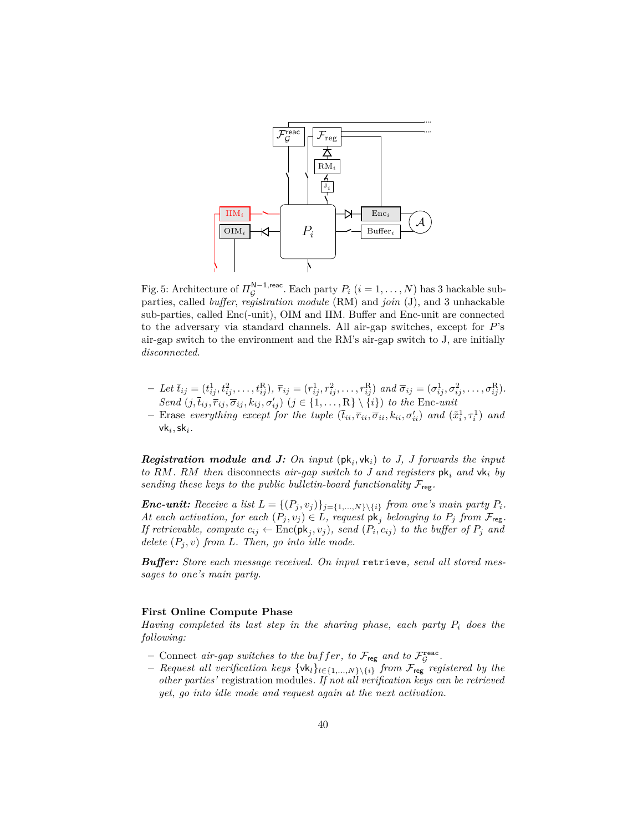<span id="page-39-0"></span>

Fig. 5: Architecture of  $\Pi_{\mathcal{G}}^{\mathsf{N}-1,\text{reac}}$ . Each party  $P_i$   $(i = 1, ..., N)$  has 3 hackable subparties, called *buffer*, *registration module* (RM) and *join* (J), and 3 unhackable sub-parties, called Enc(-unit), OIM and IIM. Buffer and Enc-unit are connected to the adversary via standard channels. All air-gap switches, except for *P*'s air-gap switch to the environment and the RM's air-gap switch to J, are initially *disconnected*.

- Let  $\bar{t}_{ij} = (t_{ij}^1, t_{ij}^2, \dots, t_{ij}^R), \ \bar{r}_{ij} = (r_{ij}^1, r_{ij}^2, \dots, r_{ij}^R)$  and  $\bar{\sigma}_{ij} = (\sigma_{ij}^1, \sigma_{ij}^2, \dots, \sigma_{ij}^R)$ . *Send*  $(j, \overline{t}_{ij}, \overline{r}_{ij}, \overline{\sigma}_{ij}, k_{ij}, \sigma'_{ij})$   $(j \in \{1, ..., R\} \setminus \{i\})$  *to the* Enc-unit
- Erase everything except for the tuple  $(\bar{t}_{ii}, \bar{r}_{ii}, \bar{\sigma}_{ii}, k_{ii}, \sigma'_{ii})$  and  $(\tilde{x}_i^1, \tau_i^1)$  and  $vk<sub>i</sub>$ , sk<sub>*i*</sub>.

*Registration module and J: On input*  $(\mathsf{pk}_i, \mathsf{vk}_i)$  *to J, J forwards the input to RM. RM then* disconnects *air-gap switch to J and registers* pk*<sup>i</sup> and* vk*<sup>i</sup> by sending these keys to the public bulletin-board functionality*  $\mathcal{F}_{\text{reg}}$ .

*<i>Enc-unit:* Receive a list  $L = \{(P_j, v_j)\}_{j = \{1, \ldots, N\}\setminus\{i\}}$  *from one's main party*  $P_i$ *. At each activation, for each*  $(P_j, v_j) \in L$ *, request*  $pk_j$  *belonging to*  $P_j$  *from*  $\mathcal{F}_{reg}$ *. If retrievable, compute*  $c_{ij} \leftarrow \text{Enc}(\text{pk}_j, v_j)$ *, send*  $(P_i, c_{ij})$  to the buffer of  $P_j$  and *delete*  $(P_i, v)$  *from L. Then, go into idle mode.* 

*Buffer: Store each message received. On input* retrieve*, send all stored messages to one's main party.*

#### **First Online Compute Phase**

*Having completed its last step in the sharing phase, each party P<sup>i</sup> does the following:*

- $-$  Connect *air-gap switches to the buffer*, to  $\mathcal{F}_{reg}$  *and to*  $\mathcal{F}_{\mathcal{G}}^{reac}$ .
- **–** *Request all verification keys* {vk*l*}*l*∈{1*,...,N*}\{*i*} *from* Freg *registered by the other parties'* registration modules*. If not all verification keys can be retrieved yet, go into idle mode and request again at the next activation.*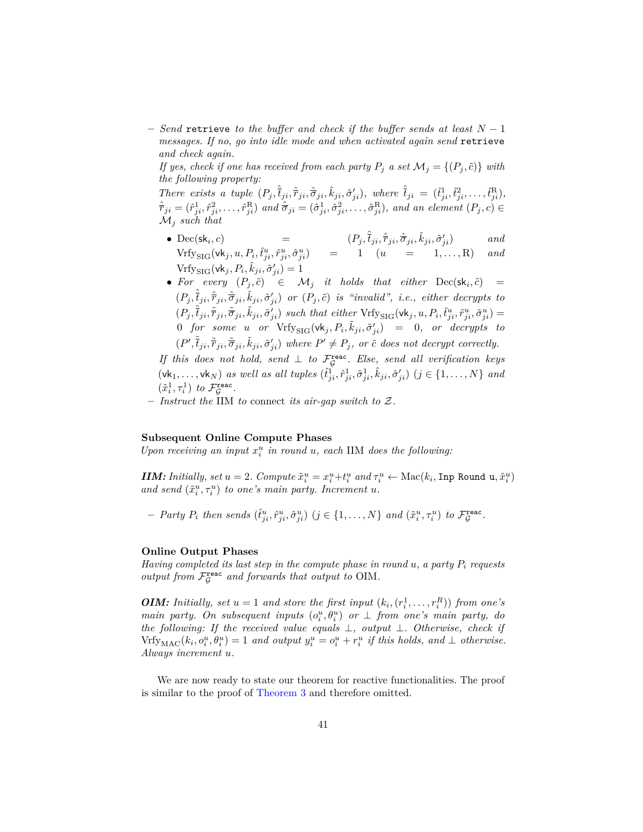**–** *Send* retrieve *to the buffer and check if the buffer sends at least N* − 1 *messages. If no, go into idle mode and when activated again send* retrieve *and check again.*

*If yes, check if one has received from each party*  $P_j$  *a set*  $\mathcal{M}_j = \{(P_j, \tilde{c})\}$  *with the following property:*

There exists a tuple  $(P_j, \hat{t}_{ji}, \hat{r}_{ji}, \hat{\sigma}_{ji}, \hat{k}_{ji}, \hat{\sigma}'_{ji})$ , where  $\hat{t}_{ji} = (\hat{t}_{ji}^1, \hat{t}_{ji}^2, \dots, \hat{t}_{ji}^R)$ ,  $\hat{\bar{r}}_{ji}=(\hat{r}_{ji}^1,\hat{r}_{ji}^2,\ldots,\hat{r}_{ji}^{\rm R})$  and  $\hat{\bar{\sigma}}_{ji}=(\hat{\sigma}_{ji}^1,\hat{\sigma}_{ji}^2,\ldots,\hat{\sigma}_{ji}^{\rm R}),$  and an element  $(P_j,c)\in$ M*<sup>j</sup> such that*

- Dec(sk<sub>i</sub>, c) *, c*) =  $(P_j, \hat{t}_{ji}, \hat{\tau}_{ji}, \hat{\sigma}_{ji}, \hat{k}_{ji}, \hat{\sigma}'_{ji})$  and  $Vrfy_{\text{SIG}}(\mathsf{vk}_j, u, P_i, \hat{t}_{ji}^u, \hat{r}_{ji}^u, \hat{\sigma}_{ji}^u) = 1 \quad (u = 1, ..., R) \quad and$  $Vrfy_{\text{SIG}}(\text{vk}_j, P_i, \hat{k}_{ji}, \hat{\sigma}'_{ji}) = 1$
- For every  $(P_j, \tilde{c}) \in \mathcal{M}_j$  *it holds that either*  $\text{Dec}(\mathsf{sk}_i, \tilde{c}) =$  $(P_j, \hat{\overline{t}}_{ji}, \hat{\overline{r}}_{ji}, \hat{\overline{\sigma}}_{ji}, \hat{k}_{ji}, \hat{\sigma}'_{ji})$  or  $(P_j, \tilde{c})$  is "invalid", i.e., either decrypts to  $(P_j, \tilde{\tilde{t}}_{ji}, \tilde{\tilde{r}}_{ji}, \tilde{\tilde{\sigma}}_{ji}, \tilde{k}_{ji}, \tilde{\sigma}'_{ji})$  such that either  $Vrf_{\text{YSIG}}(\mathsf{vk}_j, u, P_i, \tilde{t}^u_{ji}, \tilde{r}^u_{ji}, \tilde{\sigma}^u_{ji}) =$  $0$  *for some u or*  $Vrf_{\text{VSIG}}(vk_j, P_i, \tilde{k}_{ji}, \tilde{\sigma}'_{ji}) = 0$ , *or decrypts to*  $(P', \tilde{\overline{t}}_{ji}, \tilde{\overline{r}}_{ji}, \tilde{\overline{\sigma}}_{ji}, \tilde{k}_{ji}, \tilde{\sigma}'_{ji})$  where  $P' \neq P_j$ , or  $\tilde{c}$  does not decrypt correctly.

*If this does not hold, send*  $\perp$  *to*  $\mathcal{F}_{\mathcal{G}}^{\text{reac}}$ *. Else, send all verification keys*  $(\mathsf{vk}_1,\ldots,\mathsf{vk}_N)$  as well as all tuples  $(\hat{t}_{ji}^1,\hat{r}_{ji}^1,\hat{\sigma}_{ji}^1,\hat{k}_{ji},\hat{\sigma}_{ji}^{\prime})$   $(j \in \{1,\ldots,N\}$  and  $(\tilde{x}_i^1, \tau_i^1)$  to  $\mathcal{F}_{\mathcal{G}}^{\text{reac}}$ .

**–** *Instruct the* IIM *to* connect *its air-gap switch to* Z*.*

#### **Subsequent Online Compute Phases**

*Upon receiving an input*  $x_i^u$  *in round u, each* IIM *does the following:* 

**IIM:** Initially, set  $u = 2$ . Compute  $\tilde{x}_i^u = x_i^u + t_i^u$  and  $\tau_i^u \leftarrow \text{Mac}(k_i, \text{Imp Round } u, \tilde{x}_i^u)$ *and send*  $(\tilde{x}_i^u, \tau_i^u)$  *to one's main party. Increment u.* 

- Party  $P_i$  then sends  $(\hat{t}_{ji}^u, \hat{r}_{ji}^u, \hat{\sigma}_{ji}^u)$   $(j \in \{1, ..., N\}$  and  $(\tilde{x}_i^u, \tau_i^u)$  to  $\mathcal{F}_{\mathcal{G}}^{\text{reac}}$ .

#### **Online Output Phases**

*Having completed its last step in the compute phase in round u, a party P<sup>i</sup> requests* output from  $\mathcal{F}_{\mathcal{G}}^{\texttt{reac}}$  and forwards that output to OIM.

*OIM: Initially, set*  $u = 1$  *and store the first input*  $(k_i, (r_i^1, \ldots, r_i^R))$  *from one's main party. On subsequent inputs*  $(o_i^u, \theta_i^u)$  *or*  $\perp$  *from one's main party, do the following: If the received value equals* ⊥*, output* ⊥*. Otherwise, check if*  $Vrfy_{MAC}(k_i, o_i^u, \theta_i^u) = 1$  and output  $y_i^u = o_i^u + r_i^u$  if this holds, and  $\perp$  otherwise. *Always increment u.*

<span id="page-40-0"></span>We are now ready to state our theorem for reactive functionalities. The proof is similar to the proof of [Theorem 3](#page-27-0) and therefore omitted.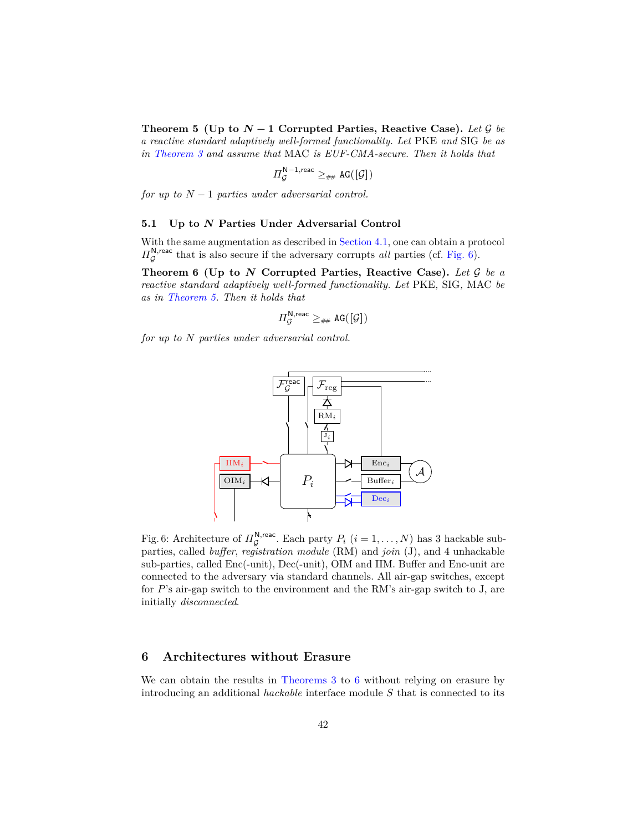**Theorem 5** (Up to  $N-1$  Corrupted Parties, Reactive Case). Let G be *a reactive standard adaptively well-formed functionality. Let* PKE *and* SIG *be as in [Theorem 3](#page-27-0) and assume that* MAC *is EUF-CMA-secure. Then it holds that*

$$
\Pi_{\mathcal{G}}^{\mathsf{N}-1,\text{reac}} \geq_{\# \#} \mathtt{AG}([\mathcal{G}])
$$

*for up to*  $N-1$  *parties under adversarial control.* 

#### **5.1 Up to** *N* **Parties Under Adversarial Control**

With the same augmentation as described in [Section 4.1,](#page-35-2) one can obtain a protocol  $\Pi_{\mathcal{G}}^{\mathsf{N},\text{reac}}$  that is also secure if the adversary corrupts *all* parties (cf. [Fig. 6\)](#page-41-2).

**Theorem 6 (Up to** *N* **Corrupted Parties, Reactive Case).** *Let* G *be a reactive standard adaptively well-formed functionality. Let* PKE*,* SIG*,* MAC *be as in [Theorem 5.](#page-40-0) Then it holds that*

<span id="page-41-0"></span>
$$
\varPi_{\mathcal{G}}^{\mathsf{N},\mathsf{reac}} \geq_{\# \#} \mathtt{AG}([\mathcal{G}])
$$

<span id="page-41-2"></span>*for up to N parties under adversarial control.*



Fig. 6: Architecture of  $\Pi_{\mathcal{G}}^{\mathsf{N},\text{reac}}$ . Each party  $P_i$   $(i = 1, ..., N)$  has 3 hackable subparties, called *buffer*, *registration module* (RM) and *join* (J), and 4 unhackable sub-parties, called Enc(-unit), Dec(-unit), OIM and IIM. Buffer and Enc-unit are connected to the adversary via standard channels. All air-gap switches, except for *P*'s air-gap switch to the environment and the RM's air-gap switch to J, are initially *disconnected*.

#### <span id="page-41-1"></span>**6 Architectures without Erasure**

We can obtain the results in [Theorems 3](#page-27-0) to [6](#page-41-0) without relying on erasure by introducing an additional *hackable* interface module *S* that is connected to its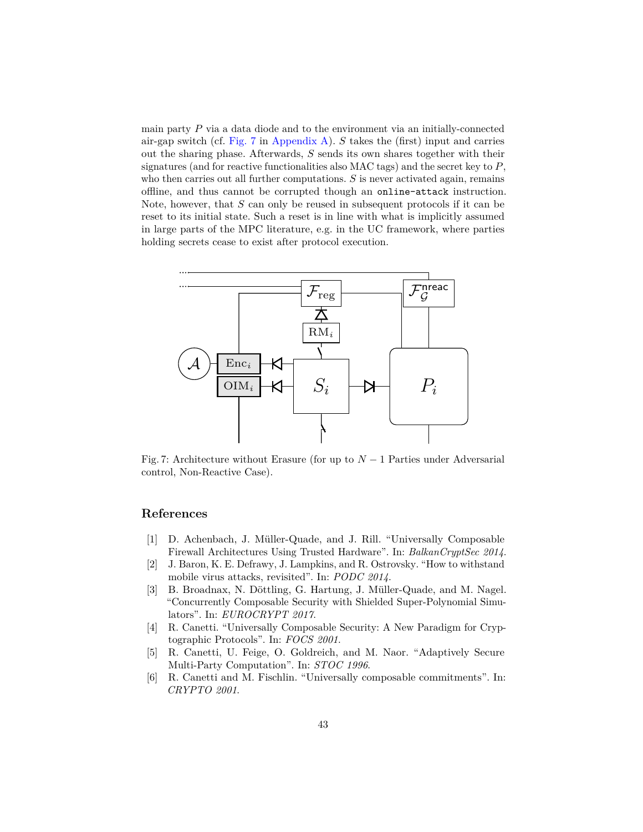main party *P* via a data diode and to the environment via an initially-connected air-gap switch (cf. [Fig. 7](#page-42-5) in [Appendix A\)](#page-44-0). *S* takes the (first) input and carries out the sharing phase. Afterwards, *S* sends its own shares together with their signatures (and for reactive functionalities also MAC tags) and the secret key to *P*, who then carries out all further computations. *S* is never activated again, remains offline, and thus cannot be corrupted though an online-attack instruction. Note, however, that *S* can only be reused in subsequent protocols if it can be reset to its initial state. Such a reset is in line with what is implicitly assumed in large parts of the MPC literature, e.g. in the UC framework, where parties holding secrets cease to exist after protocol execution.

<span id="page-42-5"></span>

Fig. 7: Architecture without Erasure (for up to  $N-1$  Parties under Adversarial control, Non-Reactive Case).

## **References**

- <span id="page-42-4"></span>[1] D. Achenbach, J. Müller-Quade, and J. Rill. "Universally Composable Firewall Architectures Using Trusted Hardware". In: *BalkanCryptSec 2014*.
- <span id="page-42-3"></span>[2] J. Baron, K. E. Defrawy, J. Lampkins, and R. Ostrovsky. "How to withstand mobile virus attacks, revisited". In: *PODC 2014*.
- <span id="page-42-6"></span>[3] B. Broadnax, N. Döttling, G. Hartung, J. Müller-Quade, and M. Nagel. "Concurrently Composable Security with Shielded Super-Polynomial Simulators". In: *EUROCRYPT 2017*.
- <span id="page-42-1"></span>[4] R. Canetti. "Universally Composable Security: A New Paradigm for Cryptographic Protocols". In: *FOCS 2001*.
- <span id="page-42-0"></span>[5] R. Canetti, U. Feige, O. Goldreich, and M. Naor. "Adaptively Secure Multi-Party Computation". In: *STOC 1996*.
- <span id="page-42-2"></span>[6] R. Canetti and M. Fischlin. "Universally composable commitments". In: *CRYPTO 2001*.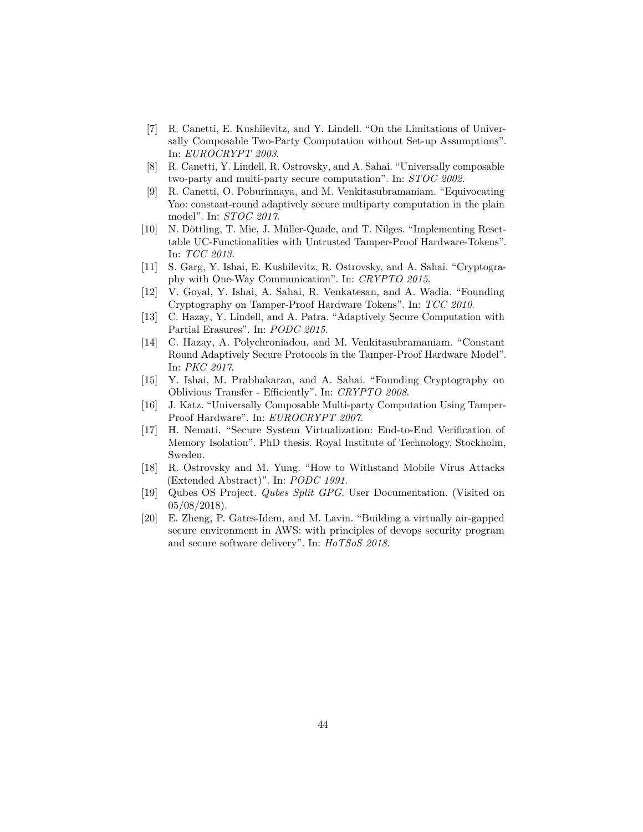- <span id="page-43-1"></span>[7] R. Canetti, E. Kushilevitz, and Y. Lindell. "On the Limitations of Universally Composable Two-Party Computation without Set-up Assumptions". In: *EUROCRYPT 2003*.
- <span id="page-43-2"></span>[8] R. Canetti, Y. Lindell, R. Ostrovsky, and A. Sahai. "Universally composable two-party and multi-party secure computation". In: *STOC 2002*.
- <span id="page-43-5"></span>[9] R. Canetti, O. Poburinnaya, and M. Venkitasubramaniam. "Equivocating Yao: constant-round adaptively secure multiparty computation in the plain model". In: *STOC 2017*.
- <span id="page-43-9"></span>[10] N. Döttling, T. Mie, J. Müller-Quade, and T. Nilges. "Implementing Resettable UC-Functionalities with Untrusted Tamper-Proof Hardware-Tokens". In: *TCC 2013*.
- <span id="page-43-7"></span>[11] S. Garg, Y. Ishai, E. Kushilevitz, R. Ostrovsky, and A. Sahai. "Cryptography with One-Way Communication". In: *CRYPTO 2015*.
- <span id="page-43-8"></span>[12] V. Goyal, Y. Ishai, A. Sahai, R. Venkatesan, and A. Wadia. "Founding Cryptography on Tamper-Proof Hardware Tokens". In: *TCC 2010*.
- <span id="page-43-4"></span>[13] C. Hazay, Y. Lindell, and A. Patra. "Adaptively Secure Computation with Partial Erasures". In: *PODC 2015*.
- <span id="page-43-10"></span>[14] C. Hazay, A. Polychroniadou, and M. Venkitasubramaniam. "Constant Round Adaptively Secure Protocols in the Tamper-Proof Hardware Model". In: *PKC 2017*.
- <span id="page-43-3"></span>[15] Y. Ishai, M. Prabhakaran, and A. Sahai. "Founding Cryptography on Oblivious Transfer - Efficiently". In: *CRYPTO 2008*.
- <span id="page-43-0"></span>[16] J. Katz. "Universally Composable Multi-party Computation Using Tamper-Proof Hardware". In: *EUROCRYPT 2007*.
- <span id="page-43-11"></span>[17] H. Nemati. "Secure System Virtualization: End-to-End Verification of Memory Isolation". PhD thesis. Royal Institute of Technology, Stockholm, Sweden.
- <span id="page-43-6"></span>[18] R. Ostrovsky and M. Yung. "How to Withstand Mobile Virus Attacks (Extended Abstract)". In: *PODC 1991*.
- <span id="page-43-13"></span>[19] Qubes OS Project. *Qubes Split GPG*. User Documentation. (Visited on  $05/08/2018$ .
- <span id="page-43-12"></span>[20] E. Zheng, P. Gates-Idem, and M. Lavin. "Building a virtually air-gapped secure environment in AWS: with principles of devops security program and secure software delivery". In: *HoTSoS 2018*.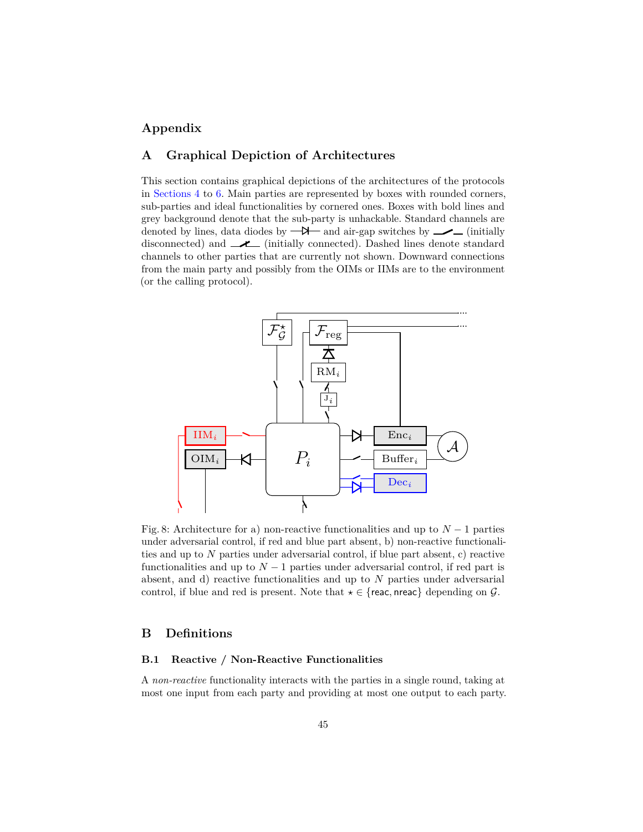## **Appendix**

## <span id="page-44-0"></span>**A Graphical Depiction of Architectures**

This section contains graphical depictions of the architectures of the protocols in [Sections 4](#page-20-1) to [6.](#page-41-1) Main parties are represented by boxes with rounded corners, sub-parties and ideal functionalities by cornered ones. Boxes with bold lines and grey background denote that the sub-party is unhackable. Standard channels are denoted by lines, data diodes by  $-\lambda$  and air-gap switches by  $\sim$  (initially disconnected) and  $\longrightarrow$  (initially connected). Dashed lines denote standard channels to other parties that are currently not shown. Downward connections from the main party and possibly from the OIMs or IIMs are to the environment (or the calling protocol).



Fig. 8: Architecture for a) non-reactive functionalities and up to  $N-1$  parties under adversarial control, if red and blue part absent, b) non-reactive functionalities and up to *N* parties under adversarial control, if blue part absent, c) reactive functionalities and up to  $N-1$  parties under adversarial control, if red part is absent, and d) reactive functionalities and up to *N* parties under adversarial control, if blue and red is present. Note that  $\star \in \{$ reac, nreac $\}$  depending on  $\mathcal{G}$ .

## <span id="page-44-1"></span>**B Definitions**

## **B.1 Reactive / Non-Reactive Functionalities**

A *non-reactive* functionality interacts with the parties in a single round, taking at most one input from each party and providing at most one output to each party.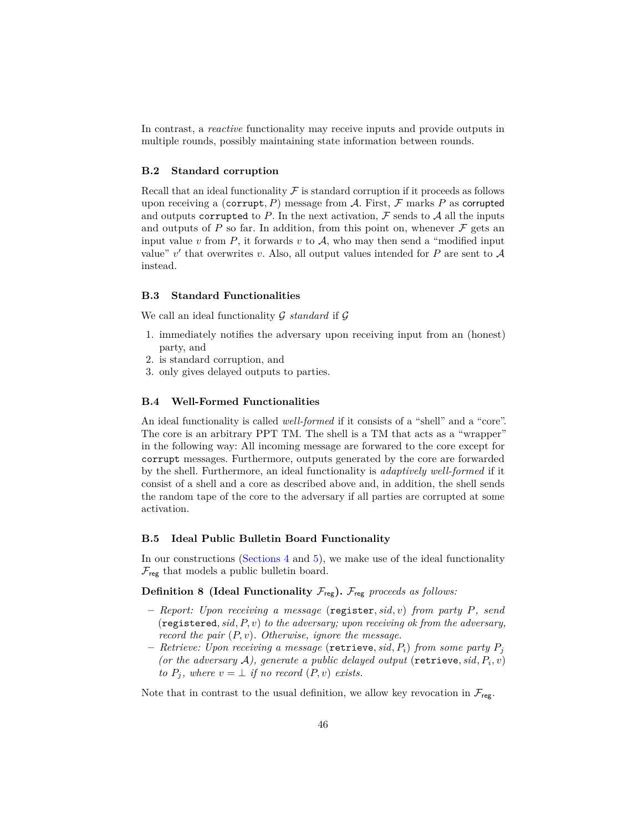In contrast, a *reactive* functionality may receive inputs and provide outputs in multiple rounds, possibly maintaining state information between rounds.

#### **B.2 Standard corruption**

Recall that an ideal functionality  $\mathcal F$  is standard corruption if it proceeds as follows upon receiving a (corrupt,  $P$ ) message from  $A$ . First,  $\mathcal F$  marks  $P$  as corrupted and outputs corrupted to  $P$ . In the next activation,  $\mathcal F$  sends to  $\mathcal A$  all the inputs and outputs of  $P$  so far. In addition, from this point on, whenever  $\mathcal F$  gets an input value  $v$  from  $P$ , it forwards  $v$  to  $A$ , who may then send a "modified input value"  $v'$  that overwrites  $v$ . Also, all output values intended for  $P$  are sent to  $\mathcal A$ instead.

#### **B.3 Standard Functionalities**

We call an ideal functionality G *standard* if G

- 1. immediately notifies the adversary upon receiving input from an (honest) party, and
- 2. is standard corruption, and
- 3. only gives delayed outputs to parties.

#### **B.4 Well-Formed Functionalities**

An ideal functionality is called *well-formed* if it consists of a "shell" and a "core". The core is an arbitrary PPT TM. The shell is a TM that acts as a "wrapper" in the following way: All incoming message are forwared to the core except for corrupt messages. Furthermore, outputs generated by the core are forwarded by the shell. Furthermore, an ideal functionality is *adaptively well-formed* if it consist of a shell and a core as described above and, in addition, the shell sends the random tape of the core to the adversary if all parties are corrupted at some activation.

#### <span id="page-45-0"></span>**B.5 Ideal Public Bulletin Board Functionality**

In our constructions [\(Sections 4](#page-20-1) and [5\)](#page-36-0), we make use of the ideal functionality  $\mathcal{F}_{\text{reg}}$  that models a public bulletin board.

## **Definition 8 (Ideal Functionality**  $\mathcal{F}_{reg}$ ).  $\mathcal{F}_{reg}$  proceeds as follows:

- **–** *Report: Upon receiving a message* (register*, sid, v*) *from party P, send* (registered*, sid, P, v*) *to the adversary; upon receiving ok from the adversary, record the pair* (*P, v*)*. Otherwise, ignore the message.*
- **–** *Retrieve: Upon receiving a message* (retrieve*, sid, Pi*) *from some party P<sup>j</sup>* (or the adversary  $A$ ), generate a public delayed output (retrieve,  $sid, P_i, v$ ) *to*  $P_i$ , where  $v = \perp$  *if no record*  $(P, v)$  *exists.*

Note that in contrast to the usual definition, we allow key revocation in  $\mathcal{F}_{reg}$ .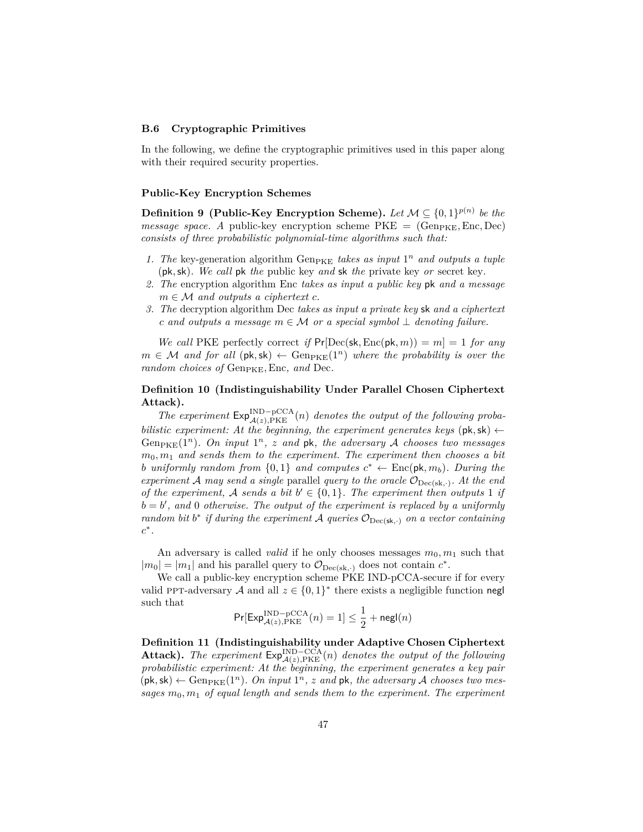#### <span id="page-46-0"></span>**B.6 Cryptographic Primitives**

In the following, we define the cryptographic primitives used in this paper along with their required security properties.

#### **Public-Key Encryption Schemes**

**Definition 9** (Public-Key Encryption Scheme). Let  $\mathcal{M} \subseteq \{0,1\}^{p(n)}$  be the *message space. A public-key encryption scheme*  $PKE = (Gen_{PKE}, Enc, Dec)$ *consists of three probabilistic polynomial-time algorithms such that:*

- 1. The key-generation algorithm  $Gen_{\text{PKE}}$  takes as input  $1^n$  and outputs a tuple (pk*,*sk)*. We call* pk *the* public key *and* sk *the* private key *or* secret key*.*
- *2. The* encryption algorithm Enc *takes as input a public key* pk *and a message*  $m \in \mathcal{M}$  *and outputs a ciphertext c.*
- *3. The* decryption algorithm Dec *takes as input a private key* sk *and a ciphertext c* and outputs a message  $m ∈ M$  or a special symbol  $⊥$  denoting failure.

*We call* PKE perfectly correct *if*  $Pr[Dec(\mathsf{sk}, Enc(\mathsf{pk}, m)) = m] = 1$  *for any*  $m \in \mathcal{M}$  and for all  $(\mathsf{pk}, \mathsf{sk}) \leftarrow \text{Gen}_{\text{PKE}}(1^n)$  where the probability is over the *random choices of* Gen<sub>PKE</sub>, Enc, and Dec.

## <span id="page-46-1"></span>**Definition 10 (Indistinguishability Under Parallel Chosen Ciphertext Attack).**

The experiment  $Exp_{\mathcal{A}(z),\text{PKE}}^{\text{IND}-\text{pCCA}}(n)$  *denotes the output of the following probabilistic experiment: At the beginning, the experiment generates keys* ( $pk, sk$ )  $\leftarrow$ Gen<sub>PKE</sub> $(1^n)$ *. On input*  $1^n$ *, z and pk, the adversary* A *chooses two messages*  $m_0, m_1$  *and sends them to the experiment. The experiment then chooses a bit b uniformly random from*  $\{0,1\}$  *and computes*  $c^* \leftarrow \text{Enc}(\mathsf{pk}, m_b)$ *. During the experiment* A *may send a single* parallel *query to the oracle*  $\mathcal{O}_{\text{Dec}(sk, \cdot)}$ *. At the end of the experiment,* A sends a bit  $b' \in \{0,1\}$ . The experiment then outputs 1 *if*  $b = b'$ , and 0 *otherwise. The output of the experiment is replaced by a uniformly random bit*  $b^*$  *if during the experiment* A *queries*  $\mathcal{O}_{\text{Dec}(\textbf{sk},\cdot)}$  *on a vector containing c* ∗ *.*

An adversary is called *valid* if he only chooses messages  $m_0, m_1$  such that  $|m_0| = |m_1|$  and his parallel query to  $\mathcal{O}_{\text{Dec}(sk, \cdot)}$  does not contain  $c^*$ .

We call a public-key encryption scheme PKE IND-pCCA-secure if for every valid PPT-adversary A and all  $z \in \{0,1\}^*$  there exists a negligible function negl such that

$$
\Pr[\mathsf{Exp}_{\mathcal{A}(z), \mathrm{PKE}}^{\mathrm{IND-pCCA}}(n) = 1] \leq \frac{1}{2} + \mathsf{negl}(n)
$$

<span id="page-46-2"></span>**Definition 11 (Indistinguishability under Adaptive Chosen Ciphertext Attack).** The experiment  $\mathsf{Exp}_{\mathcal{A}(z),\mathrm{PKE}}^{\mathrm{IND-CCA}}(n)$  denotes the output of the following *probabilistic experiment: At the beginning, the experiment generates a key pair*  $(\mathsf{pk}, \mathsf{sk}) \leftarrow \text{Gen}_{\text{PKE}}(1^n)$ . On input  $1^n$ , z and  $\mathsf{pk}$ , the adversary A chooses two messages  $m_0, m_1$  of equal length and sends them to the experiment. The experiment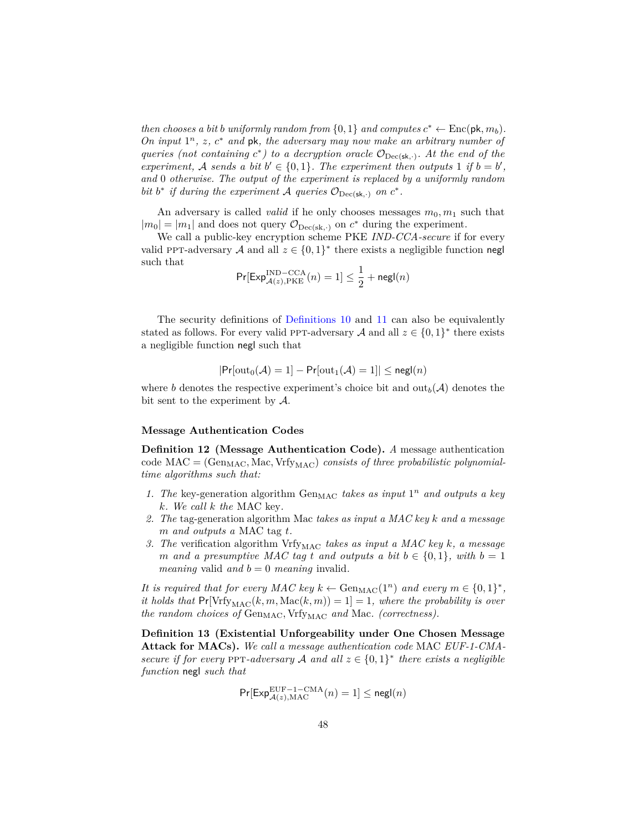*then chooses a bit b uniformly random from*  $\{0, 1\}$  *and computes*  $c^* \leftarrow \text{Enc}(\mathsf{pk}, m_b)$ *. On input* 1 *<sup>n</sup>, z, c* <sup>∗</sup> *and* pk*, the adversary may now make an arbitrary number of queries (not containing*  $c^*$ ) to a decryption oracle  $\mathcal{O}_{\text{Dec}(\textbf{sk},\cdot)}$ . At the end of the *experiment,* A sends a bit  $b' \in \{0, 1\}$ . The experiment then outputs 1 if  $b = b'$ , *and* 0 *otherwise. The output of the experiment is replaced by a uniformly random bit b*<sup>\*</sup> *if during the experiment A queries*  $\mathcal{O}_{\text{Dec}(\textbf{sk},\cdot)}$  *on*  $c^*$ *.* 

An adversary is called *valid* if he only chooses messages  $m_0, m_1$  such that  $|m_0| = |m_1|$  and does not query  $\mathcal{O}_{\text{Dec}(sk, \cdot)}$  on  $c^*$  during the experiment.

We call a public-key encryption scheme PKE *IND-CCA-secure* if for every valid PPT-adversary A and all  $z \in \{0,1\}^*$  there exists a negligible function negl such that

$$
\Pr[\mathsf{Exp}^{\text{IND-CCA}}_{\mathcal{A}(z), \text{PKE}}(n) = 1] \leq \frac{1}{2} + \mathsf{negl}(n)
$$

The security definitions of [Definitions 10](#page-46-1) and [11](#page-46-2) can also be equivalently stated as follows. For every valid PPT-adversary  $A$  and all  $z \in \{0,1\}^*$  there exists a negligible function negl such that

$$
|\mathsf{Pr}[\text{out}_0(\mathcal{A})=1]-\mathsf{Pr}[\text{out}_1(\mathcal{A})=1]|\leq \mathsf{negl}(n)
$$

where *b* denotes the respective experiment's choice bit and  $\text{out}_b(\mathcal{A})$  denotes the bit sent to the experiment by A.

#### **Message Authentication Codes**

**Definition 12 (Message Authentication Code).** *A* message authentication code  $MAC = (Gen_{MAC}, Mac, Vrfy_{MAC})$  *consists of three probabilistic polynomialtime algorithms such that:*

- 1. The key-generation algorithm  $Gen_{MAC}$  *takes as input*  $1<sup>n</sup>$  *and outputs a key k. We call k the* MAC key*.*
- *2. The* tag-generation algorithm Mac *takes as input a MAC key k and a message m and outputs a* MAC tag *t.*
- *3. The* verification algorithm Vrfy<sub>MAC</sub> takes as input a MAC key *k*, a message *m* and a presumptive MAC tag *t* and outputs a bit  $b \in \{0, 1\}$ , with  $b = 1$ *meaning* valid *and*  $b = 0$  *meaning* invalid.

*It is required that for every MAC key*  $k \leftarrow$  Gen<sub>MAC</sub>(1<sup>n</sup>) *and every*  $m \in \{0,1\}^*$ , *it holds that*  $Pr[\V{Vrf}^{\text{MAC}}(k, m, \text{Mac}(k, m)) = 1] = 1$ *, where the probability is over the random choices of* Gen<sub>MAC</sub>, Vrfy<sub>MAC</sub> and Mac. (correctness).

**Definition 13 (Existential Unforgeability under One Chosen Message Attack for MACs).** *We call a message authentication code* MAC *EUF-1-CMAsecure if for every* PPT-adversary A and all  $z \in \{0,1\}^*$  there exists a negligible *function* negl *such that*

$$
\Pr[\mathsf{Exp}_{\mathcal{A}(z),\mathrm{MAC}}^{\mathrm{EUF}-1-\mathrm{CMA}}(n)=1]\leq \mathsf{negl}(n)
$$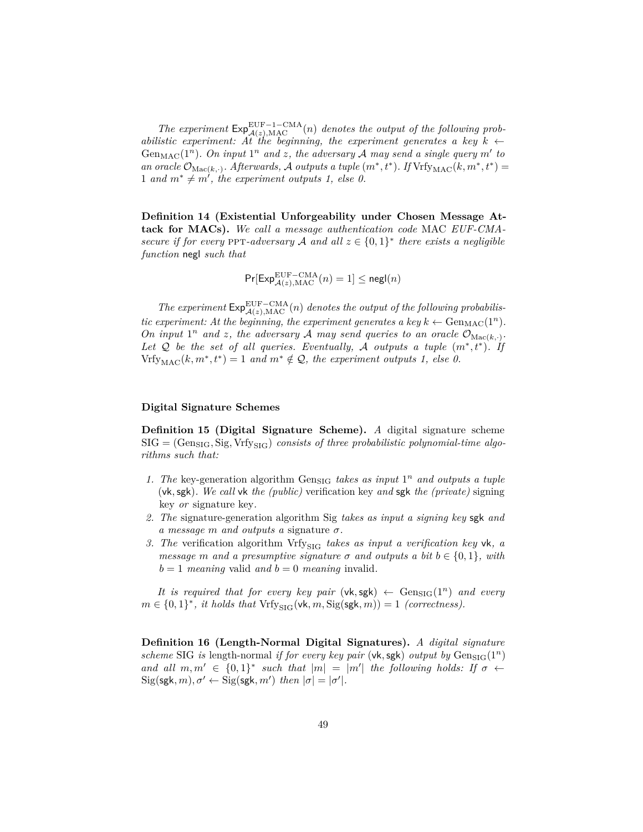The experiment  $Exp_{\mathcal{A}(z),\text{MAC}}^{\text{EUF}-1-\text{CMA}}(n)$  *denotes the output of the following probabilistic experiment: At the beginning, the experiment generates a key*  $k \leftarrow$ Gen<sub>MAC</sub>( $1^n$ ). On input  $1^n$  and z, the adversary A may send a single query m' to *an oracle*  $\mathcal{O}_{\text{Mac}(k, \cdot)}$ *. Afterwards,* A *outputs a tuple*  $(m^*, t^*)$ *. If* Vrfy<sub>MAC</sub> $(k, m^*, t^*)$  = 1 and  $m^* \neq m'$ , the experiment outputs 1, else 0.

**Definition 14 (Existential Unforgeability under Chosen Message Attack for MACs).** *We call a message authentication code* MAC *EUF-CMAsecure if for every* PPT-adversary A and all  $z \in \{0,1\}^*$  there exists a negligible *function* negl *such that*

$$
\Pr[\mathsf{Exp}_{\mathcal{A}(z),\mathrm{MAC}}^{\mathrm{EUF-CMA}}(n)=1]\leq \mathsf{negl}(n)
$$

The experiment  $Exp_{\mathcal{A}(z),\text{MAC}}^{\text{EUF}-\text{CMA}}(n)$  denotes the output of the following probabilis*tic experiment: At the beginning, the experiment generates a key*  $k \leftarrow \text{Gen}_{\text{MAC}}(1^n)$ *. On input*  $1^n$  *and z, the adversary A may send queries to an oracle*  $\mathcal{O}_{\text{Mac}(k, \cdot)}$ *.* Let  $Q$  be the set of all queries. Eventually, A outputs a tuple  $(m^*, t^*)$ . If  $Vrfy_{MAC}(k, m^*, t^*) = 1$  *and*  $m^* \notin Q$ *, the experiment outputs 1, else 0.* 

#### **Digital Signature Schemes**

**Definition 15 (Digital Signature Scheme).** *A* digital signature scheme  $\text{SIG} = (\text{Gen}_{\text{SIG}}, \text{Sig}, \text{Vrf}_{\text{SIG}})$  *consists of three probabilistic polynomial-time algorithms such that:*

- 1. The key-generation algorithm  $Gen_{SIG}$  *takes as input*  $1<sup>n</sup>$  *and outputs a tuple* (vk*,*sgk)*. We call* vk *the (public)* verification key *and* sgk *the (private)* signing key *or* signature key*.*
- *2. The* signature-generation algorithm Sig *takes as input a signing key* sgk *and a message m and outputs a* signature *σ.*
- *3. The* verification algorithm Vrfy<sub>SIG</sub> takes as input a verification key vk, a *message m and a presumptive signature*  $\sigma$  *and outputs a bit*  $b \in \{0, 1\}$ *, with*  $b = 1$  *meaning* valid *and*  $b = 0$  *meaning* invalid.

*It is required that for every key pair* (vk, sgk)  $\leftarrow$  Gen<sub>SIG</sub>(1<sup>n</sup>) *and every*  $m \in \{0,1\}^*$ , *it holds that*  $Vrfy_{\text{SIG}}(\mathsf{vk}, m, \text{Sig}(\mathsf{sgk}, m)) = 1$  *(correctness).* 

**Definition 16 (Length-Normal Digital Signatures).** *A digital signature scheme* SIG *is* length-normal *if for every key pair* (vk, sgk) *output by*  $Gen_{SIG}(1^n)$ *and all*  $m, m' \in \{0, 1\}^*$  such that  $|m| = |m'|$  the following holds: If  $\sigma \leftarrow$  $\text{Sig(sgk}, m), \sigma' \leftarrow \text{Sig(sgk}, m')$  *then*  $|\sigma| = |\sigma'|$ *.*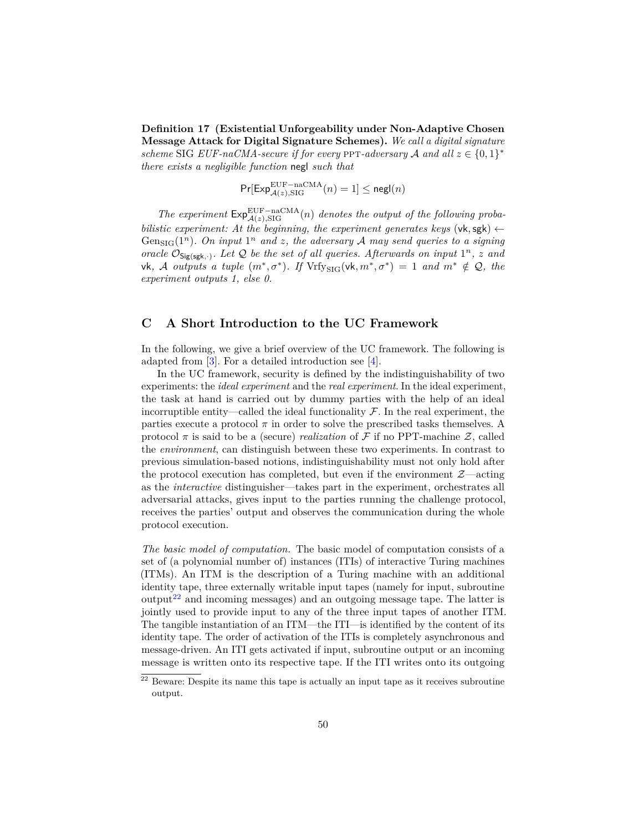**Definition 17 (Existential Unforgeability under Non-Adaptive Chosen Message Attack for Digital Signature Schemes).** *We call a digital signature scheme* SIG *EUF-naCMA-secure if for every* PPT-adversary A and all  $z \in \{0,1\}^*$ *there exists a negligible function* negl *such that*

$$
\Pr[\mathsf{Exp}_{\mathcal{A}(z),\mathsf{SIG}}^{\mathsf{EUF}-\mathsf{naCMA}}(n)=1]\leq \mathsf{negl}(n)
$$

The experiment  $Exp_{\mathcal{A}(z),\mathrm{SIG}}^{\mathrm{EUF-naCMA}}(n)$  *denotes the output of the following probabilistic experiment: At the beginning, the experiment generates keys* (vk, sgk)  $\leftarrow$ Gen<sub>SIG</sub>( $1^n$ ). On input  $1^n$  and z, the adversary A may send queries to a signing *oracle*  $\mathcal{O}_{\mathsf{Sig(sgk, \cdot)}}$ *. Let*  $\mathcal{Q}$  *be the set of all queries. Afterwards on input*  $1^n$ *, z and*  $\mathsf{v}\mathsf{k}$ *,*  $\mathcal{A}$  *outputs* a tuple  $(m^*, \sigma^*)$ *. If*  $\mathrm{Vrfy}_{\mathrm{SIG}}(\mathsf{v}\mathsf{k}, m^*, \sigma^*) = 1$  and  $m^* \notin \mathcal{Q}$ *, the experiment outputs 1, else 0.*

## **C A Short Introduction to the UC Framework**

In the following, we give a brief overview of the UC framework. The following is adapted from [\[3\]](#page-42-6). For a detailed introduction see [\[4\]](#page-42-1).

In the UC framework, security is defined by the indistinguishability of two experiments: the *ideal experiment* and the *real experiment*. In the ideal experiment, the task at hand is carried out by dummy parties with the help of an ideal incorruptible entity—called the ideal functionality  $\mathcal F$ . In the real experiment, the parties execute a protocol  $\pi$  in order to solve the prescribed tasks themselves. A protocol  $\pi$  is said to be a (secure) *realization* of  $\mathcal F$  if no PPT-machine  $\mathcal Z$ , called the *environment*, can distinguish between these two experiments. In contrast to previous simulation-based notions, indistinguishability must not only hold after the protocol execution has completed, but even if the environment  $\mathcal{Z}-\text{acting}$ as the *interactive* distinguisher—takes part in the experiment, orchestrates all adversarial attacks, gives input to the parties running the challenge protocol, receives the parties' output and observes the communication during the whole protocol execution.

*The basic model of computation.* The basic model of computation consists of a set of (a polynomial number of) instances (ITIs) of interactive Turing machines (ITMs). An ITM is the description of a Turing machine with an additional identity tape, three externally writable input tapes (namely for input, subroutine output<sup>[22](#page-49-0)</sup> and incoming messages) and an outgoing message tape. The latter is jointly used to provide input to any of the three input tapes of another ITM. The tangible instantiation of an ITM—the ITI—is identified by the content of its identity tape. The order of activation of the ITIs is completely asynchronous and message-driven. An ITI gets activated if input, subroutine output or an incoming message is written onto its respective tape. If the ITI writes onto its outgoing

<span id="page-49-0"></span> $22$  Beware: Despite its name this tape is actually an input tape as it receives subroutine output.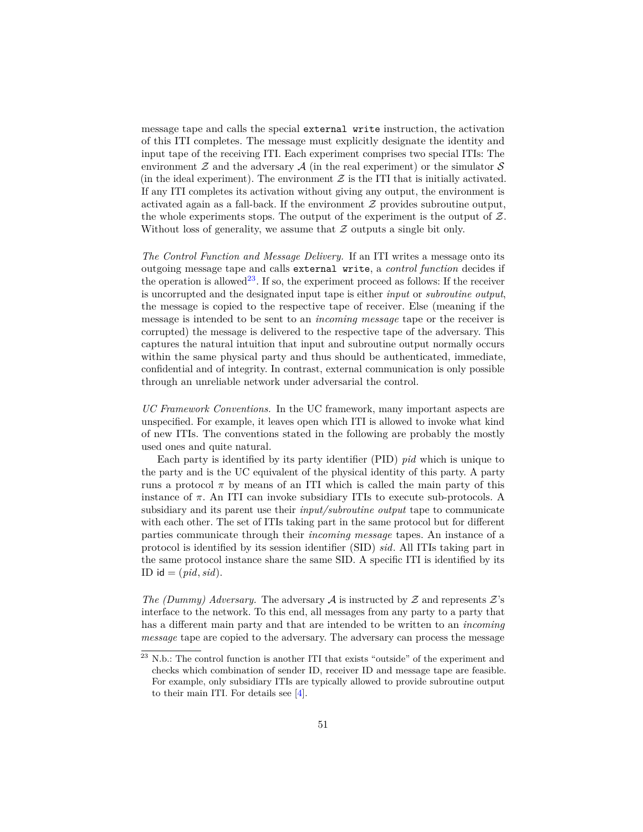message tape and calls the special external write instruction, the activation of this ITI completes. The message must explicitly designate the identity and input tape of the receiving ITI. Each experiment comprises two special ITIs: The environment  $\mathcal Z$  and the adversary  $\mathcal A$  (in the real experiment) or the simulator  $\mathcal S$ (in the ideal experiment). The environment  $\mathcal Z$  is the ITI that is initially activated. If any ITI completes its activation without giving any output, the environment is activated again as a fall-back. If the environment  $\mathcal Z$  provides subroutine output, the whole experiments stops. The output of the experiment is the output of  $Z$ . Without loss of generality, we assume that  $\mathcal Z$  outputs a single bit only.

*The Control Function and Message Delivery.* If an ITI writes a message onto its outgoing message tape and calls external write, a *control function* decides if the operation is allowed<sup>[23](#page-50-0)</sup>. If so, the experiment proceed as follows: If the receiver is uncorrupted and the designated input tape is either *input* or *subroutine output*, the message is copied to the respective tape of receiver. Else (meaning if the message is intended to be sent to an *incoming message* tape or the receiver is corrupted) the message is delivered to the respective tape of the adversary. This captures the natural intuition that input and subroutine output normally occurs within the same physical party and thus should be authenticated, immediate, confidential and of integrity. In contrast, external communication is only possible through an unreliable network under adversarial the control.

*UC Framework Conventions.* In the UC framework, many important aspects are unspecified. For example, it leaves open which ITI is allowed to invoke what kind of new ITIs. The conventions stated in the following are probably the mostly used ones and quite natural.

Each party is identified by its party identifier (PID) *pid* which is unique to the party and is the UC equivalent of the physical identity of this party. A party runs a protocol  $\pi$  by means of an ITI which is called the main party of this instance of  $\pi$ . An ITI can invoke subsidiary ITIs to execute sub-protocols. A subsidiary and its parent use their *input/subroutine output* tape to communicate with each other. The set of ITIs taking part in the same protocol but for different parties communicate through their *incoming message* tapes. An instance of a protocol is identified by its session identifier (SID) *sid*. All ITIs taking part in the same protocol instance share the same SID. A specific ITI is identified by its ID id =  $(pid, sid)$ .

*The (Dummy) Adversary.* The adversary  $A$  is instructed by  $Z$  and represents  $Z$ 's interface to the network. To this end, all messages from any party to a party that has a different main party and that are intended to be written to an *incoming message* tape are copied to the adversary. The adversary can process the message

<span id="page-50-0"></span> $^{23}$  N.b.: The control function is another ITI that exists "outside" of the experiment and checks which combination of sender ID, receiver ID and message tape are feasible. For example, only subsidiary ITIs are typically allowed to provide subroutine output to their main ITI. For details see [\[4\]](#page-42-1).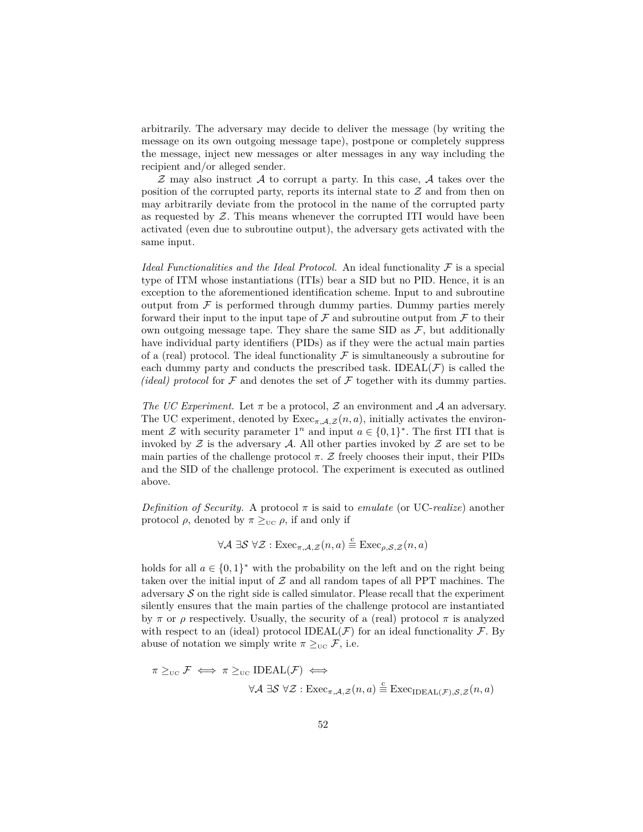arbitrarily. The adversary may decide to deliver the message (by writing the message on its own outgoing message tape), postpone or completely suppress the message, inject new messages or alter messages in any way including the recipient and/or alleged sender.

 $Z$  may also instruct  $A$  to corrupt a party. In this case,  $A$  takes over the position of the corrupted party, reports its internal state to  $Z$  and from then on may arbitrarily deviate from the protocol in the name of the corrupted party as requested by  $Z$ . This means whenever the corrupted ITI would have been activated (even due to subroutine output), the adversary gets activated with the same input.

*Ideal Functionalities and the Ideal Protocol.* An ideal functionality  $\mathcal F$  is a special type of ITM whose instantiations (ITIs) bear a SID but no PID. Hence, it is an exception to the aforementioned identification scheme. Input to and subroutine output from  $F$  is performed through dummy parties. Dummy parties merely forward their input to the input tape of  $\mathcal F$  and subroutine output from  $\mathcal F$  to their own outgoing message tape. They share the same SID as  $\mathcal{F}$ , but additionally have individual party identifiers (PIDs) as if they were the actual main parties of a (real) protocol. The ideal functionality  $\mathcal F$  is simultaneously a subroutine for each dummy party and conducts the prescribed task. IDEAL( $\mathcal{F}$ ) is called the *(ideal) protocol* for  $\mathcal F$  and denotes the set of  $\mathcal F$  together with its dummy parties.

*The UC Experiment.* Let  $\pi$  be a protocol, Z an environment and A an adversary. The UC experiment, denoted by  $\text{Exec}_{\pi,\mathcal{A},\mathcal{Z}}(n,a)$ , initially activates the environment  $\mathcal Z$  with security parameter  $1^n$  and input  $a \in \{0,1\}^*$ . The first ITI that is invoked by  $\mathcal Z$  is the adversary  $\mathcal A$ . All other parties invoked by  $\mathcal Z$  are set to be main parties of the challenge protocol  $\pi$ . Z freely chooses their input, their PIDs and the SID of the challenge protocol. The experiment is executed as outlined above.

*Definition of Security.* A protocol  $\pi$  is said to *emulate* (or UC-*realize*) another protocol  $\rho$ , denoted by  $\pi \geq_{\text{UC}} \rho$ , if and only if

$$
\forall \mathcal{A} \; \exists \mathcal{S} \; \forall \mathcal{Z} : \mathrm{Exec}_{\pi, \mathcal{A}, \mathcal{Z}}(n, a) \stackrel{c}{\equiv} \mathrm{Exec}_{\rho, \mathcal{S}, \mathcal{Z}}(n, a)
$$

holds for all  $a \in \{0,1\}^*$  with the probability on the left and on the right being taken over the initial input of  $Z$  and all random tapes of all PPT machines. The adversary  $\mathcal S$  on the right side is called simulator. Please recall that the experiment silently ensures that the main parties of the challenge protocol are instantiated by  $\pi$  or  $\rho$  respectively. Usually, the security of a (real) protocol  $\pi$  is analyzed with respect to an (ideal) protocol IDEAL( $\mathcal F$ ) for an ideal functionality  $\mathcal F$ . By abuse of notation we simply write  $\pi \geq_{\text{UC}} \mathcal{F}$ , i.e.

$$
\pi \geq_{\text{UC}} \mathcal{F} \iff \pi \geq_{\text{UC}} \text{IDEAL}(\mathcal{F}) \iff
$$
  

$$
\forall \mathcal{A} \exists \mathcal{S} \ \forall \mathcal{Z} : \text{Exec}_{\pi, \mathcal{A}, \mathcal{Z}}(n, a) \stackrel{c}{=} \text{Exec}_{\text{IDEAL}(\mathcal{F}), \mathcal{S}, \mathcal{Z}}(n, a)
$$